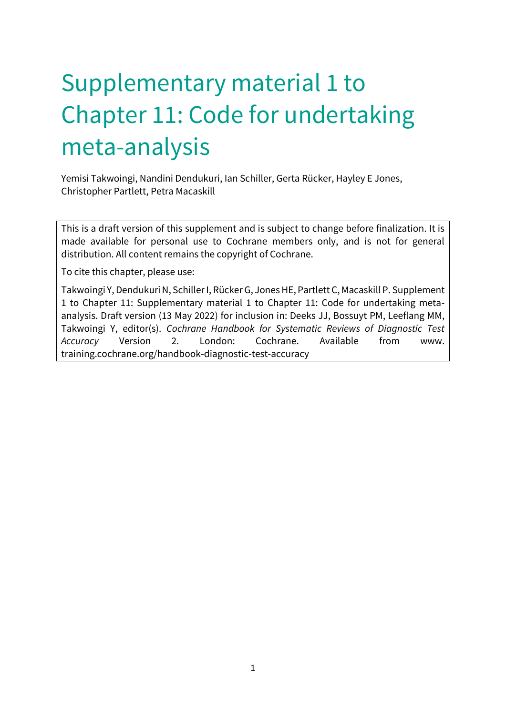# Supplementary material 1 to Chapter 11: Code for undertaking meta-analysis

Yemisi Takwoingi, Nandini Dendukuri, Ian Schiller, Gerta Rücker, Hayley E Jones, Christopher Partlett, Petra Macaskill

This is a draft version of this supplement and is subject to change before finalization. It is made available for personal use to Cochrane members only, and is not for general distribution. All content remains the copyright of Cochrane.

To cite this chapter, please use:

Takwoingi Y, Dendukuri N, Schiller I, Rücker G, Jones HE, Partlett C, Macaskill P. Supplement 1 to Chapter 11: Supplementary material 1 to Chapter 11: Code for undertaking metaanalysis. Draft version (13 May 2022) for inclusion in: Deeks JJ, Bossuyt PM, Leeflang MM, Takwoingi Y, editor(s). *Cochrane Handbook for Systematic Reviews of Diagnostic Test Accuracy* Version 2. London: Cochrane. Available from www. training.cochrane.org/handbook-diagnostic-test-accuracy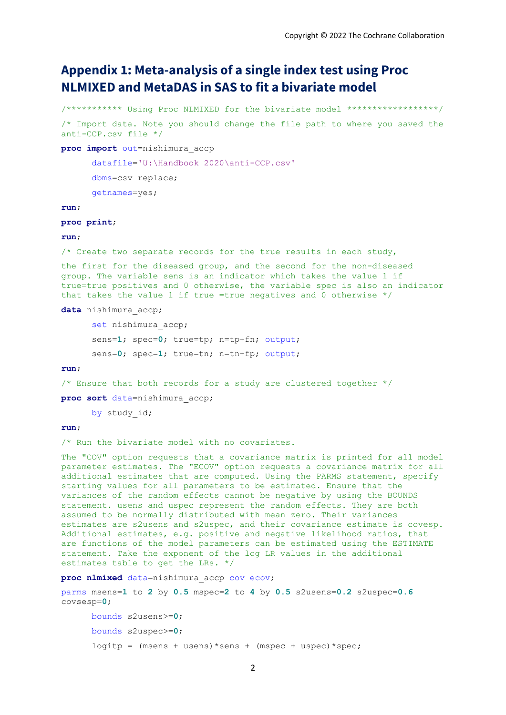# **Appendix 1: Meta-analysis of a single index test using Proc NLMIXED and MetaDAS in SAS to fit a bivariate model**

```
/*********** Using Proc NLMIXED for the bivariate model ******************/
/* Import data. Note you should change the file path to where you saved the 
anti-CCP.csv file */
proc import out=nishimura_accp
      datafile='U:\Handbook 2020\anti-CCP.csv'
      dbms=csv replace;
      getnames=yes;
run;
proc print;
run;
/* Create two separate records for the true results in each study,
the first for the diseased group, and the second for the non-diseased 
group. The variable sens is an indicator which takes the value 1 if 
true=true positives and 0 otherwise, the variable spec is also an indicator 
that takes the value 1 if true =true negatives and 0 otherwise */data nishimura_accp;
      set nishimura accp;
      sens=1; spec=0; true=tp; n=tp+fn; output;
      sens=0; spec=1; true=tn; n=tn+fp; output;
run;
/* Ensure that both records for a study are clustered together */proc sort data=nishimura_accp;
      by study_id;
run;
/* Run the bivariate model with no covariates.
The "COV" option requests that a covariance matrix is printed for all model 
parameter estimates. The "ECOV" option requests a covariance matrix for all 
additional estimates that are computed. Using the PARMS statement, specify 
starting values for all parameters to be estimated. Ensure that the 
variances of the random effects cannot be negative by using the BOUNDS 
statement. usens and uspec represent the random effects. They are both 
assumed to be normally distributed with mean zero. Their variances 
estimates are s2usens and s2uspec, and their covariance estimate is covesp. 
Additional estimates, e.g. positive and negative likelihood ratios, that 
are functions of the model parameters can be estimated using the ESTIMATE
```
**proc nlmixed** data=nishimura\_accp cov ecov;

estimates table to get the LRs. \*/

parms msens=**1** to **2** by **0.5** mspec=**2** to **4** by **0.5** s2usens=**0.2** s2uspec=**0.6** covsesp=**0**;

statement. Take the exponent of the log LR values in the additional

```
bounds s2usens>=0;
bounds s2uspec>=0;
logitp = (msens + usens) * sens + (mspec + uspec) * spec;
```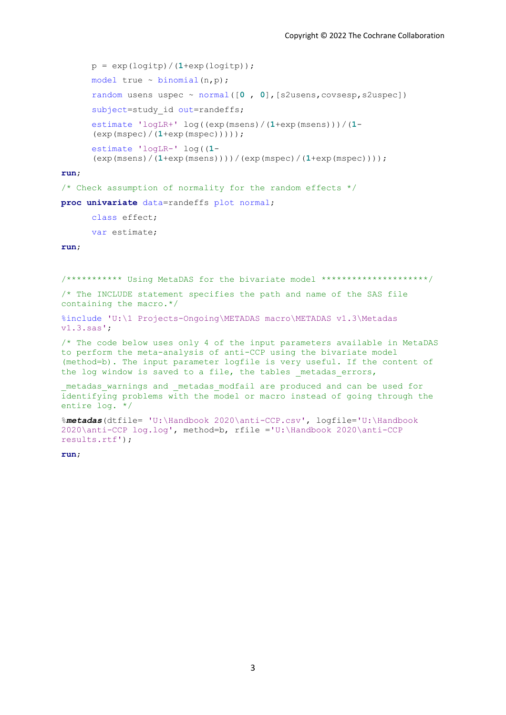```
p = exp(logitp) / (1+exp(logitp));
model true \sim binomial(n,p);
random usens uspec ~ normal([0 , 0],[s2usens,covsesp,s2uspec])
subject=study id out=randeffs;
estimate 'logLR+' log((exp(msens)/(1+exp(msens)))/(1-
(exp(mspec)/(1+exp(mspec)))));
estimate 'logLR-' log((1-
(exp(msens)/(1+exp(msens))))/(exp(mspec)/(1+exp(mspec))));
```
#### **run**;

/\* Check assumption of normality for the random effects \*/

**proc univariate** data=randeffs plot normal;

class effect; var estimate;

#### **run**;

/\*\*\*\*\*\*\*\*\*\*\* Using MetaDAS for the bivariate model \*\*\*\*\*\*\*\*\*\*\*\*\*\*\*\*\*\*\*\*\*/

/\* The INCLUDE statement specifies the path and name of the SAS file containing the macro.\*/

```
%include 'U:\1 Projects-Ongoing\METADAS macro\METADAS v1.3\Metadas 
v1.3.sas';
```
/\* The code below uses only 4 of the input parameters available in MetaDAS to perform the meta-analysis of anti-CCP using the bivariate model (method=b). The input parameter logfile is very useful. If the content of the log window is saved to a file, the tables metadas errors,

```
_metadas_warnings and _metadas_modfail are produced and can be used for 
identifying problems with the model or macro instead of going through the 
entire log. */
```

```
%metadas(dtfile= 'U:\Handbook 2020\anti-CCP.csv', logfile='U:\Handbook 
2020\anti-CCP log.log', method=b, rfile ='U:\Handbook 2020\anti-CCP 
results.rtf');
```
**run**;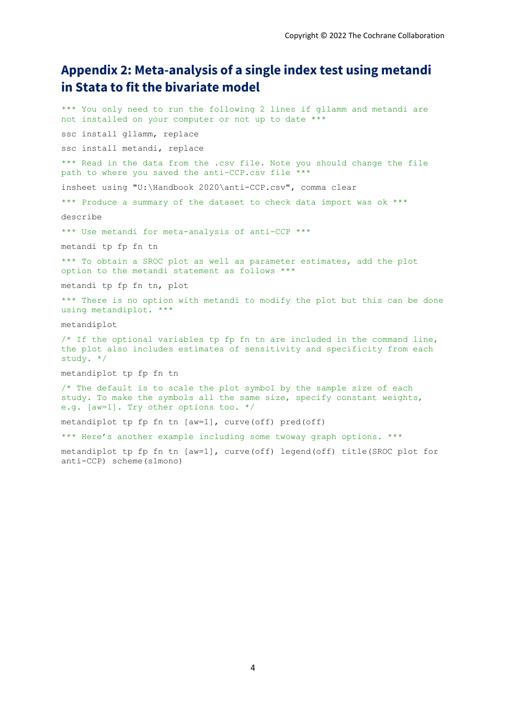# **Appendix 2: Meta-analysis of a single index test using metandi in Stata to fit the bivariate model**

\*\*\* You only need to run the following 2 lines if gllamm and metandi are not installed on your computer or not up to date \*\*\* ssc install gllamm, replace ssc install metandi, replace \*\*\* Read in the data from the .csv file. Note you should change the file path to where you saved the anti-CCP.csv file \*\*\* insheet using "U:\Handbook 2020\anti-CCP.csv", comma clear \*\*\* Produce a summary of the dataset to check data import was ok \*\*\* describe \*\*\* Use metandi for meta-analysis of anti-CCP \*\*\* metandi tp fp fn tn \*\*\* To obtain a SROC plot as well as parameter estimates, add the plot option to the metandi statement as follows \*\*\* metandi tp fp fn tn, plot \*\*\* There is no option with metandi to modify the plot but this can be done using metandiplot. \*\*\* metandiplot  $/*$  If the optional variables tp fp fn tn are included in the command line, the plot also includes estimates of sensitivity and specificity from each study. \*/ metandiplot tp fp fn tn  $/*$  The default is to scale the plot symbol by the sample size of each study. To make the symbols all the same size, specify constant weights, e.g. [aw=1]. Try other options too. \*/ metandiplot tp fp fn tn [aw=1], curve(off) pred(off) \*\*\* Here's another example including some twoway graph options. \*\*\* metandiplot tp fp fn tn [aw=1], curve(off) legend(off) title(SROC plot for anti-CCP) scheme(s1mono)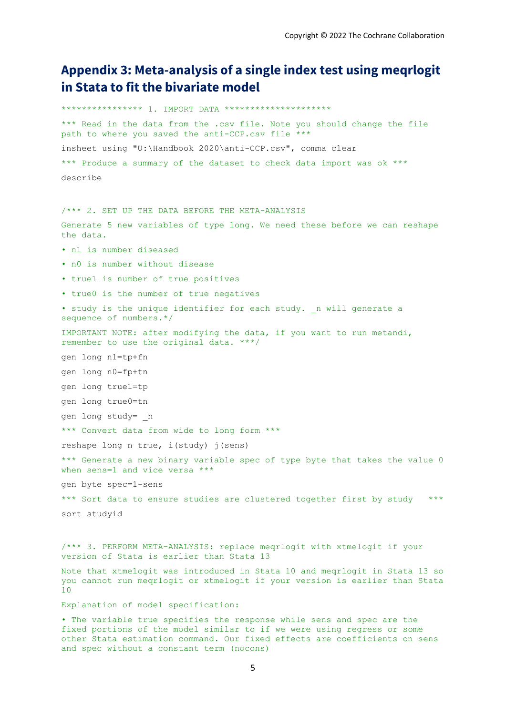# **Appendix 3: Meta-analysis of a single index test using meqrlogit in Stata to fit the bivariate model**

\*\*\*\*\*\*\*\*\*\*\*\*\*\*\*\* 1. IMPORT DATA \*\*\*\*\*\*\*\*\*\*\*\*\*\*\*\*\*\*\*\*\* \*\*\* Read in the data from the .csv file. Note you should change the file path to where you saved the anti-CCP.csv file \*\*\* insheet using "U:\Handbook 2020\anti-CCP.csv", comma clear \*\*\* Produce a summary of the dataset to check data import was ok \*\*\* describe /\*\*\* 2. SET UP THE DATA BEFORE THE META-ANALYSIS Generate 5 new variables of type long. We need these before we can reshape the data. • n1 is number diseased • n0 is number without disease • true1 is number of true positives • true0 is the number of true negatives • study is the unique identifier for each study. n will generate a sequence of numbers.\*/ IMPORTANT NOTE: after modifying the data, if you want to run metandi, remember to use the original data. \*\*\*/ gen long n1=tp+fn gen long n0=fp+tn gen long true1=tp gen long true0=tn gen long study= \_n \*\*\* Convert data from wide to long form \*\*\* reshape long n true, i(study) j(sens) \*\*\* Generate a new binary variable spec of type byte that takes the value 0 when sens=1 and vice versa \*\*\* gen byte spec=1-sens \*\*\* Sort data to ensure studies are clustered together first by study \*\*\* sort studyid /\*\*\* 3. PERFORM META-ANALYSIS: replace meqrlogit with xtmelogit if your version of Stata is earlier than Stata 13 Note that xtmelogit was introduced in Stata 10 and meqrlogit in Stata 13 so you cannot run meqrlogit or xtmelogit if your version is earlier than Stata 10 Explanation of model specification:

• The variable true specifies the response while sens and spec are the fixed portions of the model similar to if we were using regress or some other Stata estimation command. Our fixed effects are coefficients on sens and spec without a constant term (nocons)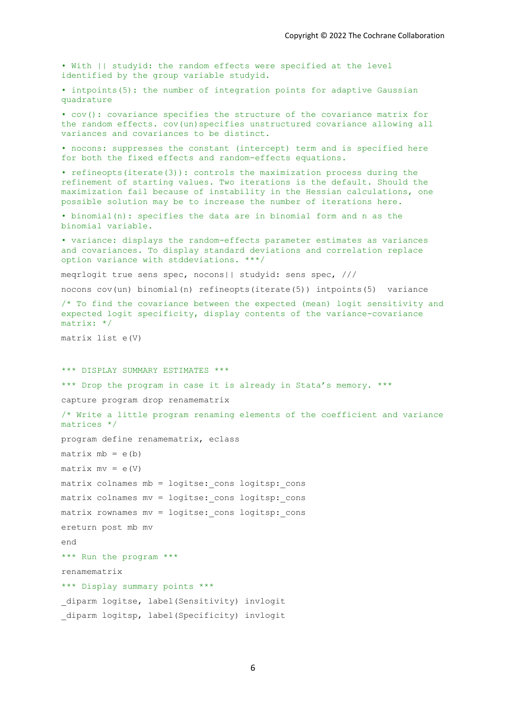```
• With || studyid: the random effects were specified at the level 
identified by the group variable studyid. 
• intpoints(5): the number of integration points for adaptive Gaussian 
quadrature 
• cov(): covariance specifies the structure of the covariance matrix for 
the random effects. cov(un)specifies unstructured covariance allowing all
variances and covariances to be distinct. 
• nocons: suppresses the constant (intercept) term and is specified here 
for both the fixed effects and random-effects equations. 
• refineopts(iterate(3)): controls the maximization process during the 
refinement of starting values. Two iterations is the default. Should the 
maximization fail because of instability in the Hessian calculations, one 
possible solution may be to increase the number of iterations here. 
• binomial(n): specifies the data are in binomial form and n as the 
binomial variable. 
• variance: displays the random-effects parameter estimates as variances 
and covariances. To display standard deviations and correlation replace 
option variance with stddeviations. ***/
meqrlogit true sens spec, nocons|| studyid: sens spec, ///
nocons cov(un) binomial(n) refineopts(iterate(5)) intpoints(5) variance 
/* To find the covariance between the expected (mean) logit sensitivity and 
expected logit specificity, display contents of the variance-covariance 
matrix: */
matrix list e(V) 
*** DISPLAY SUMMARY ESTIMATES ***
*** Drop the program in case it is already in Stata's memory. *** 
capture program drop renamematrix
/* Write a little program renaming elements of the coefficient and variance 
matrices */
program define renamematrix, eclass
matrix mb = e(b)matrix mv = e(V)matrix colnames mb = logitse: cons logitsp: cons
matrix colnames mv = logitse: cons logitsp: cons
matrix rownames mv = logitse: cons logitsp: cons
ereturn post mb mv
end
*** Run the program ***
renamematrix
*** Display summary points ***
diparm logitse, label(Sensitivity) invlogit
diparm logitsp, label(Specificity) invlogit
```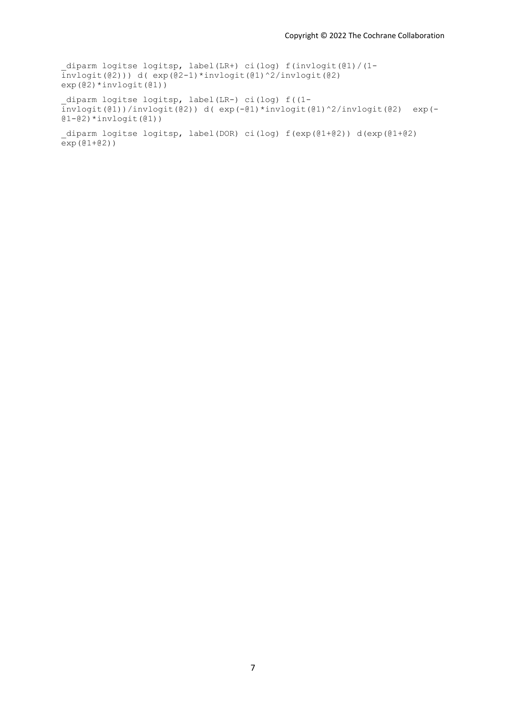\_diparm logitse logitsp, label(LR+) ci(log) f(invlogit(@1)/(1-  $\overline{invlogit}(\overline{02}))$ ) d(  $\overline{exp(02-1)}*invlogit(01)^{2}/invlogit(02)$  $exp(\theta^2) * invlogit(\theta1))$ 

\_diparm logitse logitsp, label(LR-) ci(log) f((1 invlogit(@1))/invlogit(@2)) d( exp(-@1)\*invlogit(@1)^2/invlogit(@2) exp(-  $@1-@2) * invlogit(@1)$ )

```
_diparm logitse logitsp, label(DOR) ci(log) f(exp(@1+@2)) d(exp(@1+@2) 
exp(01+02)
```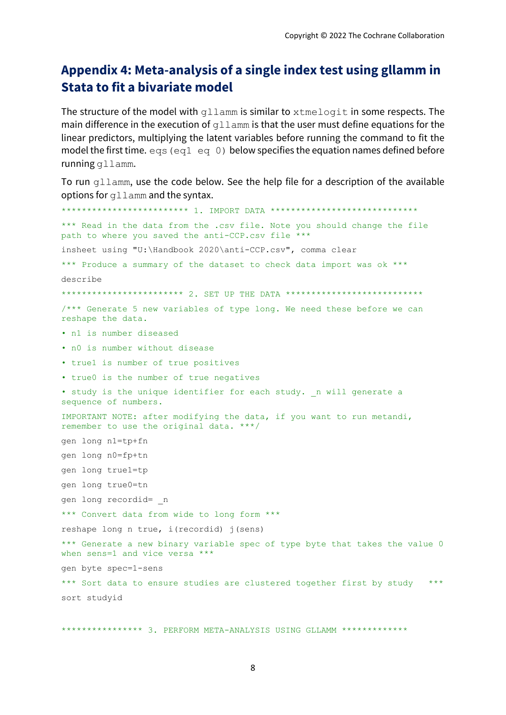# **Appendix 4: Meta-analysis of a single index test using gllamm in Stata to fit a bivariate model**

The structure of the model with gllamm is similar to xtmelogit in some respects. The main difference in the execution of  $q_l$ lamm is that the user must define equations for the linear predictors, multiplying the latent variables before running the command to fit the model the first time.  $eq1 eq1$  eq 0) below specifies the equation names defined before running gllamm.

To run gllamm, use the code below. See the help file for a description of the available options for gllamm and the syntax.

\*\*\*\*\*\*\*\*\*\*\*\*\*\*\*\*\*\*\*\*\*\*\*\*\* 1. IMPORT DATA \*\*\*\*\*\*\*\*\*\*\*\*\*\*\*\*\*\*\*\*\*\*\*\*\*\*\*\*\* \*\*\* Read in the data from the .csv file. Note you should change the file path to where you saved the anti-CCP.csv file \*\*\* insheet using "U:\Handbook 2020\anti-CCP.csv", comma clear \*\*\* Produce a summary of the dataset to check data import was ok \*\*\* describe \*\*\*\*\*\*\*\*\*\*\*\*\*\*\*\*\*\*\*\*\* 2. SET UP THE DATA \*\*\*\*\*\*\*\*\*\*\*\*\*\*\*\*\*\*\*\*\*\*\*\*\*\*\*\* /\*\*\* Generate 5 new variables of type long. We need these before we can reshape the data. • n1 is number diseased • n0 is number without disease • true1 is number of true positives • true0 is the number of true negatives • study is the unique identifier for each study. n will generate a sequence of numbers. IMPORTANT NOTE: after modifying the data, if you want to run metandi, remember to use the original data. \*\*\*/ gen long n1=tp+fn gen long n0=fp+tn gen long true1=tp gen long true0=tn gen long recordid= \_n \*\*\* Convert data from wide to long form \*\*\* reshape long n true, i(recordid) j(sens) \*\*\* Generate a new binary variable spec of type byte that takes the value 0 when sens=1 and vice versa \*\*\* gen byte spec=1-sens \*\*\* Sort data to ensure studies are clustered together first by study \*\*\* sort studyid

\*\*\*\*\*\*\*\*\*\*\*\*\*\*\*\* 3. PERFORM META-ANALYSIS USING GLLAMM \*\*\*\*\*\*\*\*\*\*\*\*\*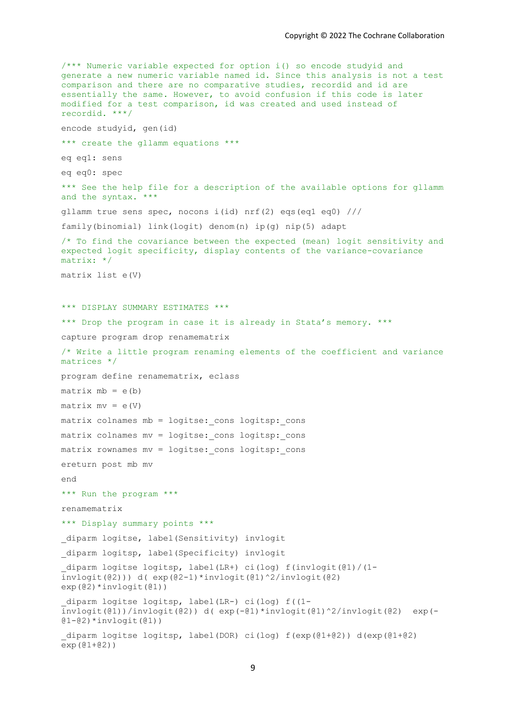```
/*** Numeric variable expected for option i() so encode studyid and 
generate a new numeric variable named id. Since this analysis is not a test 
comparison and there are no comparative studies, recordid and id are 
essentially the same. However, to avoid confusion if this code is later 
modified for a test comparison, id was created and used instead of 
recordid. ***/
encode studyid, gen(id)
*** create the gllamm equations ***
eq eq1: sens
eq eq0: spec
*** See the help file for a description of the available options for gllamm 
and the syntax. ***
gllamm true sens spec, nocons i(id) nrf(2) eqs(eq1 eq0) ///
family(binomial) link(logit) denom(n) ip(g) nip(5) adapt
/* To find the covariance between the expected (mean) logit sensitivity and 
expected logit specificity, display contents of the variance-covariance 
matrix: */
matrix list e(V) 
*** DISPLAY SUMMARY ESTIMATES ***
*** Drop the program in case it is already in Stata's memory. *** 
capture program drop renamematrix
/* Write a little program renaming elements of the coefficient and variance 
matrices */
program define renamematrix, eclass
matrix mb = e(b)matrix mv = e(V)matrix colnames mb = logitse: cons logitsp: cons
matrix colnames mv = logitse: cons logitsp: cons
matrix rownames mv = logitse: cons logitsp: cons
ereturn post mb mv
end
*** Run the program ***
renamematrix
*** Display summary points ***
diparm logitse, label(Sensitivity) invlogit
diparm logitsp, label(Specificity) invlogit
_diparm logitse logitsp, label(LR+) ci(log) f(invlogit(@1)/(1-
\overline{invlogit}(\overline{02}))) d( exp(\overline{02-1})*invlogit(\overline{01})^2/invlogit(\overline{02})
exp(@2)*invlogit(@1))
_diparm logitse logitsp, label(LR-) ci(log) f((1-
\frac{1}{2}invlogit(@1))/invlogit(@2)) d( exp(-@1)*invlogit(@1)^2/invlogit(@2) exp(-
@1 - @2) * invloqit(Q1)_diparm logitse logitsp, label(DOR) ci(log) f(exp(@1+@2)) d(exp(@1+@2) 
exp(01+02)
```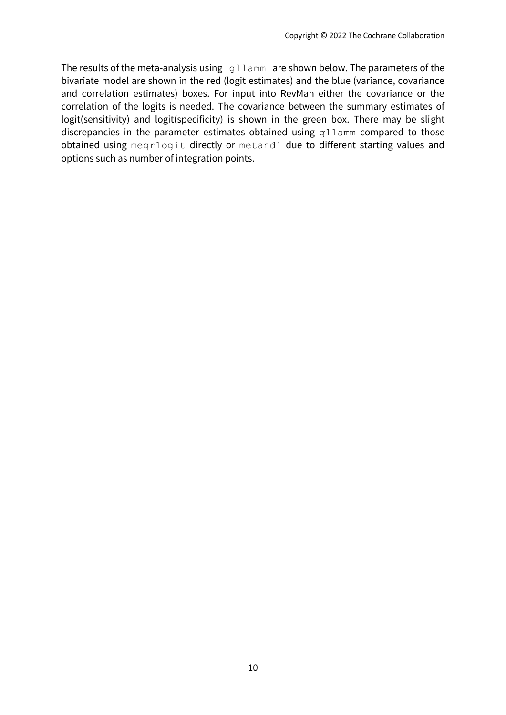The results of the meta-analysis using gllamm are shown below. The parameters of the bivariate model are shown in the red (logit estimates) and the blue (variance, covariance and correlation estimates) boxes. For input into RevMan either the covariance or the correlation of the logits is needed. The covariance between the summary estimates of logit(sensitivity) and logit(specificity) is shown in the green box. There may be slight discrepancies in the parameter estimates obtained using gllamm compared to those obtained using meqrlogit directly or metandi due to different starting values and options such as number of integration points.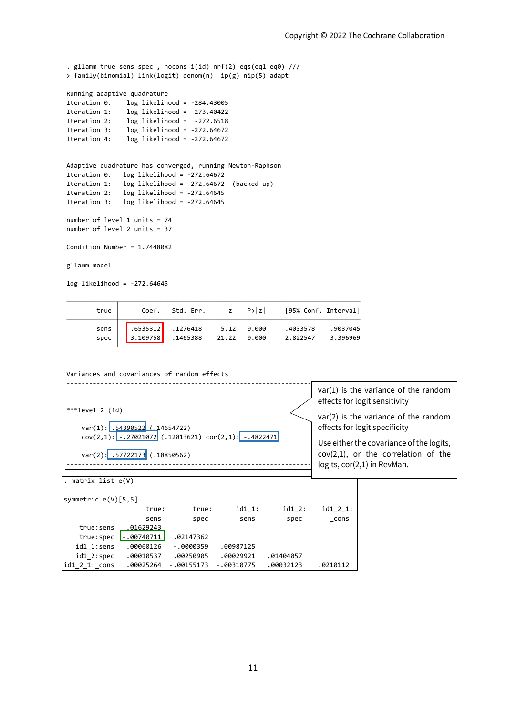```
------------------------------------------------------------------------------
logits, cor(2,1) in RevMan.var(2): .57722173 (.18850562)
    cov(2,1): -.27021072</mark> (.12013621) cor(2,1): -.4822471
    var(1): .54390522 (.14654722)
 ***level 2 (id)
 ------------------------------------------------------------------------------Variances and covariances of random effects
        spec 3.109758 .1465388 21.22 0.000 2.822547 3.396969
        sens | .6535312 .1276418 5.12 0.000 .4033578 .9037045
        true Coef. Std. Err. z P>|z| [95% Conf. Interval]
log likelihood = -272.64645
\vertgllamm model
Condition Number = 1.7448082
number of level 2 units = 37
number of level 1 units = 74
Iteration 3: log likelihood = -272.64645
Iteration 2: log likelihood = -272.64645
Iteration 1: log likelihood = -272.64672 (backed up)
Iteration 0: log likelihood = -272.64672
Adaptive quadrature has converged, running Newton-Raphson
Iteration 4: log likelihood = -272.64672
Iteration 3: log likelihood = -272.64672
Iteration 2: log likelihood = -272.6518
Iteration 1: log likelihood = -273.40422
Iteration 0: log likelihood = -284.43005Running adaptive quadrature
 > family(binomial) link(logit) denom(n) ip(g) nip(5) adapt
 . gllamm true sens spec , nocons i(id) nrf(2) eqs(eq1 eq0) ///
id1_2_1:_cons .00025264 -.00155173 -.00310775 .00032123 .0210112
  id1_2:spec .00010537 .00250905 .00029921 .01404057
  id1_1:sens .00060126 -.0000359 .00987125
   true:spec -0.00740711 .02147362
   true:sens .01629243
                    sens spec sens spec _cons
                    true: true: id1_1: id1_2: id1_2_1:
symmetric e(V)[5,5]
. matrix list e(V)
                                                                 var(1) is the variance of the random 
                                                                 effects for logit sensitivity 
                                                                 var(2) is the variance of the random 
                                                                 effects for logit specificity
                                                                 Use either the covariance of the logits, 
                                                                 cov(2,1), or the correlation of the
```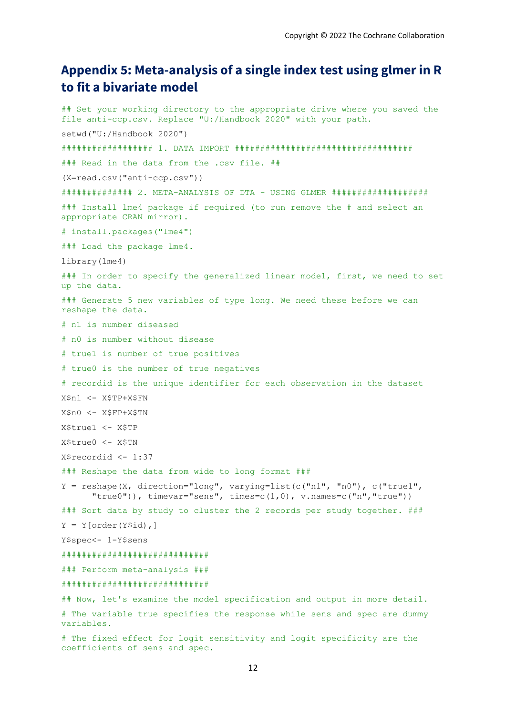# **Appendix 5: Meta-analysis of a single index test using glmer in R to fit a bivariate model**

## Set your working directory to the appropriate drive where you saved the file anti-ccp.csv. Replace "U:/Handbook 2020" with your path. setwd("U:/Handbook 2020") ################## 1. DATA IMPORT ################################### ### Read in the data from the .csv file. ## (X=read.csv("anti-ccp.csv")) ############## 2. META-ANALYSIS OF DTA - USING GLMER ################### ### Install lme4 package if required (to run remove the # and select an appropriate CRAN mirror). # install.packages("lme4") ### Load the package lme4. library(lme4) ### In order to specify the generalized linear model, first, we need to set up the data. ### Generate 5 new variables of type long. We need these before we can reshape the data. # n1 is number diseased # n0 is number without disease # true1 is number of true positives # true0 is the number of true negatives # recordid is the unique identifier for each observation in the dataset X\$n1 <- X\$TP+X\$FN X\$n0 <- X\$FP+X\$TN X\$true1 <- X\$TP X\$true0 <- X\$TN X\$recordid <- 1:37 ### Reshape the data from wide to long format ###  $Y =$  reshape(X, direction="long", varying=list(c("n1", "n0"), c("true1", "true0")), timevar="sens", times=c(1,0),  $v.name = c("n", "true")$ ) ### Sort data by study to cluster the 2 records per study together. ###  $Y = Y[order(Y$id),]$ Y\$spec<- 1-Y\$sens ############################# ### Perform meta-analysis ### ############################# ## Now, let's examine the model specification and output in more detail. # The variable true specifies the response while sens and spec are dummy variables.

# The fixed effect for logit sensitivity and logit specificity are the coefficients of sens and spec.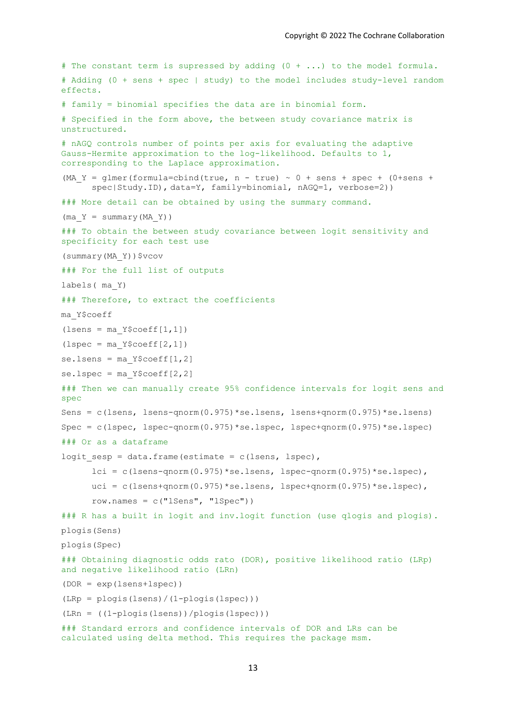```
# The constant term is supressed by adding (0 + ...) to the model formula.
# Adding (0 + sens + spec | study) to the model includes study-level random 
effects. 
# family = binomial specifies the data are in binomial form. 
# Specified in the form above, the between study covariance matrix is
unstructured. 
# nAGQ controls number of points per axis for evaluating the adaptive 
Gauss-Hermite approximation to the log-likelihood. Defaults to 1, 
corresponding to the Laplace approximation. 
(MA Y = glmer(formula=cbind(true, n - true) ~ 0 + sens + spec + (0+sens +
      spec|Study.ID), data=Y, family=binomial, nAGQ=1, verbose=2))
### More detail can be obtained by using the summary command.
(max Y = summary(MA Y))### To obtain the between study covariance between logit sensitivity and 
specificity for each test use 
(summary(MA_Y))$vcov
### For the full list of outputs 
labels( ma_Y) 
### Therefore, to extract the coefficients 
ma_Y$coeff 
(lsens = ma Y$coeff[1,1])(\text{lspec} = \text{ma Y$coeff}[2,1])se.lsens = ma Y$coeff[1,2]se.lspec = ma Y$coeff[2,2]### Then we can manually create 95% confidence intervals for logit sens and 
spec
Sens = c(lsens, lsens-qnorm(0.975)*se.lsens, lsens+qnorm(0.975)*se.lsens)
Spec = c(lspec, lspec-qnorm(0.975)*se.lspec, lspec+qnorm(0.975)*se.lspec) 
### Or as a dataframe 
logit sesp = data.frame(estimate = c(lsens, lspec),
      lci = c(lsens-qnorm(0.975)*se.lsens, lspec-qnorm(0.975)*se.lspec),
      uci = c(1sens+qnorm(0.975)*se.lsens, lspec+qnorm(0.975)*se.lspec),
      row.names = c("Isens", "lspec"))### R has a built in logit and inv.logit function (use qlogis and plogis).
plogis(Sens) 
plogis(Spec) 
### Obtaining diagnostic odds rato (DOR), positive likelihood ratio (LRp) 
and negative likelihood ratio (LRn) 
(DOR = exp(lsens+lspec)) 
(LRp = plogis(lsens)/(1-plogis(lspec))) 
(LRn = ((1-plogis(lsens))/plogis(lspec))) 
### Standard errors and confidence intervals of DOR and LRs can be 
calculated using delta method. This requires the package msm.
```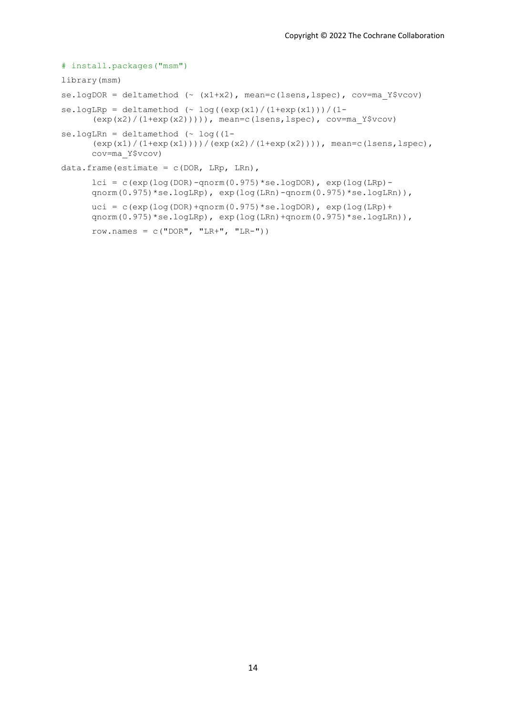```
# install.packages("msm")
library(msm)
se.logDOR = deltamethod (\sim (x1+x2), mean=c(lsens,lspec), cov=ma Y$vcov)
se.logLRp = deltamethod (~\circ~\log((\exp(x1)/(1+\exp(x1))))/(1-(exp(x2)/(1+exp(x2))))), mean=c(lsens,lspec), cov=ma_Y$vcov)
se.logLRn = deltamethod ( \sim log((1 -(exp(x1)/(1+exp(x1))))/(exp(x2)/(1+exp(x2)))), mean=c(lsens,lspec),
      cov=ma_Y$vcov) 
data.frame(estimate = c(DOR, LRp, LRn),
      lci = c(exp(log(DOR) - qnorm(0.975) * se.logDOR), exp(log(LRp) -qnorm(0.975)*se.logLRp), exp(\log(LRn) - \text{qnorm}(0.975)*se.logLRn)),
      uci = c (exp(log(DOR)+qnorm(0.975)*se.logDOR), exp(log(LRp)+
      qnorm(0.975)*se.logLRp), exp(log(LRn)+qnorm(0.975)*se.logLRn)),
      row.names = c("DOR", "LR+", "LR-"))
```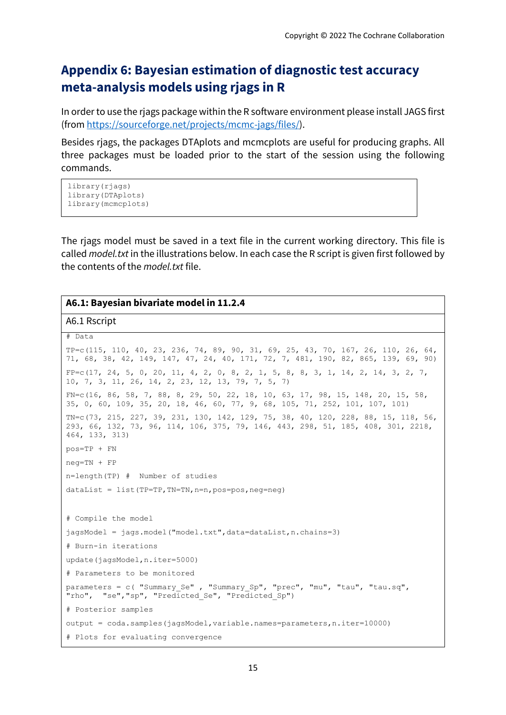# **Appendix 6: Bayesian estimation of diagnostic test accuracy meta-analysis models using rjags in R**

In order to use the rjags package within the R software environment please install JAGS first (from [https://sourceforge.net/projects/mcmc-jags/files/\)](https://sourceforge.net/projects/mcmc-jags/files/).

Besides rjags, the packages DTAplots and mcmcplots are useful for producing graphs. All three packages must be loaded prior to the start of the session using the following commands.

```
library(riags)
library(DTAplots)
library(mcmcplots)
```
The rjags model must be saved in a text file in the current working directory. This file is called *model.txt* in the illustrations below. In each case the R script is given first followed by the contents of the *model.txt* file.

## **A6.1: Bayesian bivariate model in 11.2.4**

A6.1 Rscript

```
# Data
TP=c(115, 110, 40, 23, 236, 74, 89, 90, 31, 69, 25, 43, 70, 167, 26, 110, 26, 64, 
71, 68, 38, 42, 149, 147, 47, 24, 40, 171, 72, 7, 481, 190, 82, 865, 139, 69, 90) 
FP=c(17, 24, 5, 0, 20, 11, 4, 2, 0, 8, 2, 1, 5, 8, 8, 3, 1, 14, 2, 14, 3, 2, 7, 
10, 7, 3, 11, 26, 14, 2, 23, 12, 13, 79, 7, 5, 7) 
FN=c(16, 86, 58, 7, 88, 8, 29, 50, 22, 18, 10, 63, 17, 98, 15, 148, 20, 15, 58, 
35, 0, 60, 109, 35, 20, 18, 46, 60, 77, 9, 68, 105, 71, 252, 101, 107, 101) 
TN=c(73, 215, 227, 39, 231, 130, 142, 129, 75, 38, 40, 120, 228, 88, 15, 118, 56, 
293, 66, 132, 73, 96, 114, 106, 375, 79, 146, 443, 298, 51, 185, 408, 301, 2218, 
464, 133, 313) 
pos=TP + FN
neg=TN + FP 
n=length(TP) # Number of studies
dataList = list(TP=TP,TN=TN,n=n,pos=pos,neg=neg)
# Compile the model 
jagsModel = jags.model("model.txt",data=dataList,n.chains=3)
# Burn-in iterations 
update(jagsModel,n.iter=5000)
# Parameters to be monitored
parameters = c( "Summary Se" , "Summary Sp", "prec", "mu", "tau", "tau.sq",
"rho", "se", "sp", "Predicted Se", "Predicted Sp")
# Posterior samples
output = coda.samples(jagsModel,variable.names=parameters,n.iter=10000)
# Plots for evaluating convergence
```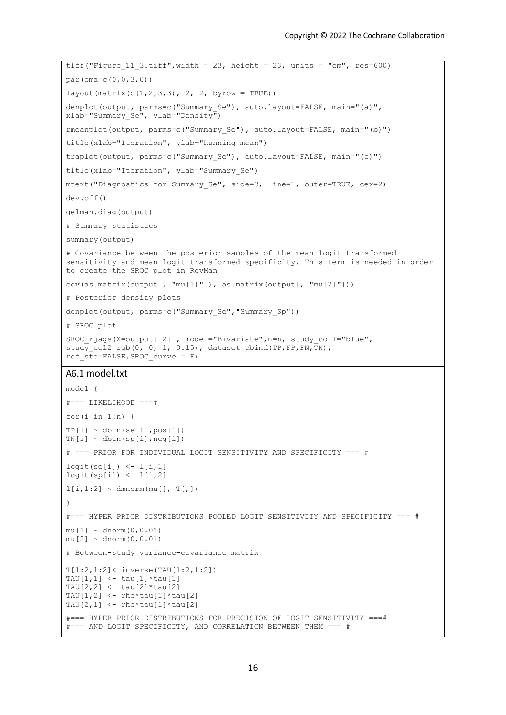```
tiff("Figure 11 3.tiff", width = 23, height = 23, units = "cm", res=600)
par(oma=c(0,0,3,0))
layout (matrix(c(1,2,3,3), 2, 2, byrow = TRUE))
denplot(output, parms=c("Summary Se"), auto.layout=FALSE, main="(a)",
xlab="Summary Se", ylab="Density")
rmeanplot(output, parms=c("Summary_Se"), auto.layout=FALSE, main="(b)")
title(xlab="Iteration", ylab="Running mean")
traplot(output, parms=c("Summary_Se"), auto.layout=FALSE, main="(c)")
title(xlab="Iteration", ylab="Summary Se")
mtext("Diagnostics for Summary_Se", side=3, line=1, outer=TRUE, cex=2)
dev.off()
gelman.diag(output)
# Summary statistics
summary(output) 
# Covariance between the posterior samples of the mean logit-transformed 
sensitivity and mean logit-transformed specificity. This term is needed in order 
to create the SROC plot in RevMan
cov(as.matrix(output[, "mu[1]"]), as.matrix(output[, "mu[2]"]))
# Posterior density plots
denplot(output, parms=c("Summary Se", "Summary Sp"))
# SROC plot
SROC_rjags(X=output[[2]], model="Bivariate",n=n, study_col1="blue", 
study col2=rgb(0, 0, 1, 0.15), dataset=cbind(TP,FP,FN,TN),
ref std=FALSE, SROC curve = F)
A6.1 model.txt
model {
# == = LIKELIHOOD ==#for(i in 1:n {
TP[i] \sim \text{dbin}(se[i], pos[i])TN[i] \sim \text{dbin}(sp[i],neg[i])# === PRIOR FOR INDIVIDUAL LOGIT SENSITIVITY AND SPECIFICITY === #
logit(se[i]) < -1[i,1]logit(sp[i]) < -1[i,2]1[i,1:2] \sim dmnorm(mu[], T[,])
}
#=== HYPER PRIOR DISTRIBUTIONS POOLED LOGIT SENSITIVITY AND SPECIFICITY === #
mu[1] \sim \text{dnorm}(0, 0.01)mu[2] \sim \text{dnorm}(0, 0.01)# Between-study variance-covariance matrix 
T[1:2,1:2]<-inverse(TAU[1:2,1:2])
TAU[1,1] <- tau[1]*tau[1]
TAU[2,2] <- tau[2]*tau[2]
```

```
#=== HYPER PRIOR DISTRIBUTIONS FOR PRECISION OF LOGIT SENSITIVITY ===# 
#=== AND LOGIT SPECIFICITY, AND CORRELATION BETWEEN THEM === #
```
TAU $[1, 2]$  <- rho\*tau $[1]$ \*tau $[2]$ TAU $[2, 1]$  <- rho\*tau $[1]$ \*tau $[2]$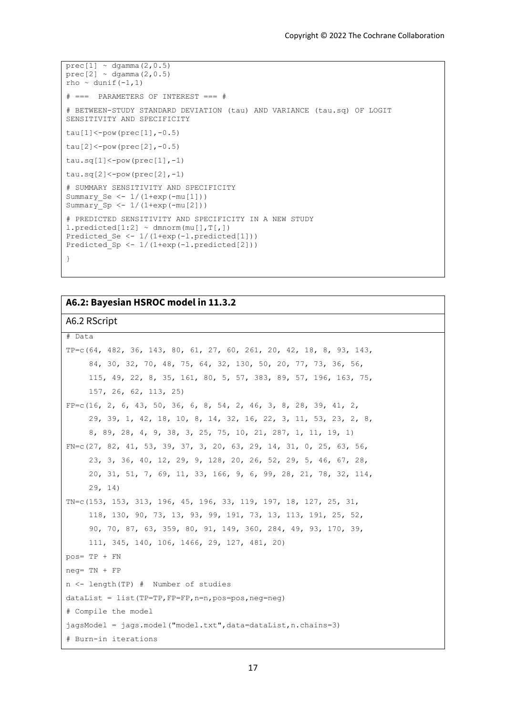```
prec[1] ~ dgamma(2, 0.5)prec[2] \sim \text{dgamma}(2,0.5)rho ~ dunif(-1, 1)# === PARAMETERS OF INTEREST === #
# BETWEEN-STUDY STANDARD DEVIATION (tau) AND VARIANCE (tau.sq) OF LOGIT 
SENSITIVITY AND SPECIFICITY
tau[1]<-pow(prec[1], -0.5)tau[2]<-pow(prec[2], -0.5)tau.sq[1]<-pow(prec[1],-1)tau.sq[2] <-pow(prec[2],-1)
# SUMMARY SENSITIVITY AND SPECIFICITY
Summary_Se <- 1/(1+exp(-mu[1]))
Summary\overline{Sp} <- 1/(1+exp(-mu[2]))
# PREDICTED SENSITIVITY AND SPECIFICITY IN A NEW STUDY
l.predicted[1:2] ~ dmnorm(mu[],T[,])
Predicted Se \leftarrow 1/(1+exp(-l.predicted[1]))
Predicted_Sp <- 1/(1+exp(-l.predicted[2]))
}
```
# **A6.2: Bayesian HSROC model in 11.3.2**

## A6.2 RScript

```
# Data
```

```
TP=c(64, 482, 36, 143, 80, 61, 27, 60, 261, 20, 42, 18, 8, 93, 143, 
      84, 30, 32, 70, 48, 75, 64, 32, 130, 50, 20, 77, 73, 36, 56, 
      115, 49, 22, 8, 35, 161, 80, 5, 57, 383, 89, 57, 196, 163, 75, 
      157, 26, 62, 113, 25)
FP=c(16, 2, 6, 43, 50, 36, 6, 8, 54, 2, 46, 3, 8, 28, 39, 41, 2, 29, 39, 1, 42, 18, 10, 8, 14, 32, 16, 22, 3, 11, 53, 23, 2, 8, 
      8, 89, 28, 4, 9, 38, 3, 25, 75, 10, 21, 287, 1, 11, 19, 1)
FN=c(27, 82, 41, 53, 39, 37, 3, 20, 63, 29, 14, 31, 0, 25, 63, 56, 
      23, 3, 36, 40, 12, 29, 9, 128, 20, 26, 52, 29, 5, 46, 67, 28, 
      20, 31, 51, 7, 69, 11, 33, 166, 9, 6, 99, 28, 21, 78, 32, 114, 
      29, 14)
TN=c(153, 153, 313, 196, 45, 196, 33, 119, 197, 18, 127, 25, 31, 
      118, 130, 90, 73, 13, 93, 99, 191, 73, 13, 113, 191, 25, 52, 
      90, 70, 87, 63, 359, 80, 91, 149, 360, 284, 49, 93, 170, 39, 
      111, 345, 140, 106, 1466, 29, 127, 481, 20)
pos= TP + FN
neg= TN + FP 
n <- length(TP) # Number of studies
dataList = list(TP=TP,FP=FP,n=n,pos=pos,neg=neg)
# Compile the model 
jagsModel = jags.model("model.txt",data=dataList,n.chains=3)
# Burn-in iterations
```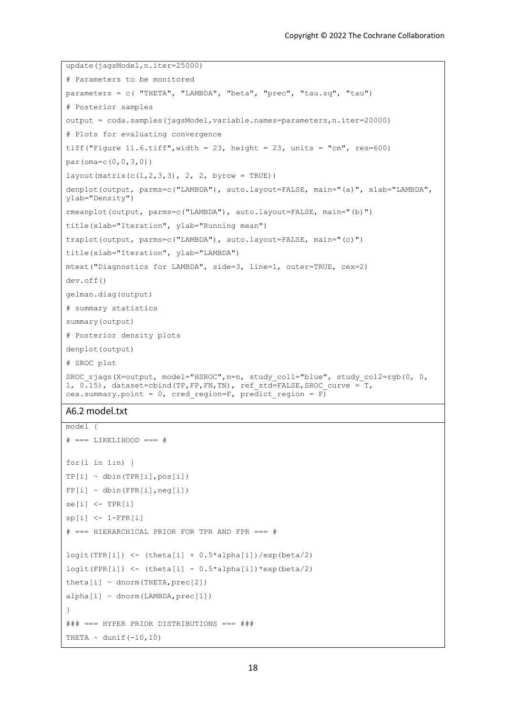```
update(jagsModel,n.iter=25000)
# Parameters to be monitored
parameters = c( "THETA", "LAMBDA", "beta", "prec", "tau.sq", "tau") 
# Posterior samples
output = coda.samples(jagsModel,variable.names=parameters,n.iter=20000)
# Plots for evaluating convergence
tiff("Figure 11.6.tiff", width = 23, height = 23, units = "cm", res=600)
par(oma=c(0,0,3,0))
layout (matrix (c(1, 2, 3, 3), 2, 2, byrow = TRUE))
denplot(output, parms=c("LAMBDA"), auto.layout=FALSE, main="(a)", xlab="LAMBDA", 
ylab="Density")
rmeanplot(output, parms=c("LAMBDA"), auto.layout=FALSE, main="(b)")
title(xlab="Iteration", ylab="Running mean")
traplot(output, parms=c("LAMBDA"), auto.layout=FALSE, main="(c)")
title(xlab="Iteration", ylab="LAMBDA")
mtext("Diagnostics for LAMBDA", side=3, line=1, outer=TRUE, cex=2)
dev.off()
gelman.diag(output)
# summary statistics
summary(output) 
# Posterior density plots
denplot(output)
# SROC plot
SROC_rjags(X=output, model="HSROC",n=n, study_col1="blue", study_col2=rgb(0, 0, 
1, 0.15), dataset=cbind(TP, FP, FN, TN), ref std=FALSE, SROC curve = T,
cex.summary.point = 0, cred_region=F, predict_region = \overline{F})
```
#### A6.2 model.txt

```
model {
# == LIKELIHOOD === #for(i in 1:n {
TP[i] \sim \text{dbin(TPR}[i], \text{pos}[i])FP[i] ~ ~ dbin(FPR[i], neg[i])
se[i] <- TPR[i]sp[i] <- 1-FPR[i]
# === HIERARCHICAL PRIOR FOR TPR AND FPR === #
logit(TPR[i]) \leq (theta[i] + 0.5*alpha[i])/exp(beta/2)
logit(FPR[i]) \leftarrow (theta[i] - 0.5*alpha[i])*exp(beta/2)
theta[i] \sim dnorm(THETA, prec[2])
alpha[i] \sim \text{dnorm}(\text{LAMBDA}, \text{prec}[1])}
### === HYPER PRIOR DISTRIBUTIONS === ###
THETA \sim dunif (-10,10)
```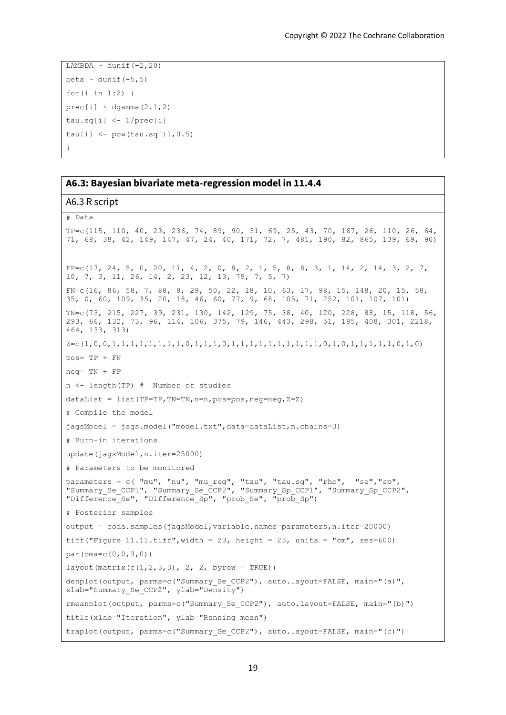```
LAMBDA \sim dunif (-2,20)
beta \sim dunif (-5,5)
for(i in 1:2) {
prec[i] ~ ~ ~ dgamma(2.1, 2)tau.sq[i] <- 1/prec[i]
tau[i] <- pow(tau.sq[i], 0.5)
}
```
### **A6.3: Bayesian bivariate meta-regression model in 11.4.4**

### A6.3 R script

```
# Data
TP=c(115, 110, 40, 23, 236, 74, 89, 90, 31, 69, 25, 43, 70, 167, 26, 110, 26, 64, 
71, 68, 38, 42, 149, 147, 47, 24, 40, 171, 72, 7, 481, 190, 82, 865, 139, 69, 90)
FP=c(17, 24, 5, 0, 20, 11, 4, 2, 0, 8, 2, 1, 5, 8, 8, 3, 1, 14, 2, 14, 3, 2, 7, 
10, 7, 3, 11, 26, 14, 2, 23, 12, 13, 79, 7, 5, 7) 
FN=c(16, 86, 58, 7, 88, 8, 29, 50, 22, 18, 10, 63, 17, 98, 15, 148, 20, 15, 58, 
35, 0, 60, 109, 35, 20, 18, 46, 60, 77, 9, 68, 105, 71, 252, 101, 107, 101) 
TN=c(73, 215, 227, 39, 231, 130, 142, 129, 75, 38, 40, 120, 228, 88, 15, 118, 56, 
293, 66, 132, 73, 96, 114, 106, 375, 79, 146, 443, 298, 51, 185, 408, 301, 2218, 
464, 133, 313) 
Z=c(1,0,0,1,1,1,1,1,1,1,1,0,1,1,1,0,1,1,1,1,1,1,1,1,1,1,0,1,0,1,1,1,1,1,0,1,0)
pos= TP + FN
neg= TN + FP 
n <- length(TP) # Number of studies
dataList = list(TP=TP,TN=TN, n=n, pos=pos, neg=neg, Z = Z)
# Compile the model 
jagsModel = jags.model("model.txt",data=dataList,n.chains=3)
# Burn-in iterations 
update(jagsModel,n.iter=25000)
# Parameters to be monitored
parameters = c( "mu", "nu", "mu_reg", "tau", "tau.sq", "rho", "se","sp", 
"Summary Se CCP1", "Summary Se CCP2", "Summary Sp CCP1", "Summary Sp CCP2",
"Difference Se", "Difference Sp", "prob_Se", "prob_Sp")
# Posterior samples
output = coda.samples(jagsModel,variable.names=parameters,n.iter=20000)
tiff("Figure 11.11.tiff", width = 23, height = 23, units = "cm", res=600)
par(oma=c(0,0,3,0))
layout (matrix (c(1, 2, 3, 3), 2, 2, byrow = TRUE))
denplot(output, parms=c("Summary Se CCP2"), auto.layout=FALSE, main="(a)",
xlab="Summary Se CCP2", ylab="Density")
rmeanplot(output, parms=c("Summary_Se_CCP2"), auto.layout=FALSE, main="(b)")
title(xlab="Iteration", ylab="Rsnning mean")
traplot(output, parms=c("Summary Se CCP2"), auto.layout=FALSE, main="(c)")
```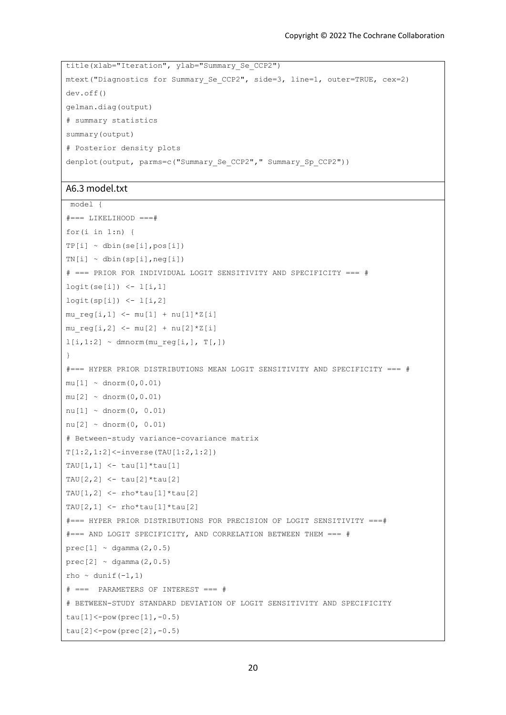```
title(xlab="Iteration", ylab="Summary_Se_CCP2")
mtext("Diagnostics for Summary_Se_CCP2", side=3, line=1, outer=TRUE, cex=2)
dev.off()
gelman.diag(output)
# summary statistics
summary(output) 
# Posterior density plots
denplot(output, parms=c("Summary_Se_CCP2"," Summary_Sp_CCP2"))
```
### A6.3 model.txt

```
model {
# == LIKELIHOOD ==#for(i in 1:n) {
TP[i] \sim \text{dbin}(se[i], pos[i])TN[i] \sim \text{dbin}(sp[i],neg[i])# === PRIOR FOR INDIVIDUAL LOGIT SENSITIVITY AND SPECIFICITY === #
logit(se[i]) < -1[i,1]logit(sp[i]) < -1[i,2]mu req[i,1] < - mu[1] + \text{nu}[1]*Z[i]mu_{reg[i,2]} \leftarrow mu[2] + nu[2]*z[i]l[i,1:2] ~ dmnorm(mu_reg[i,], T[,])
}
#=== HYPER PRIOR DISTRIBUTIONS MEAN LOGIT SENSITIVITY AND SPECIFICITY === #
mu[1] \sim \text{dnorm}(0, 0.01)mu[2] \sim \text{dnorm}(0, 0.01)nu[1] ~ dnorm(0, 0.01)
nu[2] \sim \text{dnorm}(0, 0.01)# Between-study variance-covariance matrix 
T[1:2,1:2] <-inverse(TAU[1:2,1:2])
TAU[1, 1] <- tau[1] *tau[1]TAU[2, 2] <- tau[2]*tau[2]TAU[1,2] <- rho*tau[1]*tau[2]TAU[2,1] <- rho*tau[1]*tau[2]#=== HYPER PRIOR DISTRIBUTIONS FOR PRECISION OF LOGIT SENSITIVITY ===# 
#=== AND LOGIT SPECIFICITY, AND CORRELATION BETWEEN THEM === #
prec[1] \sim dgamma(2, 0.5)prec[2] ~\sim dgamma(2, 0.5)rho \sim dunif(-1,1)
# === PARAMETERS OF INTEREST === #
# BETWEEN-STUDY STANDARD DEVIATION OF LOGIT SENSITIVITY AND SPECIFICITY
tau[1]<-pow(prec[1], -0.5)tau[2]<-pow(prec[2], -0.5)
```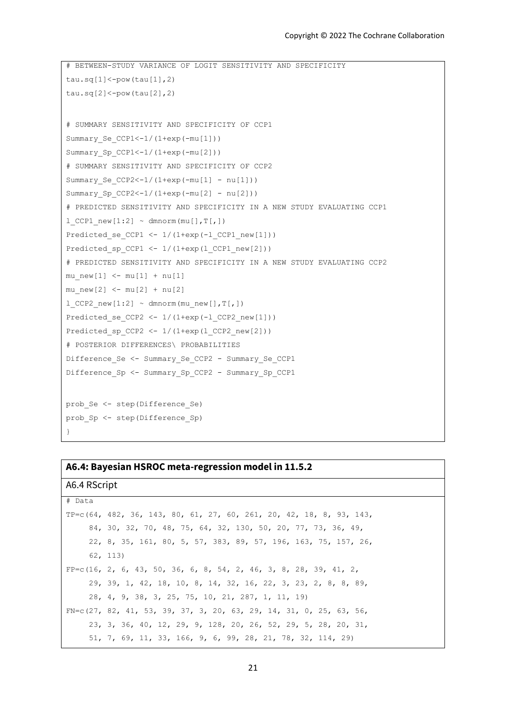```
# BETWEEN-STUDY VARIANCE OF LOGIT SENSITIVITY AND SPECIFICITY
tau.sq[1]<-pow(tau[1],2)tau.sq[2] <-pow(tau[2], 2)
# SUMMARY SENSITIVITY AND SPECIFICITY OF CCP1 
Summary Se CCP1<-1/(1+exp(-mu[1]))
Summary_Sp_CCP1<-1/(1+exp(-mu[2]))
# SUMMARY SENSITIVITY AND SPECIFICITY OF CCP2 
Summary_Se_CCP2<-1/(1+exp(-mu[1] - nu[1]))
Summary Sp CCP2<-1/(1+exp(-mu[2] - nu[2]))# PREDICTED SENSITIVITY AND SPECIFICITY IN A NEW STUDY EVALUATING CCP1
l CCP1 new[1:2] ~ dmnorm(mu[],T[,])
Predicted se CCP1 <- 1/(1+exp(-1)CCP1 new[1]))Predicted sp CCP1 \leftarrow 1/(1+exp(1)CCP1) new[2]))
# PREDICTED SENSITIVITY AND SPECIFICITY IN A NEW STUDY EVALUATING CCP2
mu_{new[1]} < - mu[1] + nu[1]mu_{new}[2] < - mu[2] + nu[2]l CCP2 new[1:2] ~ dmnorm(mu_new[],T[,])
Predicted se CCP2 <- 1/(1+exp(-1)CCP2) new[1]))
Predicted sp CCP2 \le -1/(1+exp(1CCP2 new[2]))# POSTERIOR DIFFERENCES\ PROBABILITIES
Difference Se <- Summary Se CCP2 - Summary Se CCP1
Difference_Sp <- Summary_Sp_CCP2 - Summary_Sp_CCP1
prob_Se <- step(Difference_Se)
prob_Sp <- step(Difference_Sp)
}
```
### **A6.4: Bayesian HSROC meta-regression model in 11.5.2**

# A6.4 RScript

# Data

TP=c(64, 482, 36, 143, 80, 61, 27, 60, 261, 20, 42, 18, 8, 93, 143, 84, 30, 32, 70, 48, 75, 64, 32, 130, 50, 20, 77, 73, 36, 49, 22, 8, 35, 161, 80, 5, 57, 383, 89, 57, 196, 163, 75, 157, 26, 62, 113)  $FP=c(16, 2, 6, 43, 50, 36, 6, 8, 54, 2, 46, 3, 8, 28, 39, 41, 2,$  29, 39, 1, 42, 18, 10, 8, 14, 32, 16, 22, 3, 23, 2, 8, 8, 89, 28, 4, 9, 38, 3, 25, 75, 10, 21, 287, 1, 11, 19) FN=c(27, 82, 41, 53, 39, 37, 3, 20, 63, 29, 14, 31, 0, 25, 63, 56, 23, 3, 36, 40, 12, 29, 9, 128, 20, 26, 52, 29, 5, 28, 20, 31, 51, 7, 69, 11, 33, 166, 9, 6, 99, 28, 21, 78, 32, 114, 29)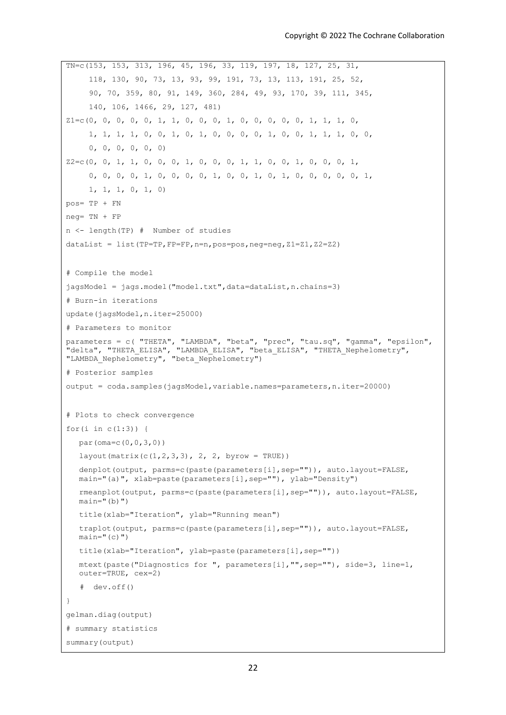```
TN=c(153, 153, 313, 196, 45, 196, 33, 119, 197, 18, 127, 25, 31, 
      118, 130, 90, 73, 13, 93, 99, 191, 73, 13, 113, 191, 25, 52, 
      90, 70, 359, 80, 91, 149, 360, 284, 49, 93, 170, 39, 111, 345, 
      140, 106, 1466, 29, 127, 481)
Z1=c(0, 0, 0, 0, 0, 1, 1, 0, 0, 0, 1, 0, 0, 0, 0, 0, 1, 1, 1, 0, 
      1, 1, 1, 1, 0, 0, 1, 0, 1, 0, 0, 0, 0, 1, 0, 0, 1, 1, 1, 0, 0, 
      0, 0, 0, 0, 0, 0)
Z2=c(0, 0, 1, 1, 0, 0, 0, 1, 0, 0, 0, 1, 1, 0, 0, 1, 0, 0, 0, 1, 
      0, 0, 0, 0, 1, 0, 0, 0, 0, 1, 0, 0, 1, 0, 1, 0, 0, 0, 0, 0, 1, 
      1, 1, 1, 0, 1, 0)
pos= TP + FN
neg= TN + FP 
n <- length(TP) # Number of studies
dataList = list(TP=TP, FP=FP, n=n, pos=pos, neg=neg, Z1=Z1, Z2=Z2)
# Compile the model 
jagsModel = jags.model("model.txt",data=dataList,n.chains=3)
# Burn-in iterations 
update(jagsModel,n.iter=25000)
# Parameters to monitor
parameters = c( "THETA", "LAMBDA", "beta", "prec", "tau.sq", "gamma", "epsilon", 
"delta", "THETA ELISA", "LAMBDA ELISA", "beta ELISA", "THETA Nephelometry",
"LAMBDA Nephelometry", "beta Nephelometry")
# Posterior samples
output = coda.samples(jagsModel,variable.names=parameters,n.iter=20000)
# Plots to check convergence
for(i \text{ in } c(1:3)) {
  par(oma=c(0,0,3,0))
  layout (matrix (c(1, 2, 3, 3), 2, 2, byrow = TRUE))
  denplot(output, parms=c(paste(parameters[i],sep="")), auto.layout=FALSE, 
  main="(a)", xlab=paste(parameters[i],sep=""), ylab="Density")
  rmeanplot(output, parms=c(paste(parameters[i],sep="")), auto.layout=FALSE, 
  main="b">")
  title(xlab="Iteration", ylab="Running mean")
  traplot(output, parms=c(paste(parameters[i],sep="")), auto.layout=FALSE, 
  \min="(c)")
  title(xlab="Iteration", ylab=paste(parameters[i],sep=""))
  mtext(paste("Diagnostics for ", parameters[i],"",sep=""), side=3, line=1, 
  outer=TRUE, cex=2)
    # dev.off()
}
gelman.diag(output)
# summary statistics
summary(output)
```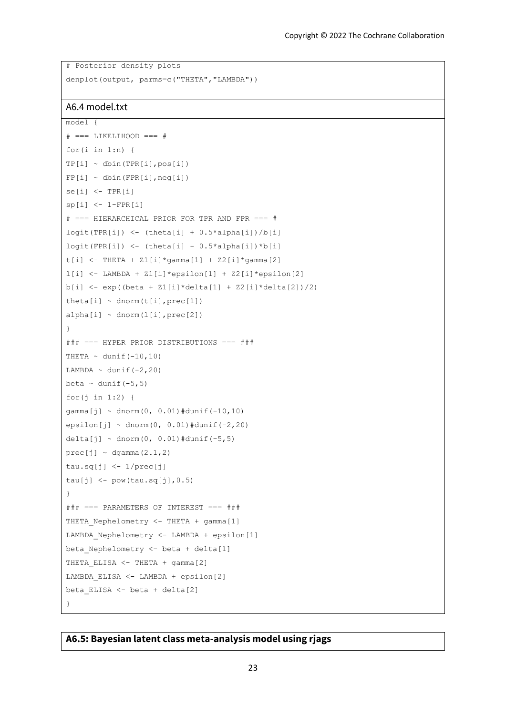```
# Posterior density plots
denplot(output, parms=c("THETA","LAMBDA"))
```
# A6.4 model.txt

```
model {
# == LIKELIHOOD === #for(i \text{ in } 1:n) {
TP[i] ~ ~ dbin(TPR[i], pos[i])FP[i] ~ ~ dbin(FPR[i], neg[i])
se[i] <- TPR[i]sp[i] <- 1-FPR[i]# === HIERARCHICAL PRIOR FOR TPR AND FPR === #
logit(TPR[i]) < - (theta[i] + 0.5*alpha[i]/b[i]logit(FPR[i]) \leq (theta[i] - 0.5*alpha[i]) *b[i]t[i] <- THETA + Z1[i]*gamma[1] + Z2[i]*gamma[2]
l[i] <- LAMBDA + Z1[i]*epsilon[1] + Z2[i]*epsilon[2]
b[i] <- exp((beta + Z1[i]*delta[1] + Z2[i]*delta[2])/2)
theta[i] \sim dnorm(t[i], prec[1])
alpha[i] \sim \text{dnorm}(l[i], \text{prec}[2])}
### === HYPER PRIOR DISTRIBUTIONS === ###
THETA \sim dunif (-10,10)
LAMBDA \sim dunif (-2,20)
beta \sim dunif (-5,5)
for(j in 1:2) {
gamma[j] ~ ~ dnorm(0, 0.01)#dunif(-10,10)
epsilon[j] ~ dnorm(0, 0.01)#dunif(-2,20)
delta[j] ~ dnorm(0, 0.01)#dunif(-5,5)
prec[i] \sim degamma(2.1, 2)tau.sq[j] <- 1/prec[j]
tau[j] <- pow(tau.sq[j], 0.5)
}
### === PARAMETERS OF INTEREST === ###
THETA Nephelometry <- THETA + gamma[1]
LAMBDA_Nephelometry <- LAMBDA + epsilon[1]
beta_Nephelometry <- beta + delta[1]
THETA ELISA <- THETA + gamma[2]
LAMBDA_ELISA <- LAMBDA + epsilon[2]
beta_ELISA <- beta + delta[2]
}
```
### **A6.5: Bayesian latent class meta-analysis model using rjags**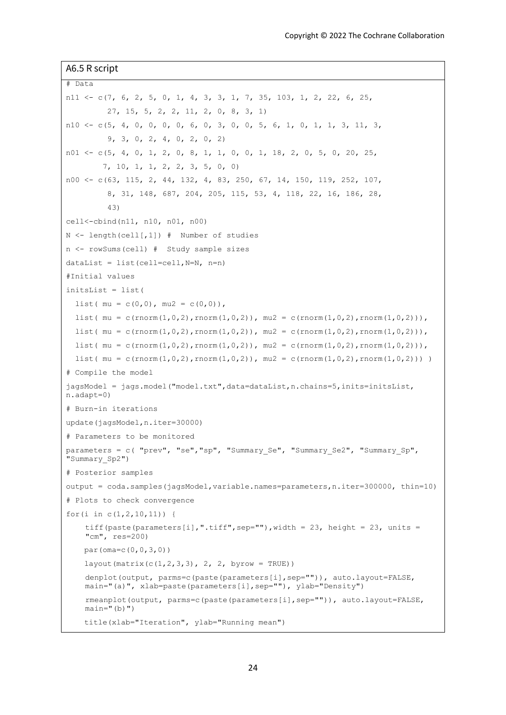A6.5 R script # Data n11  $\lt$  - c(7, 6, 2, 5, 0, 1, 4, 3, 3, 1, 7, 35, 103, 1, 2, 22, 6, 25, 27, 15, 5, 2, 2, 11, 2, 0, 8, 3, 1) n10  $\langle -c(5, 4, 0, 0, 0, 0, 6, 0, 3, 0, 0, 5, 6, 1, 0, 1, 1, 3, 11, 3,$  9, 3, 0, 2, 4, 0, 2, 0, 2)  $n01 \leftarrow c(5, 4, 0, 1, 2, 0, 8, 1, 1, 0, 0, 1, 18, 2, 0, 5, 0, 20, 25,$  7, 10, 1, 1, 2, 2, 3, 5, 0, 0) n00 <- c(63, 115, 2, 44, 132, 4, 83, 250, 67, 14, 150, 119, 252, 107, 8, 31, 148, 687, 204, 205, 115, 53, 4, 118, 22, 16, 186, 28, 43) cell<-cbind(n11, n10, n01, n00)  $N$  <- length(cell[,1]) # Number of studies n <- rowSums(cell) # Study sample sizes  $dataList = list(cellecell, N=N, n=n)$ #Initial values initsList = list( list(  $mu = c(0,0)$ ,  $mu2 = c(0,0)$ ), list(  $mu = c(rnorm(1,0,2),rnorm(1,0,2))$ ,  $mu2 = c(rnorm(1,0,2),rnorm(1,0,2))$ ,  $list( mu = c(rnorm(1, 0, 2), rnorm(1, 0, 2))$ ,  $mu2 = c(rnorm(1, 0, 2), rnorm(1, 0, 2))$ , list(  $mu = c(rnorm(1,0,2),rnorm(1,0,2))$ ,  $mu2 = c(rnorm(1,0,2),rnorm(1,0,2))$ ,  $list( mu = c(rnorm(1, 0, 2), rnorm(1, 0, 2)), mu2 = c(rnorm(1, 0, 2), rnorm(1, 0, 2)))$ # Compile the model jagsModel = jags.model("model.txt",data=dataList,n.chains=5,inits=initsList, n.adapt=0) # Burn-in iterations update(jagsModel,n.iter=30000) # Parameters to be monitored parameters = c( "prev", "se", "sp", "Summary Se", "Summary Se2", "Summary Sp", "Summary\_Sp2") # Posterior samples output = coda.samples(jagsModel,variable.names=parameters,n.iter=300000, thin=10) # Plots to check convergence for(i in c(1,2,10,11)) { tiff(paste(parameters[i],".tiff",sep=""),width = 23, height = 23, units = "cm", res=200) par(oma=c(0,0,3,0)) layout (matrix  $(c(1, 2, 3, 3), 2, 2,$  byrow = TRUE)) denplot(output, parms=c(paste(parameters[i],sep="")), auto.layout=FALSE, main="(a)", xlab=paste(parameters[i],sep=""), ylab="Density") rmeanplot(output, parms=c(paste(parameters[i],sep="")), auto.layout=FALSE,  $main="b">$ ") title(xlab="Iteration", ylab="Running mean")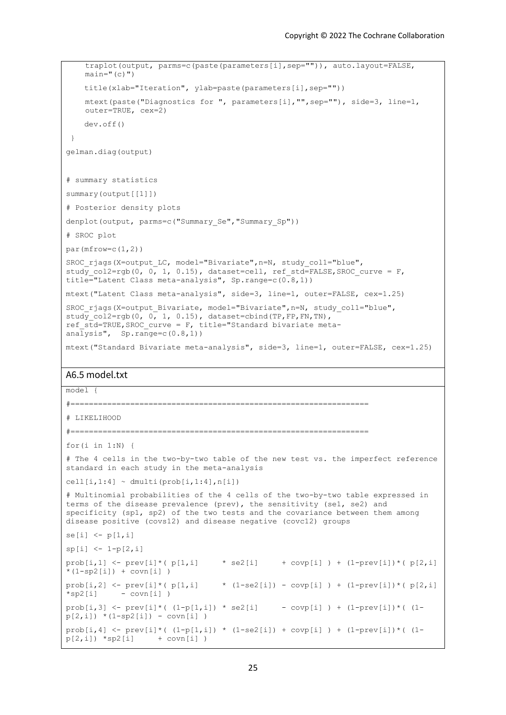```
traplot(output, parms=c(paste(parameters[i],sep="")), auto.layout=FALSE, 
    main="(c)" title(xlab="Iteration", ylab=paste(parameters[i],sep=""))
    mtext(paste("Diagnostics for ", parameters[i],"",sep=""), side=3, line=1, 
    outer=TRUE, cex=2)
     dev.off()
 }
gelman.diag(output)
# summary statistics
summary(output[[1]]) 
# Posterior density plots
denplot(output, parms=c("Summary Se","Summary Sp"))
# SROC plot
par(mfrow=c(1,2))
SROC_rjags(X=output_LC, model="Bivariate",n=N, study_col1="blue", 
study col2=rgb(0, 0, 1, 0.15), dataset=cell, ref_std=FALSE, SROC_curve = F,
title="Latent Class meta-analysis", Sp.range=c(0.8,1))
mtext("Latent Class meta-analysis", side=3, line=1, outer=FALSE, cex=1.25)
SROC_rjags(X=output_Bivariate, model="Bivariate",n=N, study_col1="blue", 
study col2=rgb(0, 0, 1, 0.15), dataset=cbind(TP,FP,FN,TN),
ref std = TRUE, SROC curve = F, title="Standard bivariate meta-
analysis", Sp.random=c(0.8,1))mtext("Standard Bivariate meta-analysis", side=3, line=1, outer=FALSE, cex=1.25)
A6.5 model.txt
model {
#=================================================================
# LIKELIHOOD
#=================================================================
for(i \text{ in } 1:N) {
# The 4 cells in the two-by-two table of the new test vs. the imperfect reference 
standard in each study in the meta-analysis
cell[i,1:4] \sim dmulti(prob[i,1:4],n[i])
# Multinomial probabilities of the 4 cells of the two-by-two table expressed in 
terms of the disease prevalence (prev), the sensitivity (sel, se2) and
specificity (sp1, sp2) of the two tests and the covariance between them among 
disease positive (covs12) and disease negative (covc12) groups
se[i] <- p[1,i]sp[i] < -1-p[2,i]prob[i,1] \leftarrow prev[i] * (p[1,i] \rightarrow se2[i] \rightarrow covp[i] ) + (1-prev[i]) * (p[2,i]*(1 - sp2[i]) + cov[i])prob[i,2] <- prev[i]*(p[1,i] * (1-se2[i]) - covp[i]) + (1-prev[i])*(p[2,i]*sp2[i] - covn[i] )
prob[i,3] \leq prev[i] * (1-p[1,i]) * sel[i] - covp[i] + (1-prev[i]) * (1-p[1,i])p[2, i]) * (1 - sp2[i]) - covn[i] )prob[i,4] \leq prev[i] * ( (1-p[1,i]) * (1-se2[i]) + cov[i]) * (1-prev[i]) * (1-p[2,i]) *sp2[i] + covn[i] )
```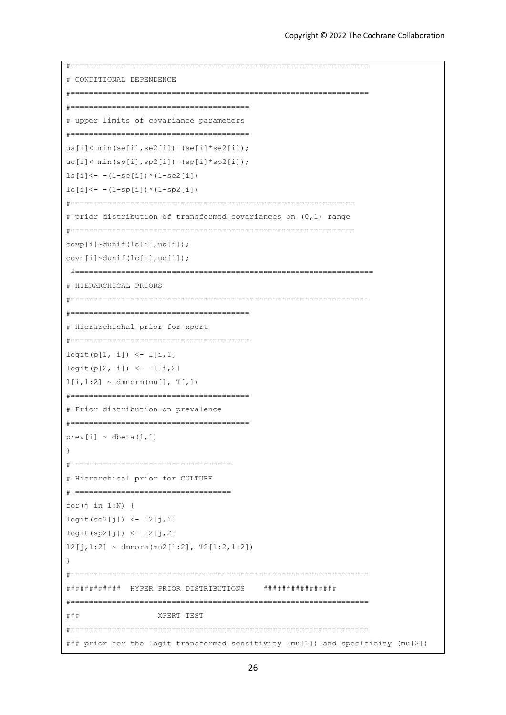```
#=================================================================
# CONDITIONAL DEPENDENCE
#=================================================================
#=======================================
# upper limits of covariance parameters
#=======================================
us[i]<-min(se[i],se2[i])-(se[i]*se2[i]);
uc[i] < -min(sp[i], sp2[i]) - (sp[i]*sp2[i]);
ls[i] < - (1-se[i]) * (1-se2[i])lc[i] < - (1-sp[i]) * (1-sp2[i])#==============================================================
# prior distribution of transformed covariances on (0,1) range
#==============================================================
covp[i]~dunif(ls[i],us[i]);
covn[i]~dunif(lc[i],uc[i]);
 #=================================================================
# HIERARCHICAL PRIORS
#=================================================================
#=======================================
# Hierarchichal prior for xpert
#=======================================
logit(p[1, i]) \le -1[i, 1]logit(p[2, i]) < -1[i, 2]l[i,1:2] \sim \text{dmnorm}(\text{mu}[], T[,])#=======================================
# Prior distribution on prevalence
#=======================================
prev[i] ~ ~ dbeta(1,1)}
# ==================================
# Hierarchical prior for CULTURE
# ==================================
for(j in 1:N {
logit(se2[j]) <- l2[j,1]
logit(sp2[j]) <- l2[j,2]
12[j,1:2] ~ dmnorm(mu2[1:2], T2[1:2,1:2])
}
#=================================================================
############ HYPER PRIOR DISTRIBUTIONS ################
#=================================================================
### XPERT TEST
#=================================================================
### prior for the logit transformed sensitivity (mu[1]) and specificity (mu[2])
```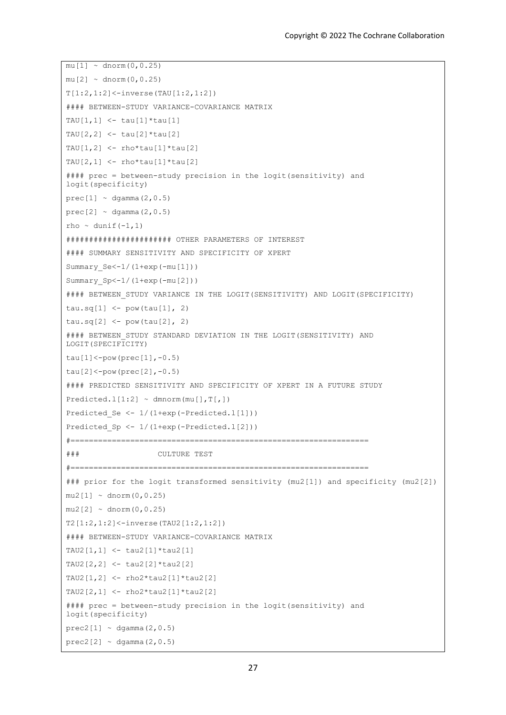```
mu[1] \sim \text{dnorm}(0, 0.25)mu[2] \sim \text{dnorm}(0, 0.25)T[1:2,1:2]<-inverse(TAU[1:2,1:2])
#### BETWEEN-STUDY VARIANCE-COVARIANCE MATRIX
TAU[1,1] <- tau[1]*tau[1]
TAU[2,2] <- tau[2]*tau[2]TAU[1,2] \leq rho*tau[1]*tau[2]TAU[2,1] <- rho*tau[1]*tau[2]#### prec = between-study precision in the logit(sensitivity) and 
logit(specificity)
prec[1] \sim dgamma(2, 0.5)prec[2] \sim \text{dgamma}(2, 0.5)rho \sim dunif (-1, 1)####################### OTHER PARAMETERS OF INTEREST
#### SUMMARY SENSITIVITY AND SPECIFICITY OF XPERT
Summary_Se<-1/(1+exp(-mu[1]))
Summary_Sp<-1/(1+exp(-mu[2]))
#### BETWEEN STUDY VARIANCE IN THE LOGIT(SENSITIVITY) AND LOGIT(SPECIFICITY)
tau.sq[1] <- pow(tau[1], 2)
tau.sq[2] <- pow(tau[2], 2)
#### BETWEEN STUDY STANDARD DEVIATION IN THE LOGIT(SENSITIVITY) AND
LOGIT(SPECIFICITY)
tau[1]<-pow(prec[1], -0.5)tau[2]<-pow(prec[2], -0.5)#### PREDICTED SENSITIVITY AND SPECIFICITY OF XPERT IN A FUTURE STUDY
Predicted.l[1:2] \sim dmnorm(mu[],T[,])
Predicted Se <- 1/(1+exp(-Predicted.l[1]))
Predicted Sp <- 1/(1+exp(-Predicted.l[2]))
#=================================================================
### CULTURE TEST
#=================================================================
### prior for the logit transformed sensitivity (mu2[1]) and specificity (mu2[2])
mu2[1] \sim \text{dnorm}(0, 0.25)mu2[2] \sim \text{dnorm}(0, 0.25)T2[1:2,1:2]<-inverse(TAU2[1:2,1:2])
#### BETWEEN-STUDY VARIANCE-COVARIANCE MATRIX
TAU2[1,1] <- tau2[1]*tau2[1]
TAU2[2,2] <- tau2[2]*tau2[2]
TAU2[1,2] <- rho2*tau2[1]*tau2[2]
TAU2[2,1] <- rho2*tau2[1]*tau2[2]
#### prec = between-study precision in the logit(sensitivity) and 
logit(specificity)
prec2[1] \sim \text{dgamma}(2,0.5)prec2[2] \sim \text{dgamma}(2,0.5)
```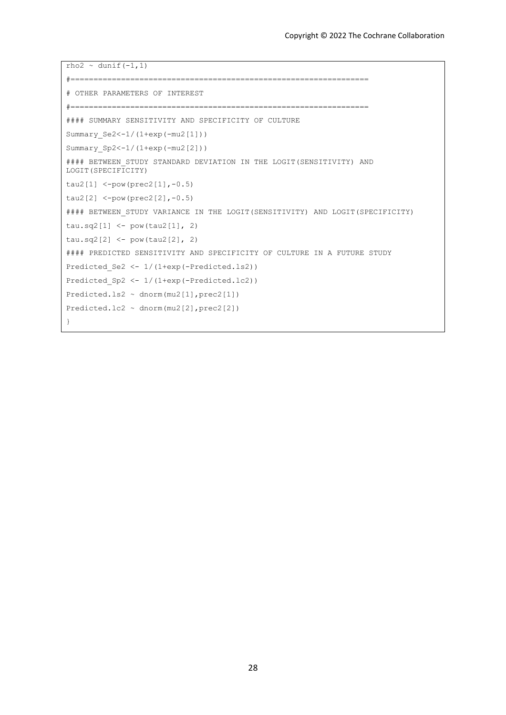```
rho2 \sim dunif (-1,1)#=================================================================
# OTHER PARAMETERS OF INTEREST
#=================================================================
#### SUMMARY SENSITIVITY AND SPECIFICITY OF CULTURE
Summary_Se2<-1/(1+exp(-mu2[1]))
Summary Sp2<-1/(1+exp(-mu2[2]))#### BETWEEN STUDY STANDARD DEVIATION IN THE LOGIT(SENSITIVITY) AND
LOGIT(SPECIFICITY)
tau2[1] <-pow(prec2[1],-0.5)
tau2[2] <-pow(prec2[2],-0.5)
#### BETWEEN STUDY VARIANCE IN THE LOGIT(SENSITIVITY) AND LOGIT(SPECIFICITY)
tau.sq2[1] <- pow(tau2[1], 2)
tau.sq2[2] < - pow (tau2[2], 2)
#### PREDICTED SENSITIVITY AND SPECIFICITY OF CULTURE IN A FUTURE STUDY
Predicted Se2 <- 1/(1+exp(-Predicted.ls2))
Predicted_Sp2 <- 1/(1+exp(-Predicted.lc2))
Predicted.ls2 ~ dnorm(mu2[1],prec2[1])
Predicted.lc2 ~ dnorm(mu2[2],prec2[2])
}
```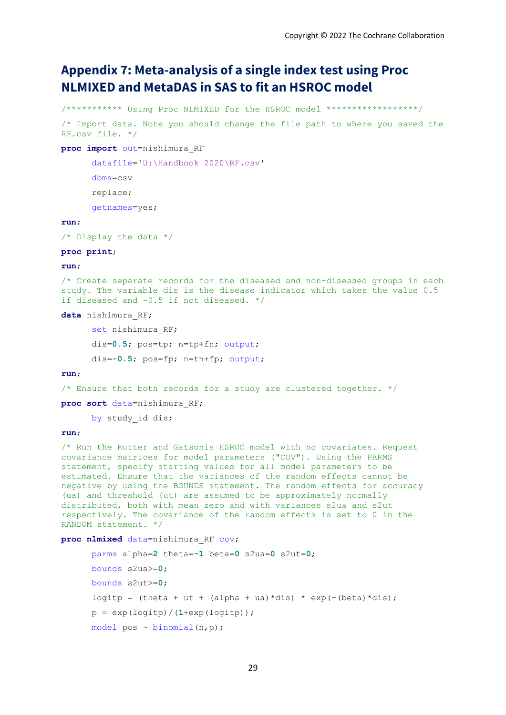# **Appendix 7: Meta-analysis of a single index test using Proc NLMIXED and MetaDAS in SAS to fit an HSROC model**

/\*\*\*\*\*\*\*\*\*\*\* Using Proc NLMIXED for the HSROC model \*\*\*\*\*\*\*\*\*\*\*\*\*\*\*\*\*\*/ /\* Import data. Note you should change the file path to where you saved the RF.csv file. \*/

#### **proc import** out=nishimura\_RF

datafile='U:\Handbook 2020\RF.csv'

```
dbms=csv
```
replace;

```
getnames=yes;
```
### **run**;

/\* Display the data \*/

#### **proc print**;

#### **run**;

/\* Create separate records for the diseased and non-diseased groups in each study. The variable dis is the disease indicator which takes the value 0.5 if diseased and -0.5 if not diseased. \*/

**data** nishimura\_RF;

set nishimura RF; dis=**0.5**; pos=tp; n=tp+fn; output; dis=-**0.5**; pos=fp; n=tn+fp; output;

#### **run**;

/\* Ensure that both records for a study are clustered together.  $*/$ 

**proc sort** data=nishimura\_RF;

by study id dis;

#### **run**;

/\* Run the Rutter and Gatsonis HSROC model with no covariates. Request covariance matrices for model parameters ("COV"). Using the PARMS statement, specify starting values for all model parameters to be estimated. Ensure that the variances of the random effects cannot be negative by using the BOUNDS statement. The random effects for accuracy (ua) and threshold (ut) are assumed to be approximately normally distributed, both with mean zero and with variances s2ua and s2ut respectively. The covariance of the random effects is set to 0 in the RANDOM statement. \*/

**proc nlmixed** data=nishimura\_RF cov;

```
parms alpha=2 theta=-1 beta=0 s2ua=0 s2ut=0;
bounds s2ua>=0;
bounds s2ut>=0;
logitp = (theta + ut + (alpha + ua) *dis) * exp(-(beta) *dis);
p = exp(logitp) / (1+exp(logitp));
model pos \sim binomial(n,p);
```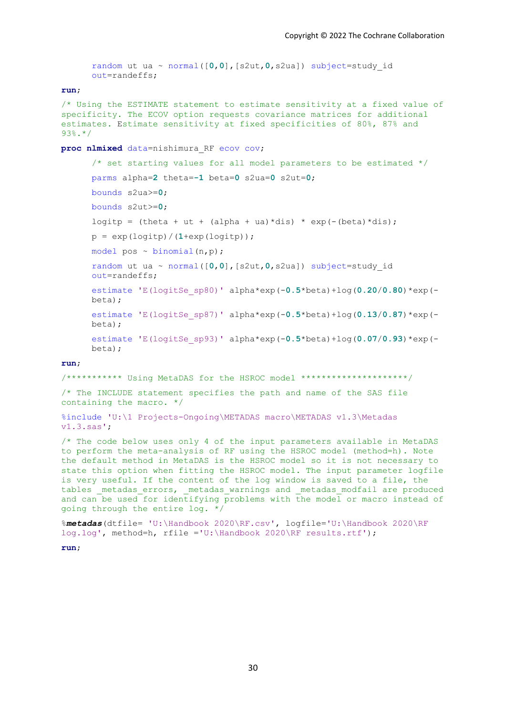```
random ut ua ~ normal([0,0],[s2ut,0,s2ua]) subject=study_id 
out=randeffs;
```
#### **run**;

```
/* Using the ESTIMATE statement to estimate sensitivity at a fixed value of 
specificity. The ECOV option requests covariance matrices for additional 
estimates. Estimate sensitivity at fixed specificities of 80%, 87% and 
93%.*/
```
#### **proc nlmixed** data=nishimura\_RF ecov cov;

```
/* set starting values for all model parameters to be estimated */
parms alpha=2 theta=-1 beta=0 s2ua=0 s2ut=0;
bounds s2ua>=0;
bounds s2ut>=0;
logitp = (theta + ut + (alpha + ua) *dis) * exp(-(beta) *dis);
p = exp(logitp) / (1+exp(logitp));
model pos \sim binomial(n,p);
random ut ua ~ normal([0,0],[s2ut,0,s2ua]) subject=study_id 
out=randeffs;
estimate 'E(logitSe_sp80)' alpha*exp(-0.5*beta)+log(0.20/0.80)*exp(-
beta);
estimate 'E(logitSe_sp87)' alpha*exp(-0.5*beta)+log(0.13/0.87)*exp(-
hat):
estimate 'E(logitSe_sp93)' alpha*exp(-0.5*beta)+log(0.07/0.93)*exp(-
beta);
```
#### **run**;

/\*\*\*\*\*\*\*\*\*\*\* Using MetaDAS for the HSROC model \*\*\*\*\*\*\*\*\*\*\*\*\*\*\*\*\*\*\*\*\*/

/\* The INCLUDE statement specifies the path and name of the SAS file containing the macro. \*/

```
%include 'U:\1 Projects-Ongoing\METADAS macro\METADAS v1.3\Metadas 
v1.3.sas';
```
/\* The code below uses only 4 of the input parameters available in MetaDAS to perform the meta-analysis of RF using the HSROC model (method=h). Note the default method in MetaDAS is the HSROC model so it is not necessary to state this option when fitting the HSROC model. The input parameter logfile is very useful. If the content of the log window is saved to a file, the tables metadas errors, metadas warnings and metadas modfail are produced and can be used for identifying problems with the model or macro instead of going through the entire log. \*/

```
%metadas(dtfile= 'U:\Handbook 2020\RF.csv', logfile='U:\Handbook 2020\RF 
log.log', method=h, rfile ='U:\Handbook 2020\RF results.rtf');
```
**run**;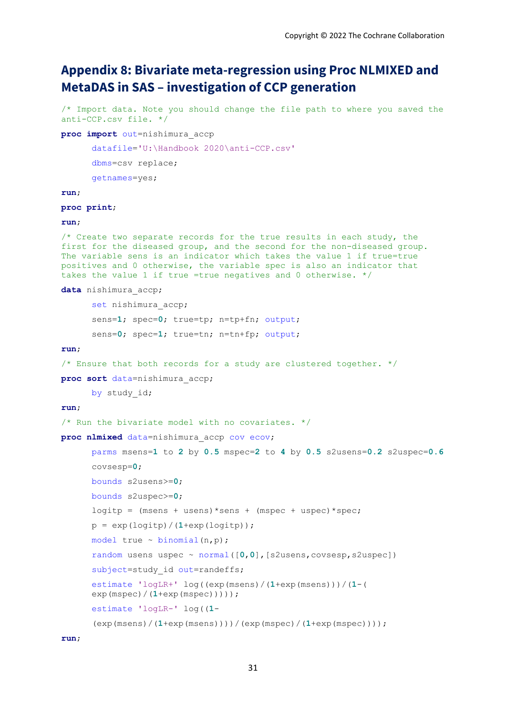# **Appendix 8: Bivariate meta-regression using Proc NLMIXED and MetaDAS in SAS – investigation of CCP generation**

/\* Import data. Note you should change the file path to where you saved the anti-CCP.csv file. \*/

```
proc import out=nishimura_accp
```
datafile='U:\Handbook 2020\anti-CCP.csv'

dbms=csv replace;

getnames=yes;

#### **run**;

### **proc print**;

### **run**;

/\* Create two separate records for the true results in each study, the first for the diseased group, and the second for the non-diseased group. The variable sens is an indicator which takes the value 1 if true=true positives and 0 otherwise, the variable spec is also an indicator that takes the value 1 if true =true negatives and 0 otherwise. \*/

#### **data** nishimura\_accp;

```
set nishimura accp;
sens=1; spec=0; true=tp; n=tp+fn; output;
sens=0; spec=1; true=tn; n=tn+fp; output;
```
#### **run**;

```
/* Ensure that both records for a study are clustered together. */
```
**proc sort** data=nishimura\_accp;

by study id;

#### **run**;

```
/* Run the bivariate model with no covariates. */
```
**proc nlmixed** data=nishimura\_accp cov ecov;

```
parms msens=1 to 2 by 0.5 mspec=2 to 4 by 0.5 s2usens=0.2 s2uspec=0.6
covsesp=0;
bounds s2usens>=0;
bounds s2uspec>=0;
logitp = (msens + usens) * sens + (mspec + uspec) * spec;p = exp(logitp) / (1+exp(logitp));
model true \sim binomial(n,p);
random usens uspec ~ normal([0,0],[s2usens,covsesp,s2uspec])
subject=study id out=randeffs;
estimate 'logLR+' log((exp(msens)/(1+exp(msens)))/(1-(
exp(mspec)/(1+exp(mspec)))));
estimate 'logLR-' log((1-
(exp(msens)/(1+exp(msens))))/(exp(mspec)/(1+exp(mspec))));
```
**run**;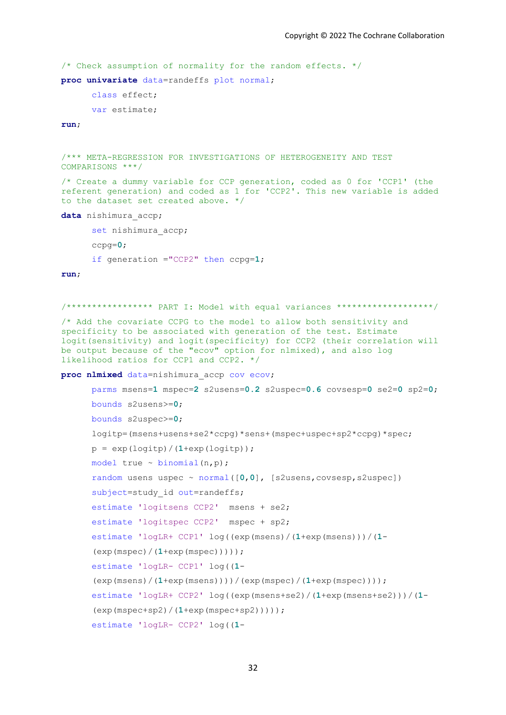/\* Check assumption of normality for the random effects. \*/

**proc univariate** data=randeffs plot normal;

```
class effect;
var estimate;
```
**run**;

```
/*** META-REGRESSION FOR INVESTIGATIONS OF HETEROGENEITY AND TEST 
COMPARISONS ***/
/* Create a dummy variable for CCP generation, coded as 0 for 'CCP1' (the 
referent generation) and coded as 1 for 'CCP2'. This new variable is added 
to the dataset set created above. */
data nishimura_accp; 
      set nishimura accp;
      ccpg=0;
      if generation ="CCP2" then ccpg=1;
```
**run**;

```
/***************** PART I: Model with equal variances *******************/
```
/\* Add the covariate CCPG to the model to allow both sensitivity and specificity to be associated with generation of the test. Estimate logit(sensitivity) and logit(specificity) for CCP2 (their correlation will be output because of the "ecov" option for nlmixed), and also log likelihood ratios for CCP1 and CCP2. \*/

**proc nlmixed** data=nishimura\_accp cov ecov;

```
parms msens=1 mspec=2 s2usens=0.2 s2uspec=0.6 covsesp=0 se2=0 sp2=0;
 bounds s2usens>=0;
 bounds s2uspec>=0;
 logitp=(msens+usens+se2*ccpg)*sens+(mspec+uspec+sp2*ccpg)*spec;
p = exp(logitp) / (1+exp(logitp));
model true \sim binomial(n,p);
 random usens uspec ~ normal([0,0], [s2usens,covsesp,s2uspec]) 
subject=study id out=randeffs;
estimate 'logitsens CCP2' msens + se2;
estimate 'logitspec CCP2' mspec + sp2;
estimate 'logLR+ CCP1' log((exp(msens)/(1+exp(msens)))/(1-
(exp(mspec)/(1+exp(mspec)))));
estimate 'logLR- CCP1' log((1-
(exp(msens)/(1+exp(msens))))/(exp(mspec)/(1+exp(mspec))));
estimate 'logLR+ CCP2' log((exp(msens+se2)/(1+exp(msens+se2)))/(1-
(exp(mspec+sp2)/(1+exp(mspec+sp2)))));
estimate 'logLR- CCP2' log((1-
```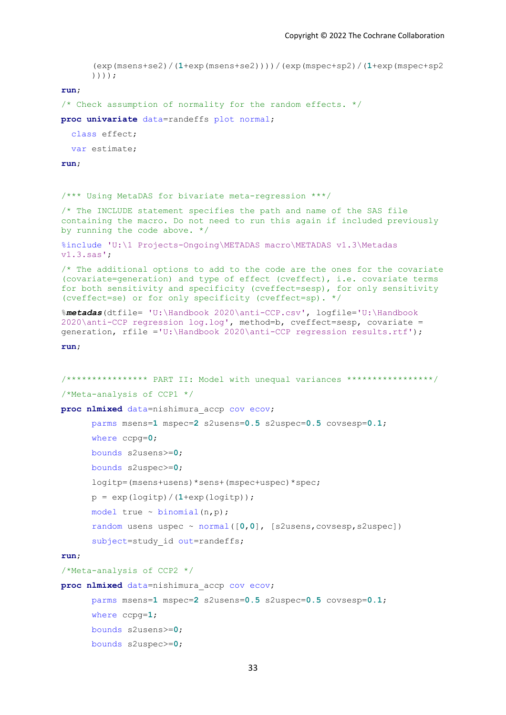```
(exp(msens+se2)/(1+exp(msens+se2))))/(exp(mspec+sp2)/(1+exp(mspec+sp2
      ))));
run;
/* Check assumption of normality for the random effects. */
proc univariate data=randeffs plot normal;
   class effect;
  var estimate;
run;
/*** Using MetaDAS for bivariate meta-regression ***/
/* The INCLUDE statement specifies the path and name of the SAS file 
containing the macro. Do not need to run this again if included previously 
by running the code above. */
%include 'U:\1 Projects-Ongoing\METADAS macro\METADAS v1.3\Metadas 
v1.3.sas';
/* The additional options to add to the code are the ones for the covariate
(covariate=generation) and type of effect (cveffect), i.e. covariate terms 
for both sensitivity and specificity (cveffect=sesp), for only sensitivity 
(cveffect=se) or for only specificity (cveffect=sp). */
%metadas(dtfile= 'U:\Handbook 2020\anti-CCP.csv', logfile='U:\Handbook 
2020\anti-CCP regression log.log', method=b, cveffect=sesp, covariate = 
generation, rfile ='U:\Handbook 2020\anti-CCP regression results.rtf');
run;
/**************** PART II: Model with unequal variances *****************/
/*Meta-analysis of CCP1 */
proc nlmixed data=nishimura_accp cov ecov;
      parms msens=1 mspec=2 s2usens=0.5 s2uspec=0.5 covsesp=0.1;
      where ccpg=0;
       bounds s2usens>=0;
       bounds s2uspec>=0;
       logitp=(msens+usens)*sens+(mspec+uspec)*spec;
      p = exp(logitp) / (1+exp(logitp));
      model true \sim binomial(n,p);
       random usens uspec ~ normal([0,0], [s2usens,covsesp,s2uspec]) 
      subject=study id out=randeffs;
run;
/*Meta-analysis of CCP2 */
proc nlmixed data=nishimura_accp cov ecov;
      parms msens=1 mspec=2 s2usens=0.5 s2uspec=0.5 covsesp=0.1;
      where ccpg=1;
       bounds s2usens>=0;
       bounds s2uspec>=0;
```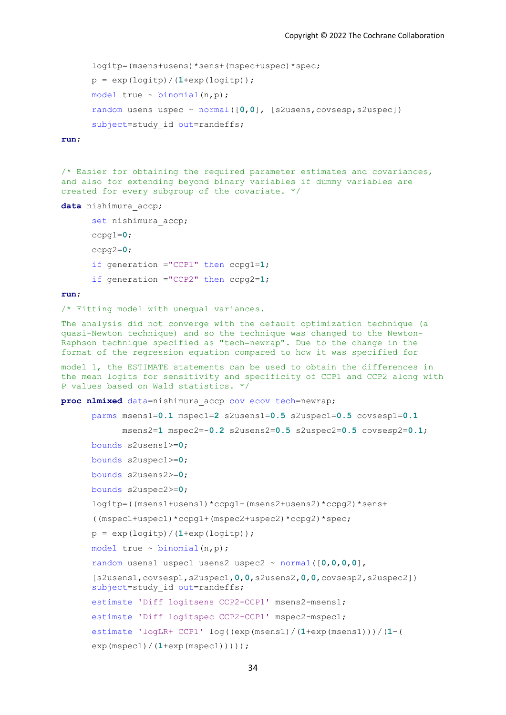```
 logitp=(msens+usens)*sens+(mspec+uspec)*spec;
p = exp(logitp) / (1+exp(logitp));
model true \sim binomial(n, p);
 random usens uspec ~ normal([0,0], [s2usens,covsesp,s2uspec]) 
subject=study id out=randeffs;
```
**run**;

/\* Easier for obtaining the required parameter estimates and covariances, and also for extending beyond binary variables if dummy variables are created for every subgroup of the covariate. \*/

**data** nishimura\_accp;

```
set nishimura accp;
ccpg1=0;
ccpg2=0;
if generation ="CCP1" then ccpg1=1; 
if generation ="CCP2" then ccpg2=1;
```
#### **run**;

/\* Fitting model with unequal variances.

The analysis did not converge with the default optimization technique (a quasi-Newton technique) and so the technique was changed to the Newton-Raphson technique specified as "tech=newrap". Due to the change in the format of the regression equation compared to how it was specified for

model 1, the ESTIMATE statements can be used to obtain the differences in the mean logits for sensitivity and specificity of CCP1 and CCP2 along with P values based on Wald statistics. \*/

**proc nlmixed** data=nishimura\_accp cov ecov tech=newrap;

```
parms msens1=0.1 mspec1=2 s2usens1=0.5 s2uspec1=0.5 covsesp1=0.1
      msens2=1 mspec2=-0.2 s2usens2=0.5 s2uspec2=0.5 covsesp2=0.1;
 bounds s2usens1>=0;
 bounds s2uspec1>=0;
 bounds s2usens2>=0;
 bounds s2uspec2>=0;
logitp=((msens1+usens1)*ccpg1+(msens2+usens2)*ccpg2)*sens+
((mspec1+uspec1)*ccpg1+(mspec2+uspec2)*ccpg2)*spec;
p = exp(logitp) / (1+exp(logitp));
model true \sim binomial(n,p);
random usens1 uspec1 usens2 uspec2 ~ normal([0,0,0,0], 
[s2usens1,covsesp1,s2uspec1,0,0,s2usens2,0,0,covsesp2,s2uspec2]) 
subject=study id out=randeffs;
estimate 'Diff logitsens CCP2-CCP1' msens2-msens1;
estimate 'Diff logitspec CCP2-CCP1' mspec2-mspec1;
estimate 'logLR+ CCP1' log((exp(msens1)/(1+exp(msens1)))/(1-(
exp(mspec1)/(1+exp(mspec1)))));
```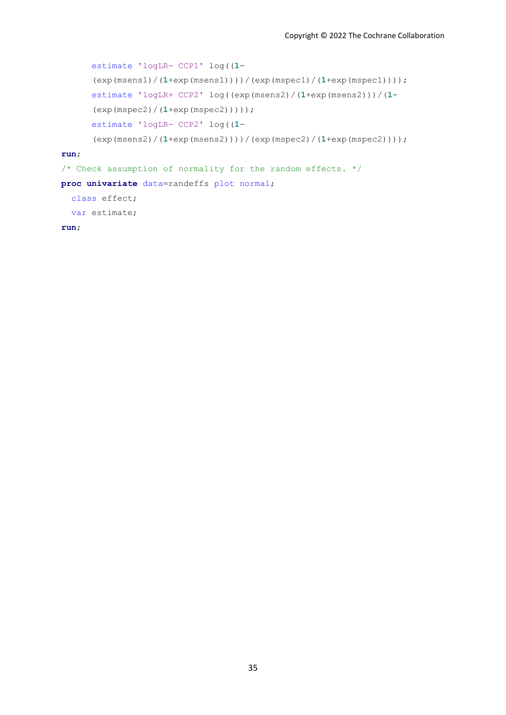```
estimate 'logLR- CCP1' log((1-
      (exp(msens1)/(1+exp(msens1))))/(exp(mspec1)/(1+exp(mspec1))));
      estimate 'logLR+ CCP2' log((exp(msens2)/(1+exp(msens2)))/(1-
      (exp(mspec2)/(1+exp(mspec2)))));
      estimate 'logLR- CCP2' log((1-
      (exp(msens2)/(1+exp(msens2))))/(exp(mspec2)/(1+exp(mspec2))));
run;
/* Check assumption of normality for the random effects. */
proc univariate data=randeffs plot normal;
  class effect;
```
var estimate;

**run**;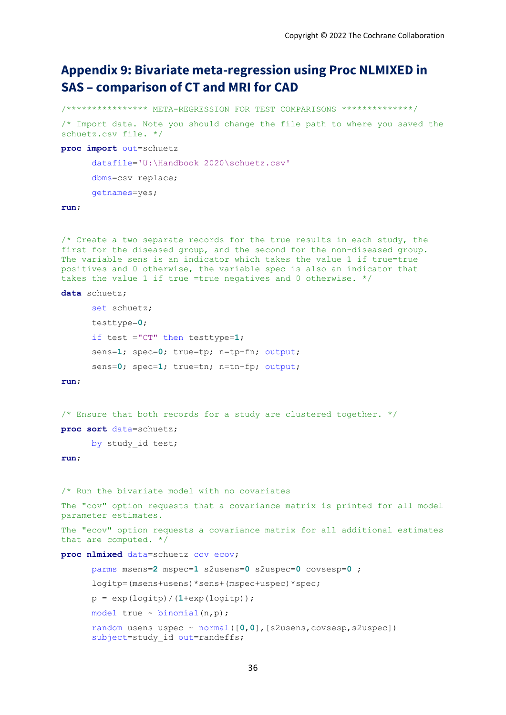# **Appendix 9: Bivariate meta-regression using Proc NLMIXED in SAS – comparison of CT and MRI for CAD**

```
/**************** META-REGRESSION FOR TEST COMPARISONS **************/
/* Import data. Note you should change the file path to where you saved the 
schuetz.csv file. */
proc import out=schuetz
      datafile='U:\Handbook 2020\schuetz.csv'
      dbms=csv replace;
      getnames=yes;
run;
```
/\* Create a two separate records for the true results in each study, the first for the diseased group, and the second for the non-diseased group. The variable sens is an indicator which takes the value 1 if true=true positives and 0 otherwise, the variable spec is also an indicator that takes the value 1 if true =true negatives and 0 otherwise. \*/

```
data schuetz;
```

```
set schuetz;
testtype=0;
if test ="CT" then testtype=1;
sens=1; spec=0; true=tp; n=tp+fn; output;
sens=0; spec=1; true=tn; n=tn+fp; output;
```
**run**;

/\* Ensure that both records for a study are clustered together.  $*/$ 

**proc sort** data=schuetz;

by study id test;

**run**;

/\* Run the bivariate model with no covariates

```
The "cov" option requests that a covariance matrix is printed for all model 
parameter estimates.
```
The "ecov" option requests a covariance matrix for all additional estimates that are computed. \*/

**proc nlmixed** data=schuetz cov ecov;

```
parms msens=2 mspec=1 s2usens=0 s2uspec=0 covsesp=0 ;
logitp=(msens+usens)*sens+(mspec+uspec)*spec;
p = exp(logitp)/(1+exp(logitp)); 
model true \sim binomial(n,p);
random usens uspec ~ normal([0,0],[s2usens,covsesp,s2uspec]) 
subject=study id out=randeffs;
```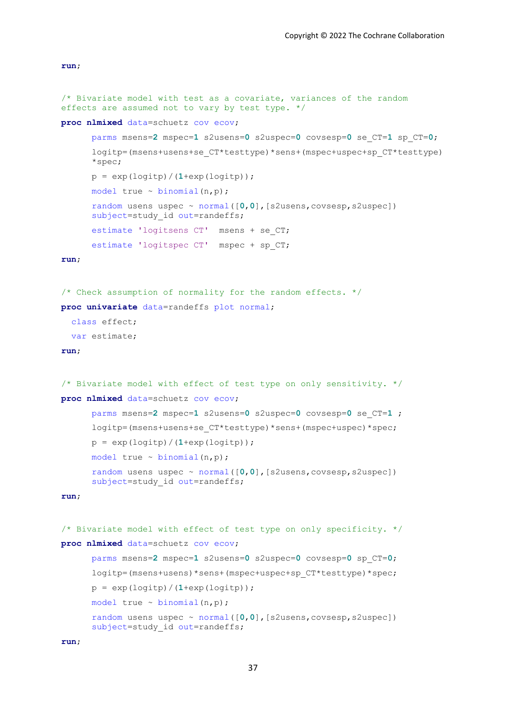**run**;

```
/* Bivariate model with test as a covariate, variances of the random 
effects are assumed not to vary by test type. */
proc nlmixed data=schuetz cov ecov;
      parms msens=2 mspec=1 s2usens=0 s2uspec=0 covsesp=0 se_CT=1 sp_CT=0;
```

```
logitp=(msens+usens+se_CT*testtype)*sens+(mspec+uspec+sp_CT*testtype)
*spec;
p = exp(logitp) / (1+exp(logitp));
model true \sim binomial(n,p);
random usens uspec ~ normal([0,0],[s2usens,covsesp,s2uspec]) 
subject=study id out=randeffs;
estimate 'logitsens CT' msens + se_CT;
estimate 'logitspec CT' mspec + sp_CT;
```
#### **run**;

```
/* Check assumption of normality for the random effects. */
proc univariate data=randeffs plot normal;
```

```
 class effect;
```
var estimate;

### **run**;

```
/* Bivariate model with effect of test type on only sensitivity. */
proc nlmixed data=schuetz cov ecov;
      parms msens=2 mspec=1 s2usens=0 s2uspec=0 covsesp=0 se_CT=1 ;
      logitp=(msens+usens+se_CT*testtype)*sens+(mspec+uspec)*spec;
      p = exp(logitp) / (1+exp(logitp));
      model true \sim binomial(n,p);
      random usens uspec ~ normal([0,0],[s2usens,covsesp,s2uspec]) 
      subject=study id out=randeffs;
run;
```

```
/* Bivariate model with effect of test type on only specificity. */
proc nlmixed data=schuetz cov ecov;
      parms msens=2 mspec=1 s2usens=0 s2uspec=0 covsesp=0 sp_CT=0;
      logitp=(msens+usens)*sens+(mspec+uspec+sp_CT*testtype)*spec;
      p = exp(logitp) / (1+exp(logitp));
      model true \sim binomial(n,p);
      random usens uspec ~ normal([0,0],[s2usens,covsesp,s2uspec]) 
      subject=study id out=randeffs;
```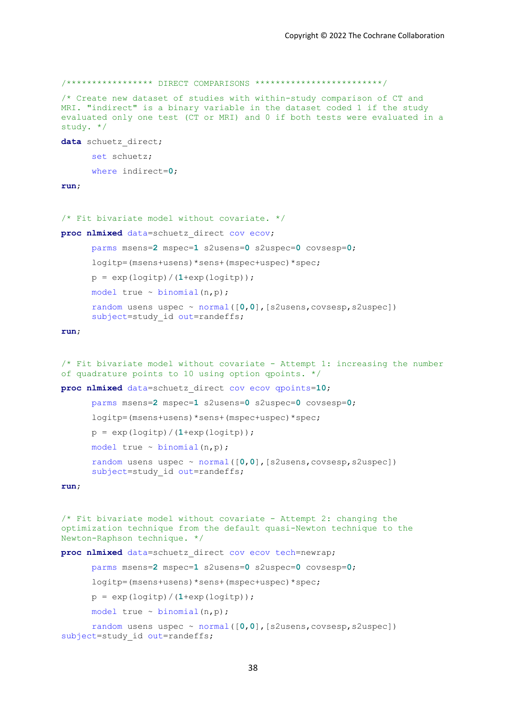```
/***************** DIRECT COMPARISONS *************************/
/* Create new dataset of studies with within-study comparison of CT and 
MRI. "indirect" is a binary variable in the dataset coded 1 if the study 
evaluated only one test (CT or MRI) and 0 if both tests were evaluated in a 
study. */
data schuetz_direct;
      set schuetz;
      where indirect=0;
run;
/* Fit bivariate model without covariate. */
proc nlmixed data=schuetz_direct cov ecov;
      parms msens=2 mspec=1 s2usens=0 s2uspec=0 covsesp=0;
      logitp=(msens+usens)*sens+(mspec+uspec)*spec;
      p = exp(logitp) / (1+exp(logitp));
      model true \sim binomial(n,p);
      random usens uspec ~ normal([0,0],[s2usens,covsesp,s2uspec]) 
      subject=study id out=randeffs;
run;
/* Fit bivariate model without covariate - Attempt 1: increasing the number
of quadrature points to 10 using option qpoints. */
proc nlmixed data=schuetz_direct cov ecov qpoints=10;
      parms msens=2 mspec=1 s2usens=0 s2uspec=0 covsesp=0;
      logitp=(msens+usens)*sens+(mspec+uspec)*spec;
      p = exp(logitp) / (1+exp(logitp));
      model true \sim binomial(n,p);
      random usens uspec ~ normal([0,0],[s2usens,covsesp,s2uspec]) 
      subject=study id out=randeffs;
run;
/* Fit bivariate model without covariate - Attempt 2: changing the 
optimization technique from the default quasi-Newton technique to the 
Newton-Raphson technique. */
proc nlmixed data=schuetz_direct cov ecov tech=newrap;
      parms msens=2 mspec=1 s2usens=0 s2uspec=0 covsesp=0;
      logitp=(msens+usens)*sens+(mspec+uspec)*spec;
      p = exp(logitp) / (1+exp(logitp));
      model true ~ binomial(n,p);
      random usens uspec ~ normal([0,0],[s2usens,covsesp,s2uspec]) 
subject=study id out=randeffs;
```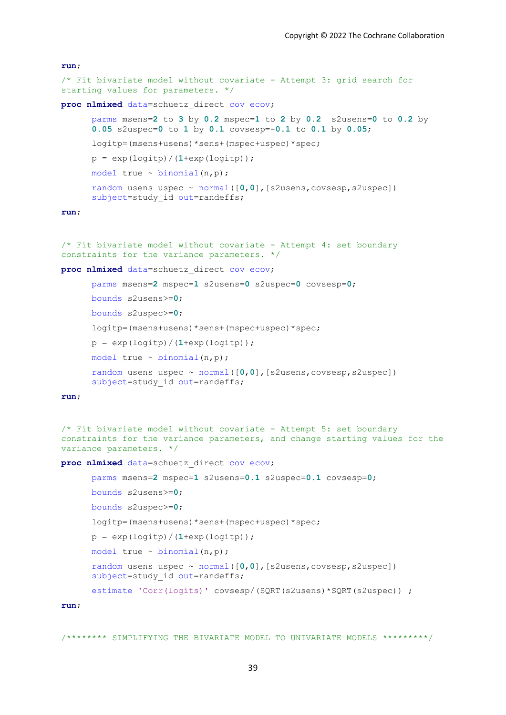# **run**; /\* Fit bivariate model without covariate - Attempt 3: grid search for starting values for parameters. \*/ **proc nlmixed** data=schuetz\_direct cov ecov; parms msens=**2** to **3** by **0.2** mspec=**1** to **2** by **0.2** s2usens=**0** to **0.2** by **0.05** s2uspec=**0** to **1** by **0.1** covsesp=-**0.1** to **0.1** by **0.05**; logitp=(msens+usens)\*sens+(mspec+uspec)\*spec;  $p = exp(logitp) / (1+exp(logitp))$ ; model true  $\sim$  binomial(n,p); random usens uspec ~ normal([**0**,**0**],[s2usens,covsesp,s2uspec]) subject=study id out=randeffs; **run**; /\* Fit bivariate model without covariate - Attempt 4: set boundary **proc nlmixed** data=schuetz\_direct cov ecov; parms msens=**2** mspec=**1** s2usens=**0** s2uspec=**0** covsesp=**0**; bounds s2usens>=**0**; bounds s2uspec>=**0**;

```
constraints for the variance parameters. */
```
logitp=(msens+usens)\*sens+(mspec+uspec)\*spec;

```
p = exp(logitp) / (1+exp(logitp));
```

```
model true ~ binomial(n,p);
```

```
random usens uspec ~ normal([0,0],[s2usens,covsesp,s2uspec]) 
subject=study id out=randeffs;
```
#### **run**;

```
/* Fit bivariate model without covariate - Attempt 5: set boundary 
constraints for the variance parameters, and change starting values for the 
variance parameters. */
```
**proc nlmixed** data=schuetz\_direct cov ecov;

```
parms msens=2 mspec=1 s2usens=0.1 s2uspec=0.1 covsesp=0;
bounds s2usens>=0;
bounds s2uspec>=0;
logitp=(msens+usens)*sens+(mspec+uspec)*spec;
p = exp(logitp) / (1+exp(logitp));
model true \sim binomial(n,p);
random usens uspec ~ normal([0,0],[s2usens,covsesp,s2uspec]) 
subject=study id out=randeffs;
estimate 'Corr(logits)' covsesp/(SQRT(s2usens)*SQRT(s2uspec)) ;
```
**run**;

/\*\*\*\*\*\*\*\* SIMPLIFYING THE BIVARIATE MODEL TO UNIVARIATE MODELS \*\*\*\*\*\*\*\*\*/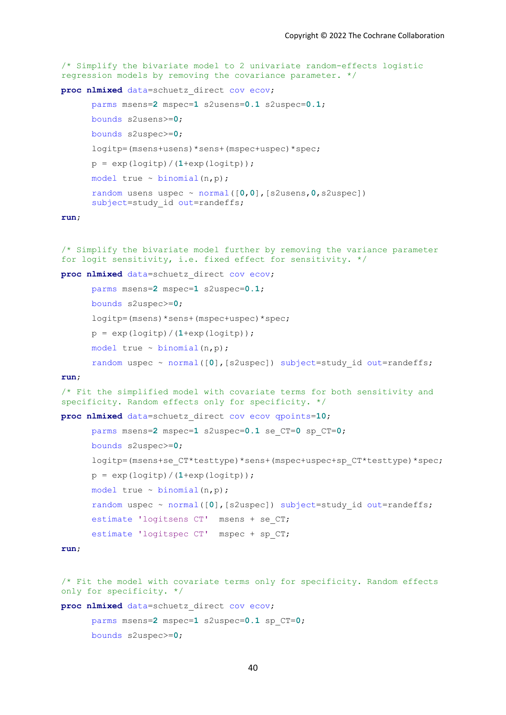```
/* Simplify the bivariate model to 2 univariate random-effects logistic 
regression models by removing the covariance parameter. */
```
**proc nlmixed** data=schuetz\_direct cov ecov;

```
parms msens=2 mspec=1 s2usens=0.1 s2uspec=0.1;
```

```
bounds s2usens>=0;
bounds s2uspec>=0;
logitp=(msens+usens)*sens+(mspec+uspec)*spec;
p = exp(logitp) / (1+exp(logitp));
model true \sim binomial(n,p);
random usens uspec ~ normal([0,0],[s2usens,0,s2uspec]) 
subject=study id out=randeffs;
```
#### **run**;

/\* Simplify the bivariate model further by removing the variance parameter for logit sensitivity, i.e. fixed effect for sensitivity. \*/

**proc nlmixed** data=schuetz\_direct cov ecov;

```
parms msens=2 mspec=1 s2uspec=0.1;
bounds s2uspec>=0;
logitp=(msens)*sens+(mspec+uspec)*spec;
p = exp(logitp) / (1+exp(logitp));
model true \sim binomial(n,p);
random uspec ~ normal([0], [s2uspec]) subject=study id out=randeffs;
```
#### **run**;

```
/* Fit the simplified model with covariate terms for both sensitivity and 
specificity. Random effects only for specificity. */
```

```
proc nlmixed data=schuetz_direct cov ecov qpoints=10;
```

```
parms msens=2 mspec=1 s2uspec=0.1 se_CT=0 sp_CT=0;
```

```
bounds s2uspec>=0;
```

```
logitp=(msens+se_CT*testtype)*sens+(mspec+uspec+sp_CT*testtype)*spec;
```

```
model true \sim binomial(n,p);
```
 $p = exp(logitp) / (1+exp(logitp))$ ;

```
random uspec ~ normal([0], [s2uspec]) subject=study id out=randeffs;
```

```
estimate 'logitsens CT' msens + se_CT;
```

```
estimate 'logitspec CT' mspec + sp_CT;
```

```
/* Fit the model with covariate terms only for specificity. Random effects
only for specificity. */
```

```
proc nlmixed data=schuetz_direct cov ecov;
```

```
parms msens=2 mspec=1 s2uspec=0.1 sp_CT=0;
bounds s2uspec>=0;
```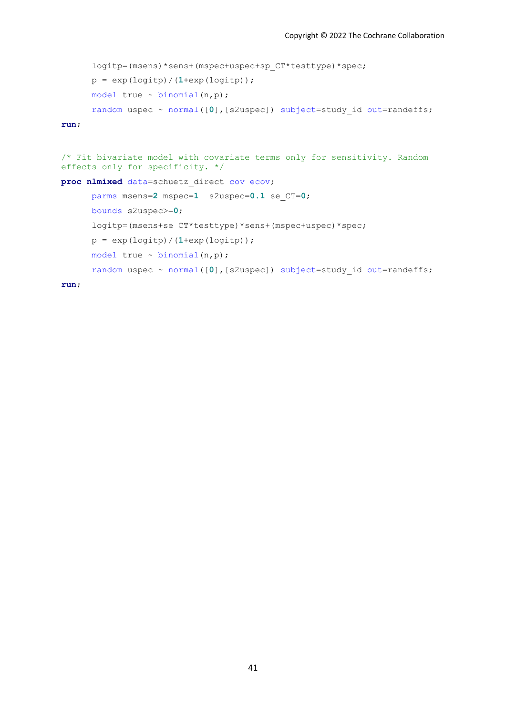```
logitp=(msens)*sens+(mspec+uspec+sp_CT*testtype)*spec;
p = exp(logitp) / (1+exp(logitp));
model true \sim binomial(n,p);
random uspec ~ normal([0], [s2uspec]) subject=study id out=randeffs;
```
**run**;

```
/* Fit bivariate model with covariate terms only for sensitivity. Random 
effects only for specificity. */
proc nlmixed data=schuetz_direct cov ecov;
      parms msens=2 mspec=1 s2uspec=0.1 se_CT=0;
      bounds s2uspec>=0;
      logitp=(msens+se_CT*testtype)*sens+(mspec+uspec)*spec;
      p = exp(logitp) / (1+exp(logitp));
      model true \sim binomial(n,p);
      random uspec ~ normal([0],[s2uspec]) subject=study id out=randeffs;
```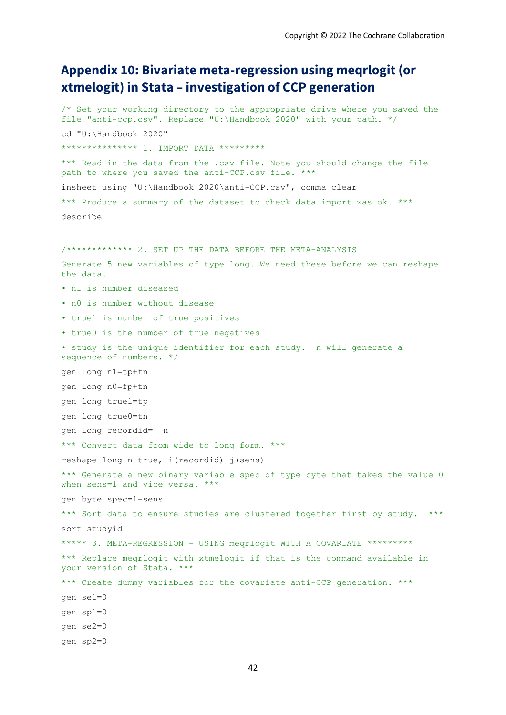# **Appendix 10: Bivariate meta-regression using meqrlogit (or xtmelogit) in Stata – investigation of CCP generation**

/\* Set your working directory to the appropriate drive where you saved the file "anti-ccp.csv". Replace "U:\Handbook 2020" with your path. \*/ cd "U:\Handbook 2020" \*\*\*\*\*\*\*\*\*\*\*\*\*\* 1. IMPORT DATA \*\*\*\*\*\*\*\*\* \*\*\* Read in the data from the .csv file. Note you should change the file path to where you saved the anti-CCP.csv file. \*\*\* insheet using "U:\Handbook 2020\anti-CCP.csv", comma clear \*\*\* Produce a summary of the dataset to check data import was ok. \*\*\* describe /\*\*\*\*\*\*\*\*\*\*\*\*\* 2. SET UP THE DATA BEFORE THE META-ANALYSIS Generate 5 new variables of type long. We need these before we can reshape the data. • n1 is number diseased • n0 is number without disease • true1 is number of true positives • true0 is the number of true negatives • study is the unique identifier for each study. n will generate a sequence of numbers. \*/ gen long n1=tp+fn gen long n0=fp+tn gen long true1=tp gen long true0=tn gen long recordid= \_n \*\*\* Convert data from wide to long form. \*\*\* reshape long n true, i(recordid) j(sens) \*\*\* Generate a new binary variable spec of type byte that takes the value 0 when sens=1 and vice versa. \*\*\* gen byte spec=1-sens \*\*\* Sort data to ensure studies are clustered together first by study. \*\*\* sort studyid \*\*\*\*\* 3. META-REGRESSION - USING meqrlogit WITH A COVARIATE \*\*\*\*\*\*\*\*\* \*\*\* Replace meqrlogit with xtmelogit if that is the command available in your version of Stata. \*\*\* \*\*\* Create dummy variables for the covariate anti-CCP generation. \*\*\* gen se1=0 gen sp1=0 gen se2=0 gen sp2=0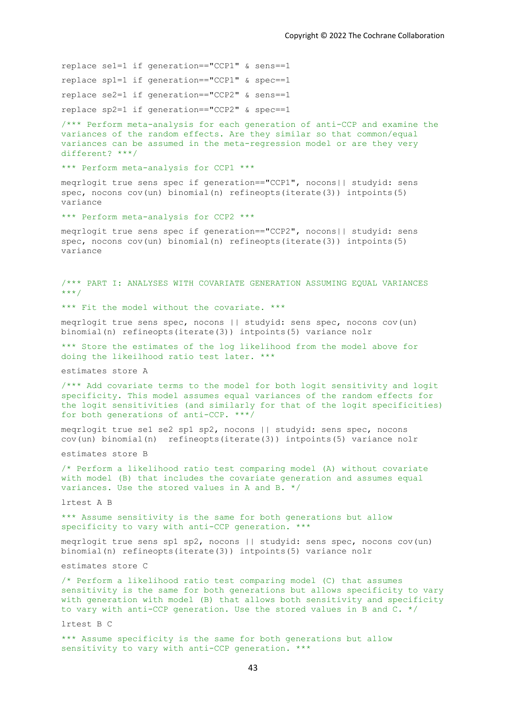replace se1=1 if generation=="CCP1" & sens==1 replace sp1=1 if generation=="CCP1" & spec==1 replace se2=1 if generation=="CCP2" & sens==1 replace sp2=1 if generation=="CCP2" & spec==1

/\*\*\* Perform meta-analysis for each generation of anti-CCP and examine the variances of the random effects. Are they similar so that common/equal variances can be assumed in the meta-regression model or are they very different? \*\*\*/

\*\*\* Perform meta-analysis for CCP1 \*\*\*

meqrlogit true sens spec if generation=="CCP1", nocons|| studyid: sens spec, nocons cov(un) binomial(n) refineopts(iterate(3)) intpoints(5) variance

\*\*\* Perform meta-analysis for CCP2 \*\*\*

meqrlogit true sens spec if generation=="CCP2", nocons|| studyid: sens spec, nocons cov(un) binomial(n) refineopts(iterate(3)) intpoints(5) variance

/\*\*\* PART I: ANALYSES WITH COVARIATE GENERATION ASSUMING EQUAL VARIANCES \*\*\*/

\*\*\* Fit the model without the covariate. \*\*\*

meqrlogit true sens spec, nocons || studyid: sens spec, nocons cov(un) binomial(n) refineopts(iterate(3)) intpoints(5) variance nolr

\*\*\* Store the estimates of the log likelihood from the model above for doing the likeilhood ratio test later. \*\*\*

estimates store A

/\*\*\* Add covariate terms to the model for both logit sensitivity and logit specificity. This model assumes equal variances of the random effects for the logit sensitivities (and similarly for that of the logit specificities) for both generations of anti-CCP. \*\*\*/

meqrlogit true se1 se2 sp1 sp2, nocons || studyid: sens spec, nocons cov(un) binomial(n) refineopts(iterate(3)) intpoints(5) variance nolr

estimates store B

/\* Perform a likelihood ratio test comparing model (A) without covariate with model (B) that includes the covariate generation and assumes equal variances. Use the stored values in A and B. \*/

lrtest A B

\*\*\* Assume sensitivity is the same for both generations but allow specificity to vary with anti-CCP generation. \*\*\*

meqrlogit true sens sp1 sp2, nocons || studyid: sens spec, nocons cov(un) binomial(n) refineopts(iterate(3)) intpoints(5) variance nolr

estimates store C

/\* Perform a likelihood ratio test comparing model (C) that assumes sensitivity is the same for both generations but allows specificity to vary with generation with model (B) that allows both sensitivity and specificity to vary with anti-CCP generation. Use the stored values in B and C. \*/

lrtest B C

\*\*\* Assume specificity is the same for both generations but allow sensitivity to vary with anti-CCP generation. \*\*\*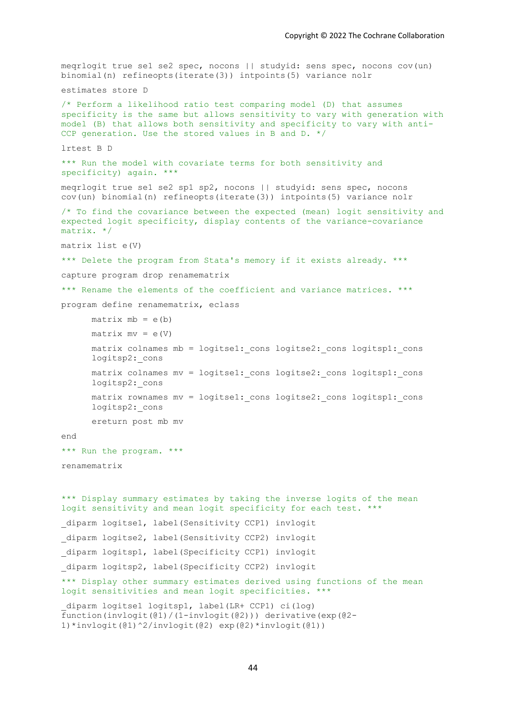```
meqrlogit true se1 se2 spec, nocons || studyid: sens spec, nocons cov(un) 
binomial(n) refineopts(iterate(3)) intpoints(5) variance nolr
estimates store D
/* Perform a likelihood ratio test comparing model (D) that assumes 
specificity is the same but allows sensitivity to vary with generation with 
model (B) that allows both sensitivity and specificity to vary with anti-
CCP generation. Use the stored values in B and D. */
lrtest B D 
*** Run the model with covariate terms for both sensitivity and
specificity) again. ***
meqrlogit true se1 se2 sp1 sp2, nocons || studyid: sens spec, nocons 
cov(un) binomial(n) refineopts(iterate(3)) intpoints(5) variance nolr
/* To find the covariance between the expected (mean) logit sensitivity and 
expected logit specificity, display contents of the variance-covariance 
matrix. */
matrix list e(V) 
*** Delete the program from Stata's memory if it exists already. ***
capture program drop renamematrix
*** Rename the elements of the coefficient and variance matrices. ***
program define renamematrix, eclass
      matrix mb = e(b)matrix mv = e(V)matrix colnames mb = logitse1: cons logitse2: cons logitsp1: cons
      logitsp2:_cons 
      matrix colnames mv = logitse1: cons logitse2: cons logitsp1: cons
      logitsp2:_cons 
      matrix rownames mv = logitse1: cons logitse2: cons logitsp1: cons
      logitsp2:_cons 
      ereturn post mb mv
end
*** Run the program. ***
renamematrix
*** Display summary estimates by taking the inverse logits of the mean 
logit sensitivity and mean logit specificity for each test. ***
diparm logitse1, label(Sensitivity CCP1) invlogit
diparm logitse2, label(Sensitivity CCP2) invlogit
diparm logitsp1, label(Specificity CCP1) invlogit
_diparm logitsp2, label(Specificity CCP2) invlogit 
*** Display other summary estimates derived using functions of the mean 
logit sensitivities and mean logit specificities. ***
_diparm logitse1 logitsp1, label(LR+ CCP1) ci(log) 
function(invlogit(@1)/(1-invlogit(@2))) derivative(exp(@2-
```

```
1)*invlogit(@1)^2/invlogit(@2) exp(@2)*invlogit(@1))
```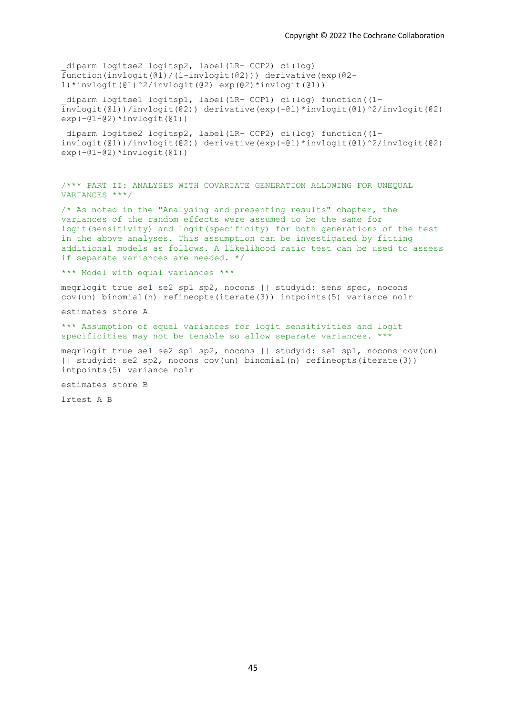diparm logitse2 logitsp2, label(LR+ CCP2) ci(log) function(invlogit(@1)/(1-invlogit(@2))) derivative(exp(@2- 1)\*invlogit(@1)^2/invlogit(@2) exp(@2)\*invlogit(@1))

\_diparm logitse1 logitsp1, label(LR- CCP1) ci(log) function((1 invlogit(@1))/invlogit(@2)) derivative(exp(-@1)\*invlogit(@1)^2/invlogit(@2)  $exp(-01-02) * invlogit(01))$ 

\_diparm logitse2 logitsp2, label(LR- CCP2) ci(log) function((1 invlogit(@1))/invlogit(@2)) derivative(exp(-@1)\*invlogit(@1)^2/invlogit(@2)  $exp(-@1-@2)*invlogit(@1))$ 

/\*\*\* PART II: ANALYSES WITH COVARIATE GENERATION ALLOWING FOR UNEQUAL VARIANCES \*\*\*/

/\* As noted in the "Analysing and presenting results" chapter, the variances of the random effects were assumed to be the same for logit(sensitivity) and logit(specificity) for both generations of the test in the above analyses. This assumption can be investigated by fitting additional models as follows. A likelihood ratio test can be used to assess if separate variances are needed. \*/

\*\*\* Model with equal variances \*\*\*

meqrlogit true se1 se2 sp1 sp2, nocons || studyid: sens spec, nocons cov(un) binomial(n) refineopts(iterate(3)) intpoints(5) variance nolr

estimates store A

\*\*\* Assumption of equal variances for logit sensitivities and logit specificities may not be tenable so allow separate variances. \*\*\*

meqrlogit true se1 se2 sp1 sp2, nocons || studyid: se1 sp1, nocons cov(un) || studyid: se2 sp2, nocons cov(un) binomial(n) refineopts(iterate(3)) intpoints(5) variance nolr

estimates store B

lrtest A B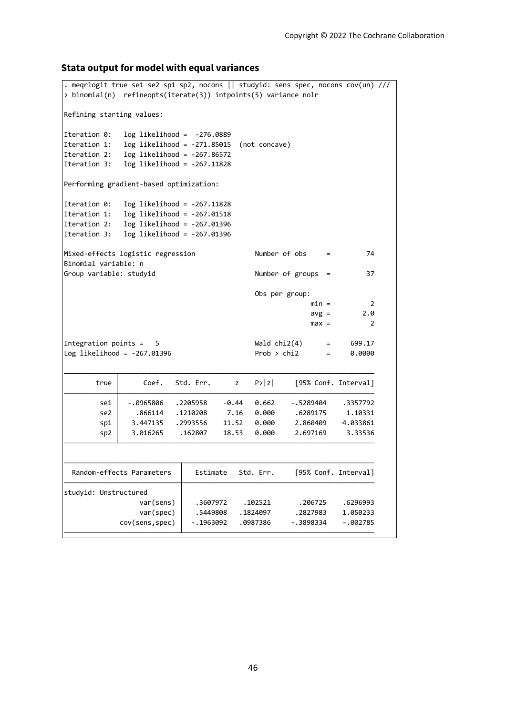### **Stata output for model with equal variances**

```
cov(sens,spec) -.1963092 .0987386 -.3898334 -.002785
                var(spec) .5449808 .1824097 .2827983 1.050233
                var(sens) .3607972 .102521 .206725 .6296993
studyid: Unstructured
 Random-effects Parameters | Estimate Std. Err. [95% Conf. Interval]
       sp2 3.016265 .162807 18.53 0.000 2.697169 3.33536
       sp1 3.447135 .2993556 11.52 0.000 2.860409 4.033861
       se2 .866114 .1210208 7.16 0.000 .6289175 1.10331
       se1 -.0965806 .2205958 -0.44 0.662 -.5289404 .3357792
      true \begin{vmatrix} \text{Coeff.} & \text{Std. Err.} & \text{Z} & \text{P>}|\text{Z} \end{vmatrix} [95% Conf. Interval]
Log\text{ likelihood} = -267.01396 Prob > chi2 = 0.0000
Integration points = 5 Wald chi2(4) = 699.17max = 2
                                                     avg = 2.0min = 2Obs per group:
Group variable: studyid and the Number of groups = 37
Binomial variable: n
Mixed-effects logistic regression Number of obs = 74
Iteration 3: log likelihood = -267.01396
Iteration 2: log likelihood = -267.01396
Iteration 1: log likelihood = -267.01518
Iteration 0: log likelihood = -267.11828
Performing gradient-based optimization:
Iteration 3: log likelihood = -267.11828
Iteration 2: log likelihood = -267.86572
Iteration 1: log likelihood = -271.85015 (not concave)
Iteration 0: log likelihood = -276.0889
Refining starting values:
> binomial(n) refineopts(iterate(3)) intpoints(5) variance nolr
. meqrlogit true se1 se2 sp1 sp2, nocons || studyid: sens spec, nocons cov(un) ///
```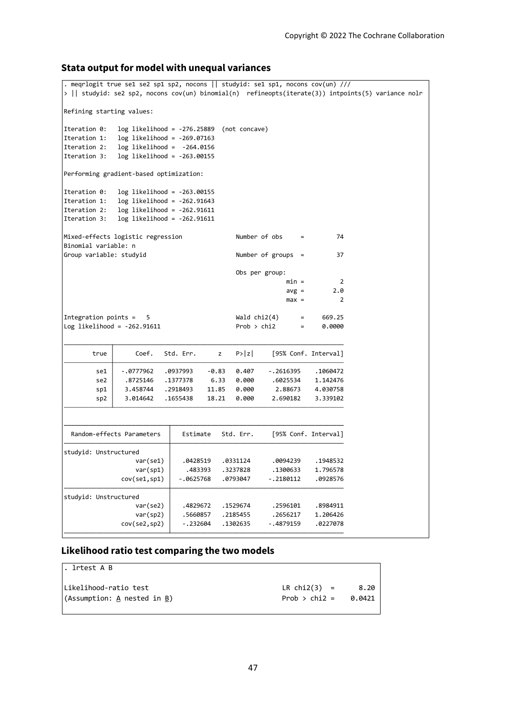### **Stata output for model with unequal variances**

```
cov(se2,sp2) -.232604 .1302635 -.4879159 .0227078
                 var(sp2) .5660857 .2185455 .2656217 1.206426
                 var(se2) .4829672 .1529674 .2596101 .8984911
studyid: Unstructured
              cov(se1,sp1) -.0625768 .0793047 -.2180112 .0928576
                 var(sp1) \vert .483393 .3237828 .1300633 1.796578
                 var(se1) .0428519 .0331124 .0094239 .1948532
studyid: Unstructured
  Random-effects Parameters | Estimate Std. Err. [95% Conf. Intervall
        sp2 3.014642 .1655438 18.21 0.000 2.690182 3.339102
        sp1 3.458744 .2918493 11.85 0.000 2.88673 4.030758
        se2 .8725146 .1377378 6.33 0.000 .6025534 1.142476
        se1 -.0777962 .0937993 -0.83 0.407 -.2616395 .1060472
       true Coef. Std. Err. z P>|z| [95% Conf. Interval]
Log likelihood = -262.91611   Prob > chi2   = 0.0000
Integration points = 5 Wald chi2(4) = 669.25max = 2avg = 2.0min = 2Obs per group:
Group variable: studyid Q and Q and Q are Q are Q are Q are Q are Q are Q are Q are Q are Q are Q are Q are Q are Q are Q are Q are Q are Q are Q are Q are Q are Q are Q ar
Binomial variable: n
Mixed-effects logistic regression Number of obs = 74
Iteration 3: log likelihood = -262.91611Iteration 2: log likelihood = -262.91611
Iteration 1: log likelihood = -262.91643
Iteration 0: log likelihood = -263.00155
Performing gradient-based optimization:
Iteration 3: log likelihood = -263.00155Iteration 2: log likelihood = -264.0156
Iteration 1: log likelihood = -269.07163
Iteration 0: log likelihood = -276.25889 (not concave)
Refining starting values:
> || studyid: se2 sp2, nocons cov(un) binomial(n) refineopts(iterate(3)) intpoints(5) variance nolr
. meqrlogit true se1 se2 sp1 sp2, nocons || studyid: se1 sp1, nocons cov(un) ///
```
### **Likelihood ratio test comparing the two models**

| l. lrtest A B                   |                 |        |
|---------------------------------|-----------------|--------|
| Likelihood-ratio test           | LR $chi2(3)$ =  | 8.20   |
| $ $ (Assumption: A nested in B) | Prob $>$ chi2 = | 0.0421 |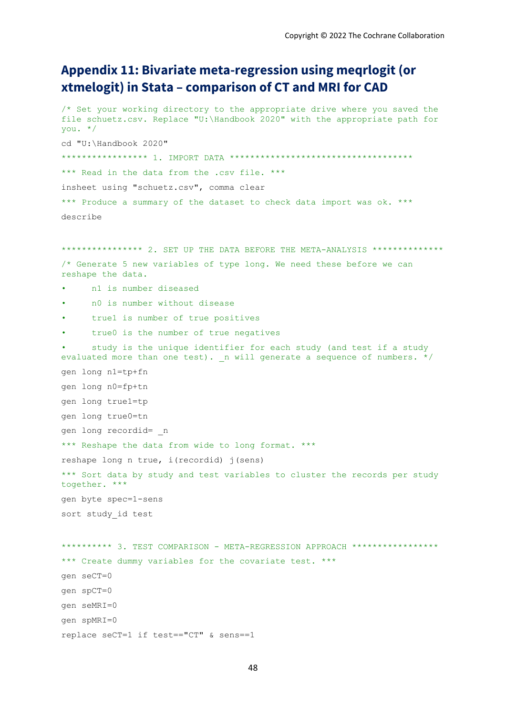# **Appendix 11: Bivariate meta-regression using meqrlogit (or xtmelogit) in Stata – comparison of CT and MRI for CAD**

/\* Set your working directory to the appropriate drive where you saved the file schuetz.csv. Replace "U:\Handbook 2020" with the appropriate path for you. \*/ cd "U:\Handbook 2020" \*\*\*\*\*\*\*\*\*\*\*\*\*\*\*\*\* 1. IMPORT DATA \*\*\*\*\*\*\*\*\*\*\*\*\*\*\*\*\*\*\*\*\*\*\*\*\*\*\*\*\*\*\*\*\*\*\*\* \*\*\* Read in the data from the .csv file. \*\*\* insheet using "schuetz.csv", comma clear \*\*\* Produce a summary of the dataset to check data import was ok. \*\*\* describe

\*\*\*\*\*\*\*\*\*\*\*\*\*\*\*\* 2. SET UP THE DATA BEFORE THE META-ANALYSIS \*\*\*\*\*\*\*\*\*\*\*\*\*\*\* /\* Generate 5 new variables of type long. We need these before we can reshape the data.

- n1 is number diseased
- n0 is number without disease
- true1 is number of true positives
- true0 is the number of true negatives

study is the unique identifier for each study (and test if a study evaluated more than one test).  $n$  will generate a sequence of numbers. \*/ gen long n1=tp+fn gen long n0=fp+tn gen long true1=tp gen long true0=tn gen long recordid= \_n \*\*\* Reshape the data from wide to long format. \*\*\* reshape long n true, i(recordid) j(sens) \*\*\* Sort data by study and test variables to cluster the records per study together. \*\*\* gen byte spec=1-sens sort study\_id test

\*\*\*\*\*\*\*\*\*\* 3. TEST COMPARISON - META-REGRESSION APPROACH \*\*\*\*\*\*\*\*\*\*\*\*\*\*\*\*\* \*\*\* Create dummy variables for the covariate test. \*\*\* gen seCT=0 gen spCT=0 gen seMRI=0 gen spMRI=0 replace seCT=1 if test=="CT" & sens==1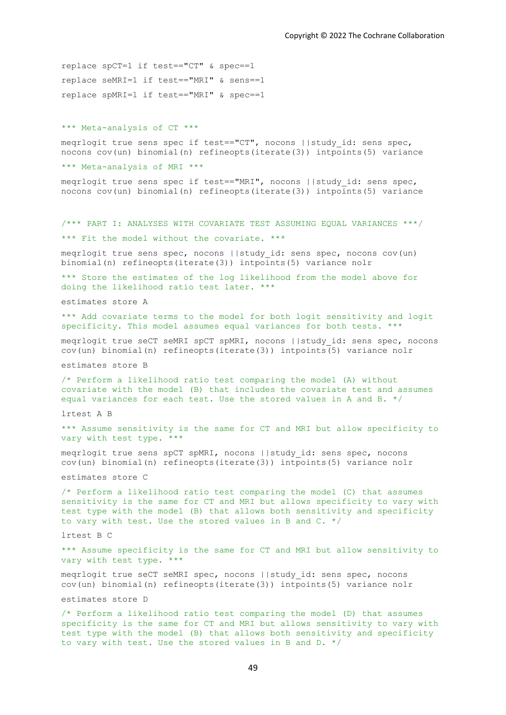replace spCT=1 if test=="CT" & spec==1 replace seMRI=1 if test=="MRI" & sens==1 replace spMRI=1 if test=="MRI" & spec==1

#### \*\*\* Meta-analysis of CT \*\*\*

meqrlogit true sens spec if test=="CT", nocons ||study\_id: sens spec, nocons cov(un) binomial(n) refineopts(iterate(3)) intpoints(5) variance

\*\*\* Meta-analysis of MRI \*\*\*

meqrlogit true sens spec if test=="MRI", nocons ||study\_id: sens spec, nocons cov(un) binomial(n) refineopts(iterate(3)) intpoints(5) variance

/\*\*\* PART I: ANALYSES WITH COVARIATE TEST ASSUMING EQUAL VARIANCES \*\*\*/

\*\*\* Fit the model without the covariate. \*\*\*

meqrlogit true sens spec, nocons ||study\_id: sens spec, nocons cov(un) binomial(n) refineopts(iterate(3)) intpoints(5) variance nolr

\*\*\* Store the estimates of the log likelihood from the model above for doing the likelihood ratio test later. \*\*\*

estimates store A

\*\*\* Add covariate terms to the model for both logit sensitivity and logit specificity. This model assumes equal variances for both tests. \*\*\*

meqrlogit true seCT seMRI spCT spMRI, nocons ||study\_id: sens spec, nocons cov(un) binomial(n) refineopts(iterate(3)) intpoints(5) variance nolr

estimates store B

/\* Perform a likelihood ratio test comparing the model (A) without covariate with the model (B) that includes the covariate test and assumes equal variances for each test. Use the stored values in A and B. \*/

lrtest A B

\*\*\* Assume sensitivity is the same for CT and MRI but allow specificity to vary with test type. \*\*\*

meqrlogit true sens spCT spMRI, nocons ||study\_id: sens spec, nocons cov(un) binomial(n) refineopts(iterate(3)) intpoints(5) variance nolr

estimates store C

/\* Perform a likelihood ratio test comparing the model (C) that assumes sensitivity is the same for CT and MRI but allows specificity to vary with test type with the model (B) that allows both sensitivity and specificity to vary with test. Use the stored values in B and C. \*/

lrtest B C

\*\*\* Assume specificity is the same for CT and MRI but allow sensitivity to vary with test type. \*\*\*

meqrlogit true seCT seMRI spec, nocons ||study\_id: sens spec, nocons cov(un) binomial(n) refineopts(iterate(3)) intpoints(5) variance nolr

estimates store D

/\* Perform a likelihood ratio test comparing the model (D) that assumes specificity is the same for CT and MRI but allows sensitivity to vary with test type with the model (B) that allows both sensitivity and specificity to vary with test. Use the stored values in B and D.  $*/$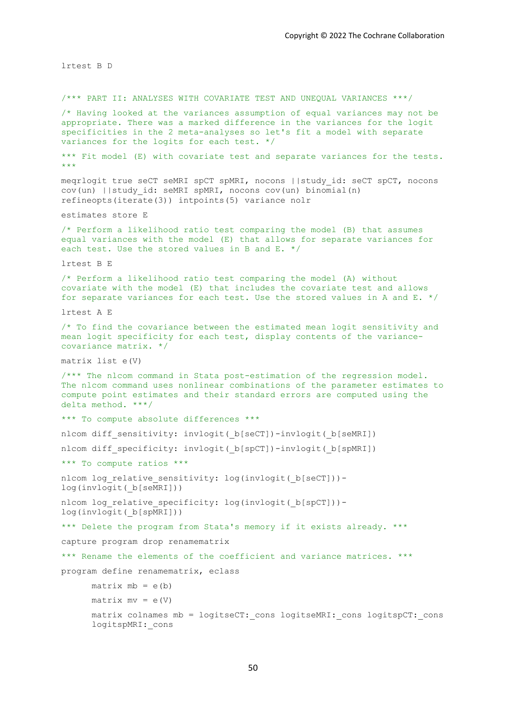lrtest B D /\*\*\* PART II: ANALYSES WITH COVARIATE TEST AND UNEQUAL VARIANCES \*\*\*/ /\* Having looked at the variances assumption of equal variances may not be appropriate. There was a marked difference in the variances for the logit specificities in the 2 meta-analyses so let's fit a model with separate variances for the logits for each test. \*/ \*\*\* Fit model (E) with covariate test and separate variances for the tests. \*\*\* meqrlogit true seCT seMRI spCT spMRI, nocons ||study\_id: seCT spCT, nocons cov(un) ||study\_id: seMRI spMRI, nocons cov(un) binomial(n) refineopts(iterate(3)) intpoints(5) variance nolr estimates store E /\* Perform a likelihood ratio test comparing the model (B) that assumes equal variances with the model (E) that allows for separate variances for each test. Use the stored values in B and E. \*/ lrtest B E /\* Perform a likelihood ratio test comparing the model (A) without covariate with the model (E) that includes the covariate test and allows for separate variances for each test. Use the stored values in A and E. \*/ lrtest A E /\* To find the covariance between the estimated mean logit sensitivity and mean logit specificity for each test, display contents of the variancecovariance matrix. \*/ matrix list e(V) /\*\*\* The nlcom command in Stata post-estimation of the regression model. The nlcom command uses nonlinear combinations of the parameter estimates to compute point estimates and their standard errors are computed using the delta method. \*\*\*/ \*\*\* To compute absolute differences \*\*\* nlcom diff\_sensitivity: invlogit(\_b[seCT])-invlogit(\_b[seMRI]) nlcom diff specificity: invlogit( b[spCT])-invlogit( b[spMRI]) \*\*\* To compute ratios \*\*\* nlcom log relative sensitivity: log(invlogit( b[seCT]))log(invlogit(\_b[seMRI])) nlcom log relative specificity: log(invlogit( b[spCT]))log(invlogit( b[spMRI])) \*\*\* Delete the program from Stata's memory if it exists already. \*\*\* capture program drop renamematrix \*\*\* Rename the elements of the coefficient and variance matrices. \*\*\* program define renamematrix, eclass  $matrix mb = e(b)$  $matrix mv = e(V)$ matrix colnames mb = logitseCT: cons logitseMRI: cons logitspCT: cons logitspMRI:\_cons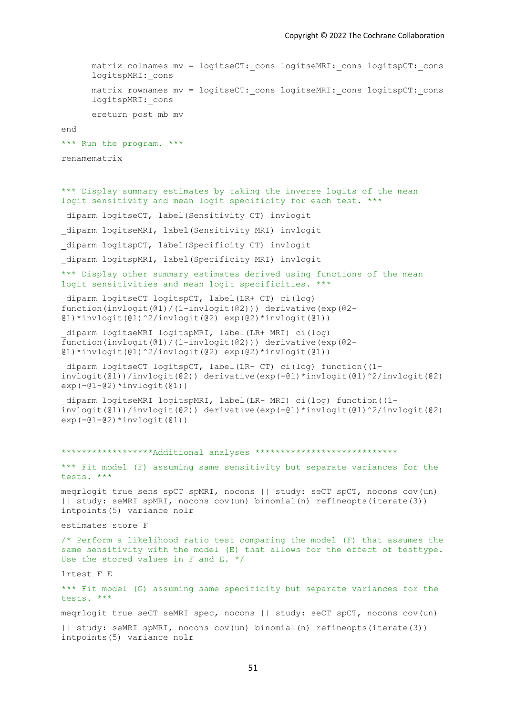matrix colnames mv = logitseCT: cons logitseMRI: cons logitspCT: cons logitspMRI: cons matrix rownames my = logitseCT: cons logitseMRI: cons logitspCT: cons logitspMRI: cons ereturn post mb mv end \*\*\* Run the program. \*\*\* renamematrix \*\*\* Display summary estimates by taking the inverse logits of the mean logit sensitivity and mean logit specificity for each test. \*\*\* diparm logitseCT, label(Sensitivity CT) invlogit diparm logitseMRI, label(Sensitivity MRI) invlogit diparm logitspCT, label(Specificity CT) invlogit \_diparm logitspMRI, label(Specificity MRI) invlogit \*\*\* Display other summary estimates derived using functions of the mean logit sensitivities and mean logit specificities. \*\*\* \_diparm logitseCT logitspCT, label(LR+ CT) ci(log) function(invlogit(@1)/(1-invlogit(@2))) derivative(exp(@2- @1)\*invlogit(@1)^2/invlogit(@2) exp(@2)\*invlogit(@1)) \_diparm logitseMRI logitspMRI, label(LR+ MRI) ci(log) function(invlogit(@1)/(1-invlogit(@2))) derivative(exp(@2- @1)\*invlogit(@1)^2/invlogit(@2) exp(@2)\*invlogit(@1)) \_diparm logitseCT logitspCT, label(LR- CT) ci(log) function((1 invlogit(@1))/invlogit(@2)) derivative(exp(-@1)\*invlogit(@1)^2/invlogit(@2)  $exp(-@1-@2)*invlogit(@1))$ \_diparm logitseMRI logitspMRI, label(LR- MRI) ci(log) function((1 invlogit(@1))/invlogit(@2)) derivative(exp(-@1)\*invlogit(@1)^2/invlogit(@2)  $exp(-@1-@2)*invlogit(@1))$ \*\*\*\*\*\*\*\*\*\*\*\*\*\*\*\*\*\*Additional analyses \*\*\*\*\*\*\*\*\*\*\*\*\*\*\*\*\*\*\*\*\*\*\*\*\*\*\*\* \*\*\* Fit model (F) assuming same sensitivity but separate variances for the tests. \*\*\* meqrlogit true sens spCT spMRI, nocons || study: seCT spCT, nocons cov(un) || study: seMRI spMRI, nocons cov(un) binomial(n) refineopts(iterate(3)) intpoints(5) variance nolr estimates store F /\* Perform a likelihood ratio test comparing the model (F) that assumes the same sensitivity with the model (E) that allows for the effect of testtype. Use the stored values in F and E. \*/ lrtest F E \*\*\* Fit model (G) assuming same specificity but separate variances for the tests. \*\*\* meqrlogit true seCT seMRI spec, nocons || study: seCT spCT, nocons cov(un)

|| study: seMRI spMRI, nocons cov(un) binomial(n) refineopts(iterate(3)) intpoints(5) variance nolr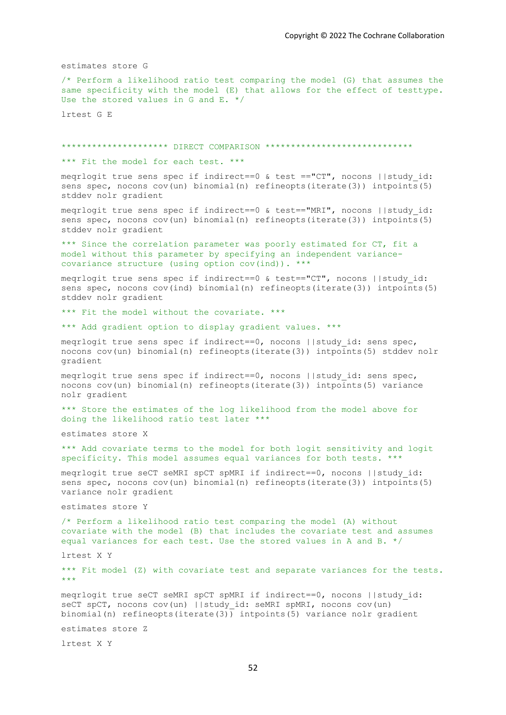estimates store G

/\* Perform a likelihood ratio test comparing the model (G) that assumes the same specificity with the model (E) that allows for the effect of testtype. Use the stored values in G and E. \*/

lrtest G E

\*\*\*\*\*\*\*\*\*\*\*\*\*\*\*\*\*\*\*\*\* DIRECT COMPARISON \*\*\*\*\*\*\*\*\*\*\*\*\*\*\*\*\*\*\*\*\*\*\*\*\*\*\*\*\*

\*\*\* Fit the model for each test. \*\*\*

meqrlogit true sens spec if indirect==0 & test =="CT", nocons ||study\_id: sens spec, nocons cov(un) binomial(n) refineopts(iterate(3)) intpoints(5) stddev nolr gradient

meqrlogit true sens spec if indirect==0 & test=="MRI", nocons ||study\_id: sens spec, nocons  $cov(un)$  binomial(n) refineopts(iterate(3)) intpoints(5) stddev nolr gradient

\*\*\* Since the correlation parameter was poorly estimated for CT, fit a model without this parameter by specifying an independent variancecovariance structure (using option cov(ind)). \*\*\*

meqrlogit true sens spec if indirect==0 & test=="CT", nocons ||study\_id: sens spec, nocons cov(ind) binomial(n) refineopts(iterate(3)) intpoints(5) stddev nolr gradient

\*\*\* Fit the model without the covariate. \*\*\*

\*\*\* Add gradient option to display gradient values. \*\*\*

meqrlogit true sens spec if indirect==0, nocons ||study id: sens spec, nocons cov(un) binomial(n) refineopts(iterate(3)) intpoints(5) stddev nolr gradient

meqrlogit true sens spec if indirect==0, nocons ||study\_id: sens spec, nocons cov(un) binomial(n) refineopts(iterate(3)) intpoints(5) variance nolr gradient

\*\*\* Store the estimates of the log likelihood from the model above for doing the likelihood ratio test later \*\*\*

estimates store X

\*\*\* Add covariate terms to the model for both logit sensitivity and logit specificity. This model assumes equal variances for both tests. \*\*\*

meqrlogit true seCT seMRI spCT spMRI if indirect==0, nocons ||study\_id: sens spec, nocons cov(un) binomial(n) refineopts(iterate(3)) intpoints(5) variance nolr gradient

estimates store Y

/\* Perform a likelihood ratio test comparing the model (A) without covariate with the model (B) that includes the covariate test and assumes equal variances for each test. Use the stored values in A and B. \*/

lrtest X Y

\*\*\* Fit model (Z) with covariate test and separate variances for the tests. \*\*\*

meqrlogit true seCT seMRI spCT spMRI if indirect==0, nocons ||study\_id: seCT spCT, nocons cov(un) ||study id: seMRI spMRI, nocons cov(un) binomial(n) refineopts(iterate(3)) intpoints(5) variance nolr gradient

estimates store Z

lrtest X Y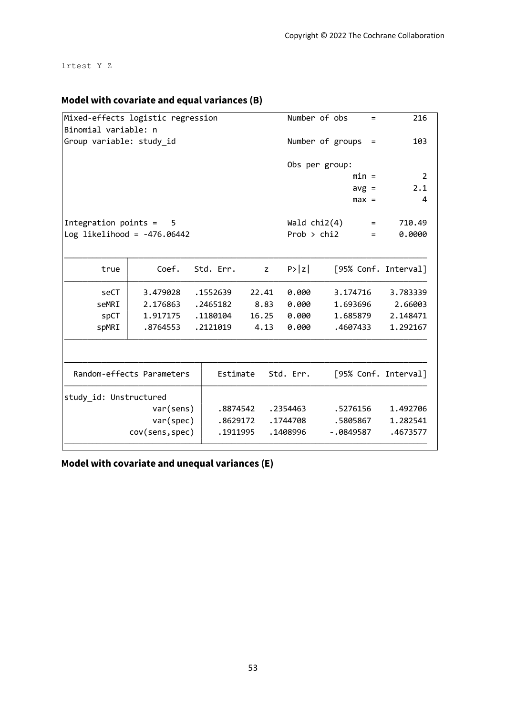lrtest Y Z

## **Model with covariate and equal variances (B)**

|                               | Mixed-effects logistic regression |           |       | Number of obs    | $=$                  | 216            |
|-------------------------------|-----------------------------------|-----------|-------|------------------|----------------------|----------------|
| Binomial variable: n          |                                   |           |       |                  |                      |                |
| Group variable: study_id      |                                   |           |       | Number of groups | $\equiv$             | 103            |
|                               |                                   |           |       | Obs per group:   |                      |                |
|                               |                                   |           |       |                  | $min =$              | $\overline{2}$ |
|                               |                                   |           |       |                  | $avg =$              | 2.1            |
|                               |                                   |           |       |                  | $max =$              | 4              |
| Integration points $=$        | -5                                |           |       | Wald $chi2(4)$   | $=$                  | 710.49         |
| Log likelihood = $-476.06442$ |                                   |           |       | Prob > chi2      | $=$                  | 0.0000         |
|                               |                                   |           |       |                  |                      |                |
| true                          | Coef.                             | Std. Err. | z     | P >  z           | [95% Conf. Interval] |                |
| seCT                          | 3.479028                          | .1552639  | 22.41 | 0.000            | 3.174716             | 3.783339       |
| seMRI                         | 2.176863                          | .2465182  | 8.83  | 0.000            | 1.693696             | 2.66003        |
| spCT                          | 1.917175                          | .1180104  | 16.25 | 0.000            | 1.685879             | 2.148471       |
| spMRI                         | .8764553                          | .2121019  | 4.13  | 0.000            | .4607433             | 1.292167       |
|                               |                                   |           |       |                  |                      |                |
|                               | Random-effects Parameters         | Estimate  |       | Std. Err.        | [95% Conf. Interval] |                |
| study_id: Unstructured        |                                   |           |       |                  |                      |                |
|                               | var(sens)                         | .8874542  |       | .2354463         | .5276156             | 1.492706       |
|                               | var(spec)                         | .8629172  |       | .1744708         | .5805867             | 1.282541       |
|                               | cov(sens, spec)                   | .1911995  |       | .1408996         | $-.0849587$          | .4673577       |
|                               |                                   |           |       |                  |                      |                |

**Model with covariate and unequal variances (E)**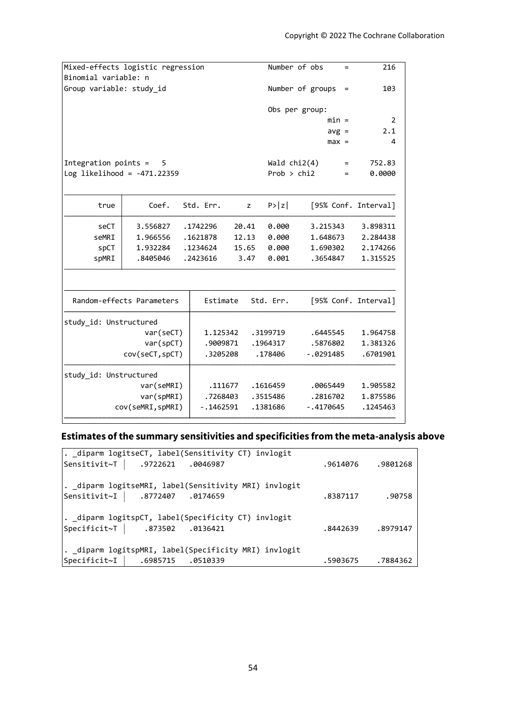|                           |                                                       |                                                                                                |                                              |                                              | $=$                                                                                    | 216                                                                                                                                                                  |
|---------------------------|-------------------------------------------------------|------------------------------------------------------------------------------------------------|----------------------------------------------|----------------------------------------------|----------------------------------------------------------------------------------------|----------------------------------------------------------------------------------------------------------------------------------------------------------------------|
| Binomial variable: n      |                                                       |                                                                                                |                                              |                                              |                                                                                        |                                                                                                                                                                      |
| Group variable: study id  |                                                       |                                                                                                |                                              |                                              | $\qquad \qquad =$                                                                      | 103                                                                                                                                                                  |
|                           |                                                       |                                                                                                |                                              |                                              |                                                                                        |                                                                                                                                                                      |
|                           |                                                       |                                                                                                |                                              |                                              |                                                                                        |                                                                                                                                                                      |
|                           |                                                       |                                                                                                |                                              |                                              |                                                                                        | 2                                                                                                                                                                    |
|                           |                                                       |                                                                                                |                                              |                                              |                                                                                        | 2.1                                                                                                                                                                  |
|                           |                                                       |                                                                                                |                                              |                                              |                                                                                        | 4                                                                                                                                                                    |
| - 5                       |                                                       |                                                                                                |                                              |                                              | $=$                                                                                    | 752.83                                                                                                                                                               |
|                           |                                                       |                                                                                                |                                              |                                              | $=$                                                                                    | 0.0000                                                                                                                                                               |
|                           |                                                       |                                                                                                |                                              |                                              |                                                                                        |                                                                                                                                                                      |
| Coef.                     |                                                       | z                                                                                              | P >  z                                       |                                              |                                                                                        |                                                                                                                                                                      |
| 3.556827                  |                                                       | 20.41                                                                                          | 0.000                                        |                                              |                                                                                        | 3.898311                                                                                                                                                             |
| 1.966556                  |                                                       | 12.13                                                                                          | 0.000                                        |                                              |                                                                                        | 2.284438                                                                                                                                                             |
| 1.932284                  |                                                       | 15.65                                                                                          | 0.000                                        |                                              |                                                                                        | 2.174266                                                                                                                                                             |
| .8405046                  |                                                       | 3.47                                                                                           | 0.001                                        |                                              |                                                                                        | 1.315525                                                                                                                                                             |
|                           |                                                       |                                                                                                |                                              |                                              |                                                                                        |                                                                                                                                                                      |
| Random-effects Parameters |                                                       |                                                                                                |                                              |                                              |                                                                                        |                                                                                                                                                                      |
| study_id: Unstructured    |                                                       |                                                                                                |                                              |                                              |                                                                                        |                                                                                                                                                                      |
| var(seCT)                 |                                                       |                                                                                                |                                              |                                              |                                                                                        | 1.964758                                                                                                                                                             |
| var(spCT)                 |                                                       |                                                                                                |                                              |                                              |                                                                                        | 1.381326                                                                                                                                                             |
| cov(seCT, spCT)           |                                                       |                                                                                                |                                              |                                              |                                                                                        | .6701901                                                                                                                                                             |
| study_id: Unstructured    |                                                       |                                                                                                |                                              |                                              |                                                                                        |                                                                                                                                                                      |
|                           |                                                       |                                                                                                |                                              |                                              |                                                                                        |                                                                                                                                                                      |
| var(seMRI)                | .111677                                               |                                                                                                | .1616459                                     | .0065449                                     |                                                                                        | 1.905582                                                                                                                                                             |
| var(spMRI)                | .7268403                                              |                                                                                                | .3515486                                     | .2816702                                     |                                                                                        | 1.875586                                                                                                                                                             |
|                           | Integration points =<br>Log likelihood = $-471.22359$ | Mixed-effects logistic regression<br>Std. Err.<br>.1742296<br>.1621878<br>.1234624<br>.2423616 | Estimate<br>1.125342<br>.9009871<br>.3205208 | Std. Err.<br>.3199719<br>.1964317<br>.178406 | Number of obs<br>Number of groups<br>Obs per group:<br>Wald $chi2(4)$<br>Prob $>$ chi2 | $min =$<br>$avg =$<br>$max =$<br>[95% Conf. Interval]<br>3.215343<br>1.648673<br>1.690302<br>.3654847<br>[95% Conf. Interval]<br>.6445545<br>.5876802<br>$-.0291485$ |

# **Estimates of the summary sensitivities and specificities from the meta-analysis above**

| . diparm logitseCT, label(Sensitivity CT) invlogit    |                    |
|-------------------------------------------------------|--------------------|
| Sensitivit~T   .9722621 .0046987                      | .9614076.9801268   |
|                                                       |                    |
| . diparm logitseMRI, label(Sensitivity MRI) invlogit  |                    |
| Sensitivit~I   .8772407 .0174659                      | .8387117.90758     |
|                                                       |                    |
| . _diparm logitspCT, label(Specificity CT) invlogit   |                    |
| Specificit~T   .873502 .0136421                       | .8442639 .8979147  |
|                                                       |                    |
| . _diparm logitspMRI, label(Specificity MRI) invlogit |                    |
|                                                       |                    |
| Specificit~I   .6985715 .0510339                      | .5903675. .5903675 |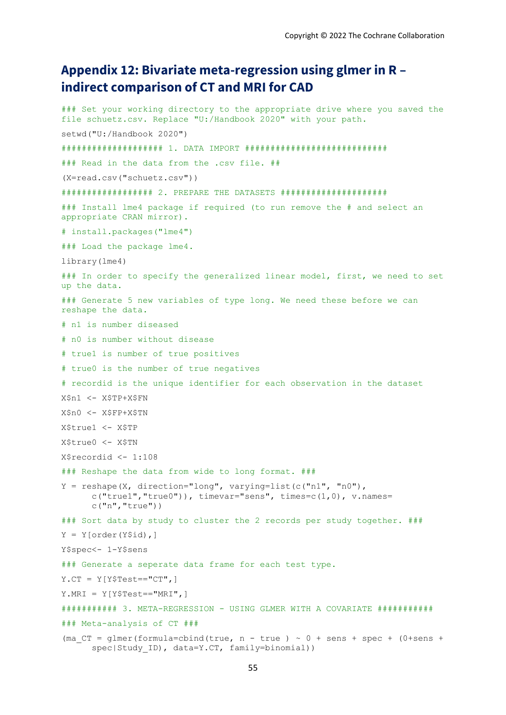# **Appendix 12: Bivariate meta-regression using glmer in R – indirect comparison of CT and MRI for CAD**

```
### Set your working directory to the appropriate drive where you saved the 
file schuetz.csv. Replace "U:/Handbook 2020" with your path. 
setwd("U:/Handbook 2020")
#################### 1. DATA IMPORT ############################
### Read in the data from the .csv file. ##
(X=read.csv("schuetz.csv"))
################## 2. PREPARE THE DATASETS #####################
### Install lme4 package if required (to run remove the # and select an 
appropriate CRAN mirror).
# install.packages("lme4")
### Load the package lme4.
library(lme4)
### In order to specify the generalized linear model, first, we need to set 
up the data. 
### Generate 5 new variables of type long. We need these before we can 
reshape the data.
# n1 is number diseased
# n0 is number without disease
# true1 is number of true positives
# true0 is the number of true negatives
# recordid is the unique identifier for each observation in the dataset
X$n1 <- X$TP+X$FN
X$n0 <- X$FP+X$TN
X$true1 <- X$TP
X$true0 <- X$TN 
X$recordid <- 1:108
### Reshape the data from wide to long format. ###
Y = reshape(X, direction="long", varying=list(c("n1", "n0"),
      c("true1", "true0")), timevar="sens", times=c(1,0), v.names=
      c("n","true")) 
### Sort data by study to cluster the 2 records per study together. ###
Y = Y[order(Y$id),]Y$spec<- 1-Y$sens
### Generate a seperate data frame for each test type.
Y.CT = Y[Y$Test=="CT",]
Y.MRI = Y[Y$Test=="MRI",]
########### 3. META-REGRESSION - USING GLMER WITH A COVARIATE ###########
### Meta-analysis of CT ###
(ma CT = qlmer(formula=cbind(true, n - true) ~ v 0 + sens + spec + (0+sens +spec|Study ID), data=Y.CT, family=binomial))
```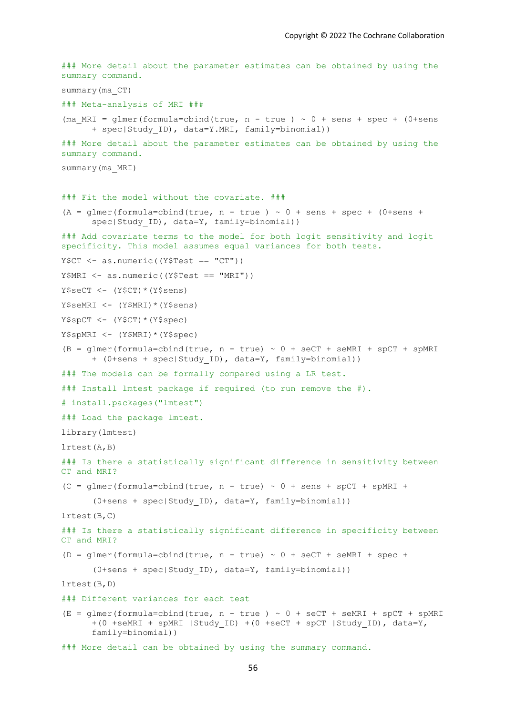```
### More detail about the parameter estimates can be obtained by using the 
summary command.
summary(ma_CT)
### Meta-analysis of MRI ###
(ma_MRT = glmer(formula=cbind(true, n - true) ~ 0 + sens + spec + (0+sens)+ spec|Study_ID), data=Y.MRI, family=binomial))
### More detail about the parameter estimates can be obtained by using the 
summary command.
summary(ma_MRI)
### Fit the model without the covariate. ###
(A = \text{dmer}(\text{formula} = \text{cbind}(\text{true}, n - \text{true}) \sim 0 + \text{sens} + \text{spec} + (0 + \text{sens} + \text{true}))spec|Study ID), data=Y, family=binomial))
### Add covariate terms to the model for both logit sensitivity and logit 
specificity. This model assumes equal variances for both tests.
Y$CT <- as.numeric((Y$Test == "CT"))
Y$MRI <- as.numeric((Y$Test == "MRI"))
Y$seCT <- (Y$CT)*(Y$sens) 
Y$seMRI <- (Y$MRI)*(Y$sens) 
Y$spCT < - (Y$CT) * (Y$spec)Y$spMRI <- (Y$MRI)*(Y$spec) 
(B = qlmer(formalized) (B = glmer(formula=cbind(true, n - true) \sim 0 + secT + seMRI + spCT + spMRI+ (0+sens + spec|Study_ID), data=Y, family=binomial)) 
### The models can be formally compared using a LR test.
### Install lmtest package if required (to run remove the #).
# install.packages("lmtest")
### Load the package lmtest.
library(lmtest)
lrtest(A,B)
### Is there a statistically significant difference in sensitivity between 
CT and MRI? 
(C = glmer(formula = cbind(true, n - true) ~ 0 + sens + spCT + spMRI +(0+sens + spec|Study_ID), data=Y, family=binomial)) 
lrtest(B,C)
### Is there a statistically significant difference in specificity between 
CT and MRI? 
(D = qlmer(formula = cbind(true, n - true) ~ 0 + secT + semRI + spec +(0+sens + spec|Study_ID), data=Y, family=binomial)) 
lrtest(B,D)
### Different variances for each test 
(E = glmer(formula = cbind(true, n - true) ~ 0 + secT + seMRI + spCT + spMRI)+(0 + s \cdot \text{cMRT} + s \cdot \text{pMRT} + s \cdot \text{CUT}) + (0 + s \cdot \text{cCT} + s \cdot \text{pCT} + s \cdot \text{CUT}), data=Y,
      family=binomial)) 
### More detail can be obtained by using the summary command.
```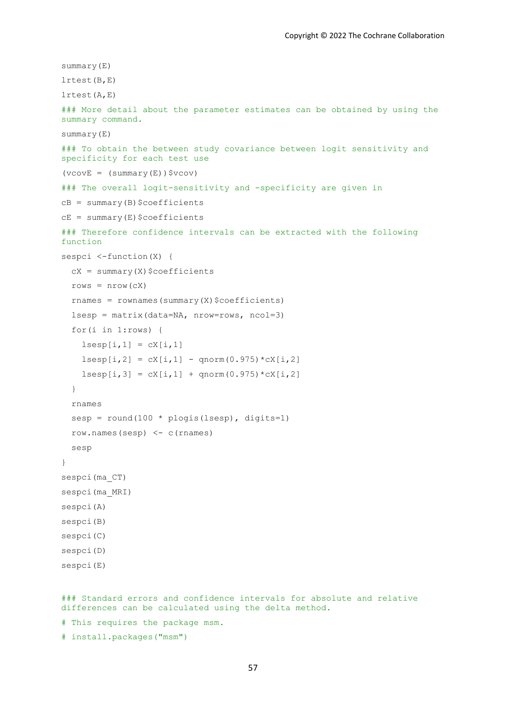```
summary(E) 
lrtest(B,E)
lrtest(A,E)
### More detail about the parameter estimates can be obtained by using the 
summary command.
summary(E)
### To obtain the between study covariance between logit sensitivity and 
specificity for each test use 
(vcovE = (summary(E))$vcov)
### The overall logit-sensitivity and -specificity are given in 
CB = summary(B)$coefficients
cE = summary(E)$coefficients
### Therefore confidence intervals can be extracted with the following 
function 
sespci <-function(X) {
  cX = summary(X)$coefficients
  rows = nrow(cX)rnames = rownames(summary(X)$coefficients)
   lsesp = matrix(data=NA, nrow=rows, ncol=3)
   for(i in 1:rows) {
    lsesp[i,1] = cX[i,1]lsesp[i,2] = cX[i,1] - qnorm(0.975) *cX[i,2]lsesp[i,3] = cX[i,1] + qnorm(0.975) *cX[i,2] }
   rnames
   sesp = round(100 * plogis(lsesp), digits=1)
   row.names(sesp) <- c(rnames) 
   sesp 
}
sespci(ma_CT)
sespci(ma_MRI)
sespci(A)
sespci(B) 
sespci(C) 
sespci(D) 
sespci(E)
```
### Standard errors and confidence intervals for absolute and relative differences can be calculated using the delta method. # This requires the package msm.

# install.packages("msm")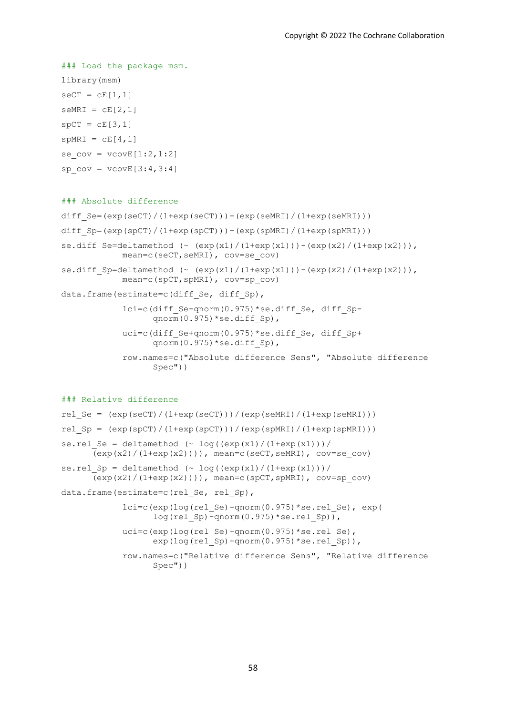```
### Load the package msm.
library(msm)
secT = cE[1,1]seMRI = cE[2,1]spCT = cE[3,1]spMRI = cE[4,1]se cov = vcovE[1:2,1:2]spcov = vcovE[3:4,3:4]
```
### ### Absolute difference

```
diff Se=(exp(seCT)/(1+exp(seCT))) - (exp(seMRI)/(1+exp(seMRI))diff Sp=(exp(spCT)/(1+exp(spCT)))-(exp(spMRI)/(1+exp(spMRI)))se.diff Se=deltamethod (\sim (exp(x1)/(1+exp(x1)))-(exp(x2)/(1+exp(x2))),
            mean=c(seCT,seMRI), cov=se_cov)
se.diff Sp=deltamethod (\sim (\exp(x1)/(1+\exp(x1)))-(\exp(x2)/(1+\exp(x2))),
            mean=c(spCT,spMRI), cov=sp_cov)
data.frame(estimate=c(diff Se, diff Sp),
             lci=c(diff_Se-qnorm(0.975)*se.diff_Se, diff_Sp-
                  qnorm(0.975)*se.diff Sp),
            uci=c(diff Se+qnorm(0.975)*se.diff Se, diff Sp+
                  qnorm(0.975)*se.diff Sp),
             row.names=c("Absolute difference Sens", "Absolute difference 
                  Spec"))
```
### ### Relative difference

```
rel Se = (exp(seCT)/(1+exp(seCT)))/(exp(seMRT)/(1+exp(seMRT)))rel Sp = (exp(spCT)/(1+exp(spCT)))/(exp(spMRI)/(1+exp(spMRI)))se.rel Se = deltamethod (~ log((exp(x1)/(1+exp(x1))))/(exp(x2)/(1+exp(x2)))), mean=c(seCT,seMRI), cov=se_cov)
se.rel Sp = deltamethod (~ log((exp(x1)/(1+exp(x1))))/\overline{(\exp(x2)/(1+\exp(x2)))}), mean=c(spCT,spMRI), cov=sp_cov)
data.frame(estimate=c(rel Se, rel Sp),
            lci=c(exp(log(rel Se)-qnorm(0.975)*se.relSe), exp(log(re1 Sp)-qnorm(0.975)*se.rel Sp)),
            uci=c(exp(log(rel Se)+qnorm(0.975)*se.rel Se),
                  exp(log(rel^-Sp) + qnorm(0.975) *se.rel^-Sp)),
             row.names=c("Relative difference Sens", "Relative difference 
                  Spec"))
```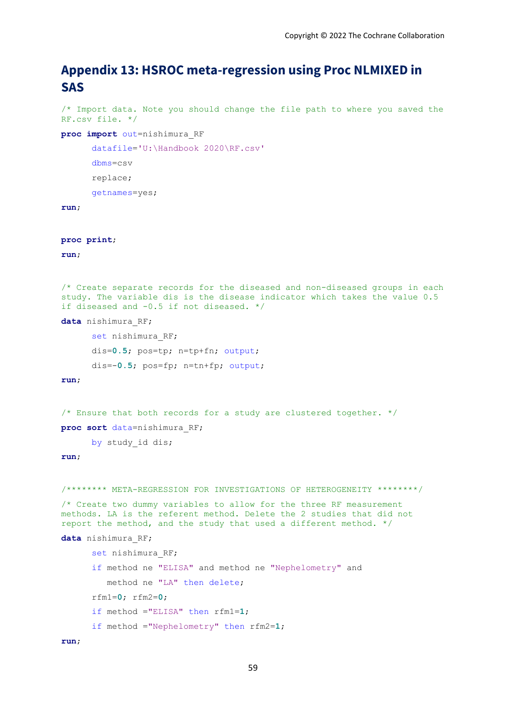# **Appendix 13: HSROC meta-regression using Proc NLMIXED in SAS**

```
/* Import data. Note you should change the file path to where you saved the 
RF.csv file. */
```

```
proc import out=nishimura_RF
```
datafile='U:\Handbook 2020\RF.csv'

```
dbms=csv
```
replace;

getnames=yes;

### **run**;

**proc print**;

### **run**;

```
/* Create separate records for the diseased and non-diseased groups in each 
study. The variable dis is the disease indicator which takes the value 0.5 
if diseased and -0.5 if not diseased. */
```
**data** nishimura\_RF;

```
set nishimura RF;
dis=0.5; pos=tp; n=tp+fn; output;
dis=-0.5; pos=fp; n=tn+fp; output;
```
#### **run**;

```
/* Ensure that both records for a study are clustered together. */
```
**proc sort** data=nishimura\_RF;

by study id dis;

```
/******** META-REGRESSION FOR INVESTIGATIONS OF HETEROGENEITY ********/
/* Create two dummy variables to allow for the three RF measurement 
methods. LA is the referent method. Delete the 2 studies that did not 
report the method, and the study that used a different method. */
data nishimura_RF; 
      set nishimura RF;
      if method ne "ELISA" and method ne "Nephelometry" and
          method ne "LA" then delete;
       rfm1=0; rfm2=0; 
       if method ="ELISA" then rfm1=1; 
       if method ="Nephelometry" then rfm2=1;
run;
```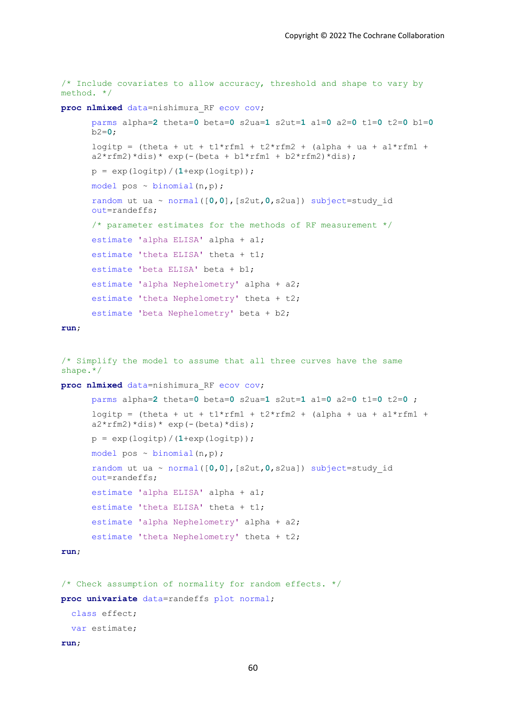```
/* Include covariates to allow accuracy, threshold and shape to vary by 
method. */
proc nlmixed data=nishimura_RF ecov cov;
      parms alpha=2 theta=0 beta=0 s2ua=1 s2ut=1 a1=0 a2=0 t1=0 t2=0 b1=0
      b2=0;
      logitp = (theta + ut + t1*rfm1 + t2*rfm2 + (alpha + ua + a1*rfm1 +
      a2*rfm2*dis)* exp(-0) + b2*rfm1 + b2*rfm2*dis);p = exp(logitp) / (1+exp(logitp));
      model pos \sim binomial(n,p);
       random ut ua ~ normal([0,0],[s2ut,0,s2ua]) subject=study_id 
      out=randeffs;
      /* parameter estimates for the methods of RF measurement */
       estimate 'alpha ELISA' alpha + a1; 
      estimate 'theta ELISA' theta + t1;
       estimate 'beta ELISA' beta + b1;
      estimate 'alpha Nephelometry' alpha + a2;
      estimate 'theta Nephelometry' theta + t2;
      estimate 'beta Nephelometry' beta + b2;
run;
/* Simplify the model to assume that all three curves have the same 
shape.*/
proc nlmixed data=nishimura_RF ecov cov;
      parms alpha=2 theta=0 beta=0 s2ua=1 s2ut=1 a1=0 a2=0 t1=0 t2=0 ;
      logitp = (theta + ut + t1*rfm1 + t2*rfm2 + (alpha + ua + a1*rfm1 +
      a2*rfm2)*dis)*exp(-(beta)*dis);p = exp(logitp) / (1+exp(logitp));
      model pos \sim binomial(n,p);
      random ut ua ~ normal([0,0],[s2ut,0,s2ua]) subject=study_id 
      out=randeffs;
       estimate 'alpha ELISA' alpha + a1;
```

```
estimate 'theta ELISA' theta + t1;
estimate 'alpha Nephelometry' alpha + a2;
```

```
estimate 'theta Nephelometry' theta + t2;
```

```
run;
```

```
/* Check assumption of normality for random effects. */
proc univariate data=randeffs plot normal;
   class effect;
   var estimate;
```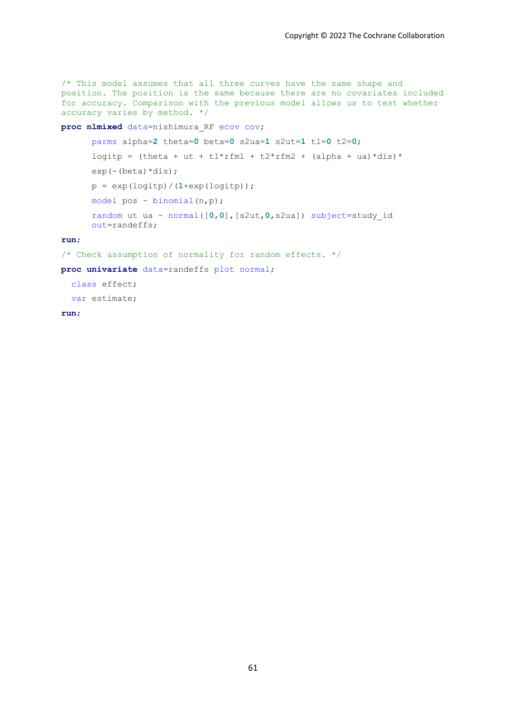$\frac{1}{x}$  This model assumes that all three curves have the same shape and position. The position is the same because there are no covariates included for accuracy. Comparison with the previous model allows us to test whether accuracy varies by method. \*/

**proc nlmixed** data=nishimura\_RF ecov cov;

```
parms alpha=2 theta=0 beta=0 s2ua=1 s2ut=1 t1=0 t2=0;
logitp = (theta + ut + t1*rfm1 + t2*rfm2 + (alpha + ua)*dis)*
exp(-(beta) * dis);p = exp(logitp) / (1+exp(logitp));
model pos \sim binomial(n,p);
 random ut ua ~ normal([0,0],[s2ut,0,s2ua]) subject=study_id 
out=randeffs;
```
**run**;

```
/* Check assumption of normality for random effects. */
```
**proc univariate** data=randeffs plot normal;

 class effect; var estimate;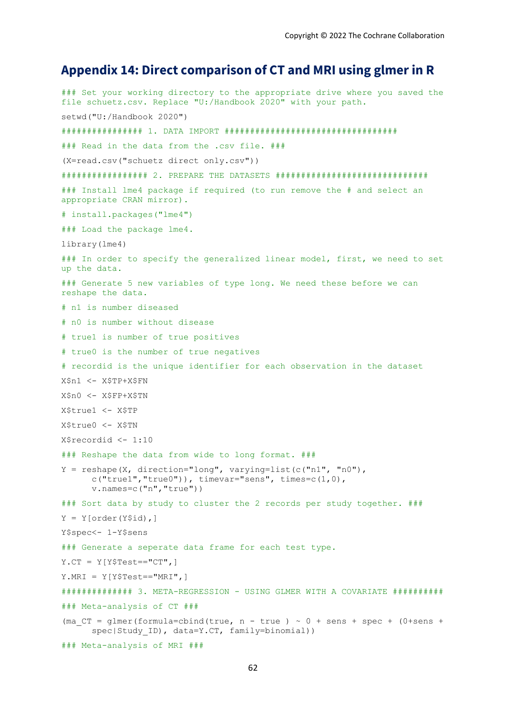### **Appendix 14: Direct comparison of CT and MRI using glmer in R**

### Set your working directory to the appropriate drive where you saved the file schuetz.csv. Replace "U:/Handbook 2020" with your path. setwd("U:/Handbook 2020") ################ 1. DATA IMPORT ################################## ### Read in the data from the .csv file. ### (X=read.csv("schuetz direct only.csv")) ################# 2. PREPARE THE DATASETS ############################## ### Install lme4 package if required (to run remove the # and select an appropriate CRAN mirror). # install.packages("lme4") ### Load the package lme4. library(lme4) ### In order to specify the generalized linear model, first, we need to set up the data. ### Generate 5 new variables of type long. We need these before we can reshape the data. # n1 is number diseased # n0 is number without disease # true1 is number of true positives # true0 is the number of true negatives # recordid is the unique identifier for each observation in the dataset X\$n1 <- X\$TP+X\$FN X\$n0 <- X\$FP+X\$TN X\$true1 <- X\$TP X\$true0 <- X\$TN X\$recordid <- 1:10 ### Reshape the data from wide to long format. ###  $Y =$  reshape(X, direction="long", varying=list(c("n1", "n0"),  $c("true1", "true0"))$ , timevar="sens", times= $c(1,0)$ , v.names=c("n","true")) ### Sort data by study to cluster the 2 records per study together. ###  $Y = Y[order(Y$id),]$ Y\$spec<- 1-Y\$sens ### Generate a seperate data frame for each test type. Y.CT =  $Y[Y$Test == "CT", ]$ Y.MRI = Y[Y\$Test=="MRI",] ############## 3. META-REGRESSION - USING GLMER WITH A COVARIATE ########## ### Meta-analysis of CT ### (ma  $CT = qlmer(formula=cbind(true, n - true) ~ 0 + sens + spec + (0+sens +$ spec|Study ID), data=Y.CT, family=binomial)) ### Meta-analysis of MRI ###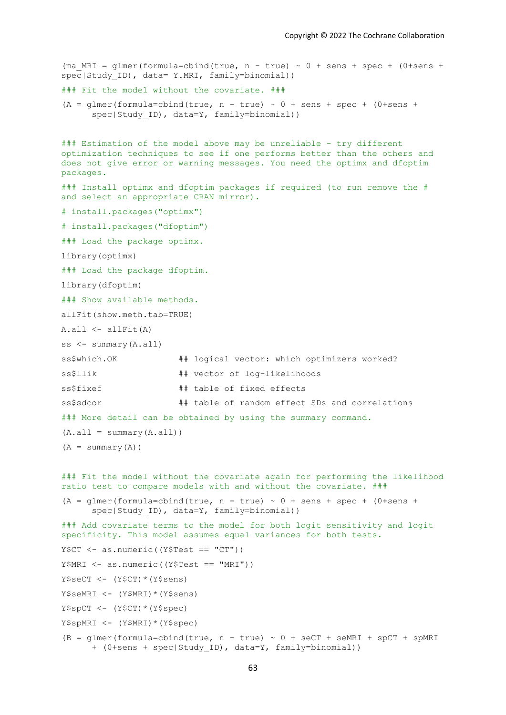```
(ma MRI = glmer(formula=cbind(true, n - true) ~ 0 + sens + spec + (0+sens +
spec|Study ID), data= Y.MRI, family=binomial))
### Fit the model without the covariate. ###
(A = qlmer(formula = chind(true, n - true) \sim 0 + sens + spec + (0+sens +spec|Study ID), data=Y, family=binomial))
### Estimation of the model above may be unreliable - try different
optimization techniques to see if one performs better than the others and 
does not give error or warning messages. You need the optimx and dfoptim 
packages.
### Install optimx and dfoptim packages if required (to run remove the # 
and select an appropriate CRAN mirror).
# install.packages("optimx")
# install.packages("dfoptim")
### Load the package optimx.
library(optimx)
### Load the package dfoptim.
library(dfoptim)
### Show available methods.
allFit(show.meth.tab=TRUE) 
A.all <- allFit(A)
ss \leq summary (A, all)ss$which.OK ## logical vector: which optimizers worked?
ss$llik ## vector of log-likelihoods
ss$fixef ## table of fixed effects
ss$sdcor ## table of random effect SDs and correlations
### More detail can be obtained by using the summary command.
(A.all = summary(A.all))(A = summary(A))### Fit the model without the covariate again for performing the likelihood 
ratio test to compare models with and without the covariate. ###
(A = glmer(formula = chind(true, n - true) ~ 0 + sens + spec + (0+sens +spec|Study ID), data=Y, family=binomial))
### Add covariate terms to the model for both logit sensitivity and logit 
specificity. This model assumes equal variances for both tests. 
Y$CT < - as.numeric((Y$Test == "CT"))Y$MRI <- as.numeric((Y$Test == "MRI"))
Y$secT < - (Y$CT) * (Y$sens)Y$seMRI <- (Y$MRI)*(Y$sens) 
Y$spCT < - (Y$CT) * (Y$spec)Y$spMRI <- (Y$MRI)*(Y$spec) 
(B = qlmer(formula = cbind(true, n - true) \sim 0 + secT + seMRI + spCT + spMRI+ (0+sens + spec|Study_ID), data=Y, family=binomial))
```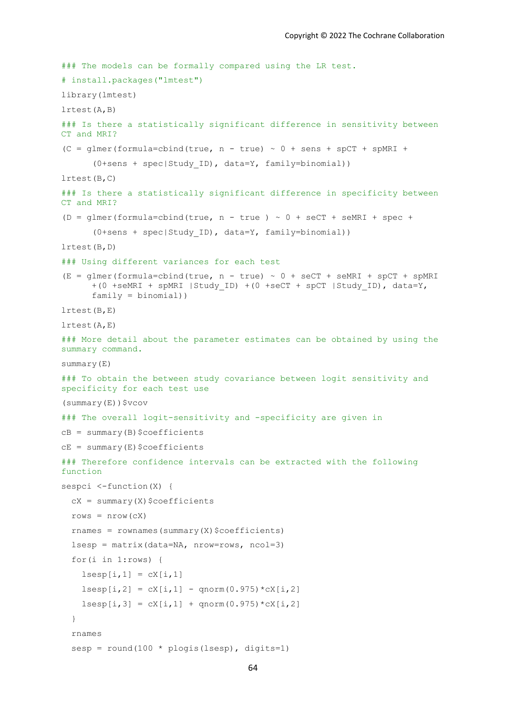```
### The models can be formally compared using the LR test.
# install.packages("lmtest")
library(lmtest)
lrtest(A,B)
### Is there a statistically significant difference in sensitivity between 
CT and MRI? 
(C = glmer(formula = cbind(true, n - true) ~ 0 + sens + spCT + spMRI +(0+sens + spec|Study_ID), data=Y, family=binomial)) 
lrtest(B,C)
### Is there a statistically significant difference in specificity between 
CT and MRI? 
(D = glmer(formula=cbind(true, n - true ) \sim 0 + seCT + seMRI + spec +
      (0+sens + spec|Study_ID), data=Y, family=binomial)) 
lrtest(B,D)
### Using different variances for each test 
(E = qlmer(formalized) (true, n - true) ~ 0 + seCT + seMRI + spCT + spMRI
      +(0 +seMRI + spMRI |Study_ID) +(0 +seCT + spCT |Study_ID), data=Y, 
      family = binomial))
lrtest(B,E)
lrtest(A,E)
### More detail about the parameter estimates can be obtained by using the 
summary command.
summary(E)
### To obtain the between study covariance between logit sensitivity and 
specificity for each test use 
(summary(E))$vcov
### The overall logit-sensitivity and -specificity are given in 
cB = summary(B)$coefficients
cE = summary(E)$coefficients
### Therefore confidence intervals can be extracted with the following 
function 
sespci <-function(X) {
  cX = summary(X)$coefficients
  rows = nrow(CX)rnames = rownames(summary(X)$coefficients)
  lsesp = matrix(data=NA, nrow=rows, ncol=3) for(i in 1:rows) {
    lsespli,1] = cX[i,1]lsesp[i,2] = cX[i,1] - qnorm(0.975) * cX[i,2]lsesp[i,3] = cX[i,1] + qnorm(0.975) *cX[i,2] }
   rnames
  sesp = round(100 * plogis(lsesp), digits=1)
```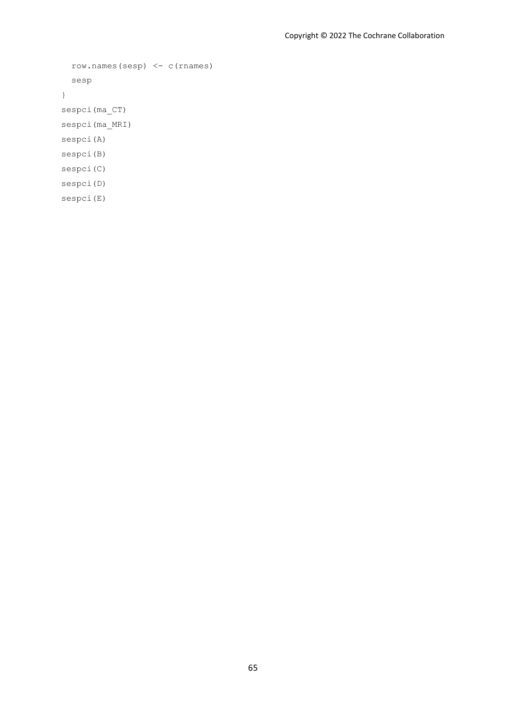```
 row.names(sesp) <- c(rnames) 
   sesp 
}
sespci(ma_CT)
sespci(ma_MRI)
sespci(A)
sespci(B) 
sespci(C) 
sespci(D) 
sespci(E)
```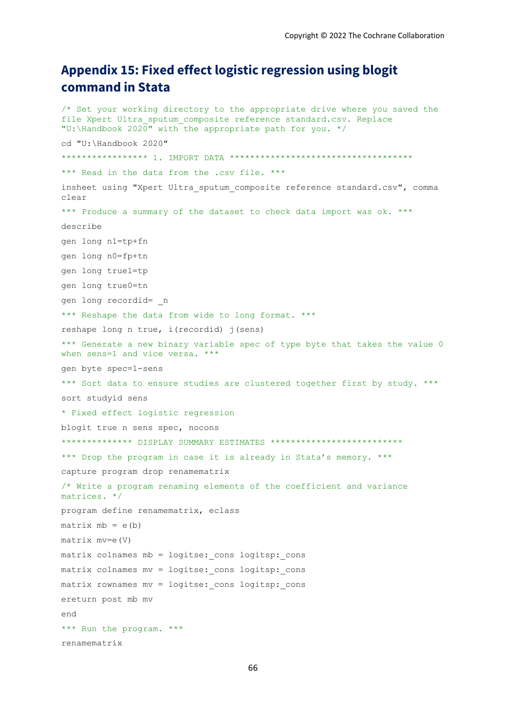# **Appendix 15: Fixed effect logistic regression using blogit command in Stata**

```
/* Set your working directory to the appropriate drive where you saved the 
file Xpert Ultra sputum composite reference standard.csv. Replace
"U:\Handbook 2020" with the appropriate path for you. */
cd "U:\Handbook 2020"
***************** 1. IMPORT DATA ************************************
*** Read in the data from the .csv file. ***
insheet using "Xpert Ultra sputum composite reference standard.csv", comma
clear
*** Produce a summary of the dataset to check data import was ok. ***
describe 
gen long n1=tp+fn
gen long n0=fp+tn
gen long true1=tp
gen long true0=tn
gen long recordid= _n
*** Reshape the data from wide to long format. ***
reshape long n true, i(recordid) j(sens)
*** Generate a new binary variable spec of type byte that takes the value 0 
when sens=1 and vice versa. ***
gen byte spec=1-sens
*** Sort data to ensure studies are clustered together first by study. ***
sort studyid sens
* Fixed effect logistic regression
blogit true n sens spec, nocons
************* DISPLAY SUMMARY ESTIMATES **************************
*** Drop the program in case it is already in Stata's memory. *** 
capture program drop renamematrix
/* Write a program renaming elements of the coefficient and variance 
matrices. */
program define renamematrix, eclass
matrix mb = e(b)matrix mv=e(V)
matrix colnames mb = logitse: cons logitsp: cons
matrix colnames mv = logitse: cons logitsp: cons
matrix rownames mv = logitse: cons logitsp: cons
ereturn post mb mv
end
*** Run the program. ***
renamematrix
```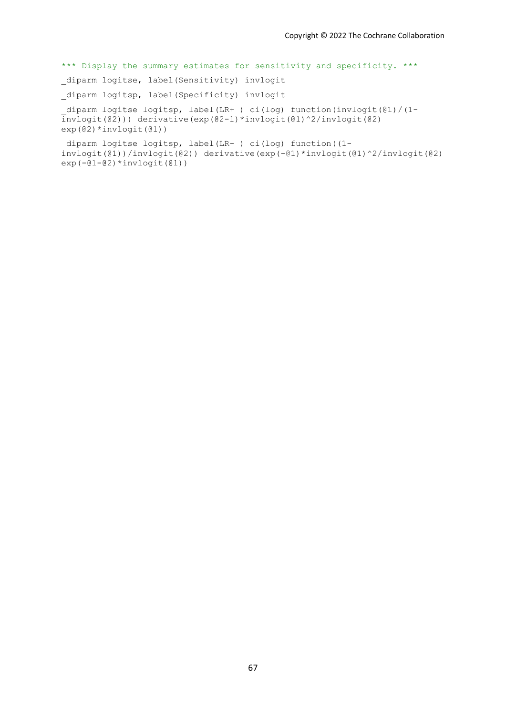\*\*\* Display the summary estimates for sensitivity and specificity. \*\*\*

diparm logitse, label(Sensitivity) invlogit

\_diparm logitsp, label(Specificity) invlogit

\_diparm logitse logitsp, label(LR+ ) ci(log) function(invlogit(@1)/(1 invlogit(@2))) derivative(exp(@2-1)\*invlogit(@1)^2/invlogit(@2) exp(@2)\*invlogit(@1))

\_diparm logitse logitsp, label(LR- ) ci(log) function((1 invlogit(@1))/invlogit(@2)) derivative(exp(-@1)\*invlogit(@1)^2/invlogit(@2)  $exp(-@1-@2)*invlogit(@1))$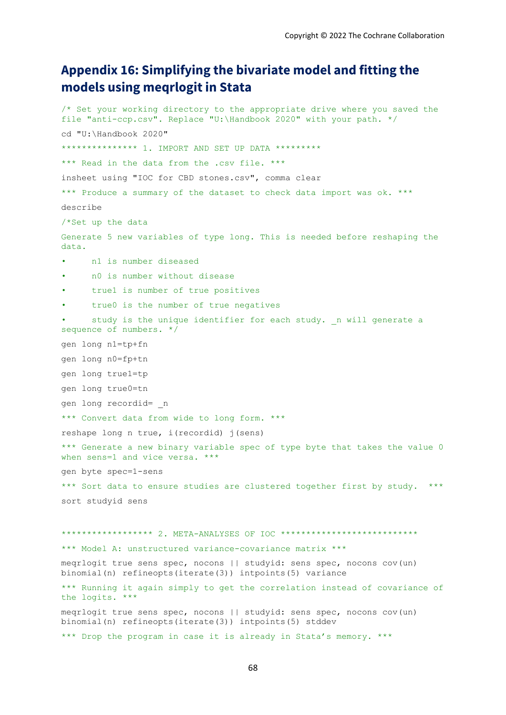# **Appendix 16: Simplifying the bivariate model and fitting the models using meqrlogit in Stata**

```
/* Set your working directory to the appropriate drive where you saved the 
file "anti-ccp.csv". Replace "U:\Handbook 2020" with your path. */
cd "U:\Handbook 2020"
************** 1. IMPORT AND SET UP DATA *********
*** Read in the data from the .csv file. ***
insheet using "IOC for CBD stones.csv", comma clear
*** Produce a summary of the dataset to check data import was ok. ***
describe 
/*Set up the data
Generate 5 new variables of type long. This is needed before reshaping the 
data.
    • n1 is number diseased
• n0 is number without disease
• true1 is number of true positives
      • true0 is the number of true negatives
      study is the unique identifier for each study. n will generate a
sequence of numbers. */
gen long n1=tp+fn
gen long n0=fp+tn
gen long true1=tp
gen long true0=tn
gen long recordid= _n
*** Convert data from wide to long form. ***
reshape long n true, i(recordid) \exists (sens)
*** Generate a new binary variable spec of type byte that takes the value 0 
when sens=1 and vice versa. ***
gen byte spec=1-sens
*** Sort data to ensure studies are clustered together first by study. ***
sort studyid sens
****************** 2. META-ANALYSES OF IOC ***************************
*** Model A: unstructured variance-covariance matrix ***
meqrlogit true sens spec, nocons || studyid: sens spec, nocons cov(un) 
binomial(n) refineopts(iterate(3)) intpoints(5) variance 
*** Running it again simply to get the correlation instead of covariance of 
the logits. ***
meqrlogit true sens spec, nocons || studyid: sens spec, nocons cov(un) 
binomial(n) refineopts(iterate(3)) intpoints(5) stddev 
*** Drop the program in case it is already in Stata's memory. ***
```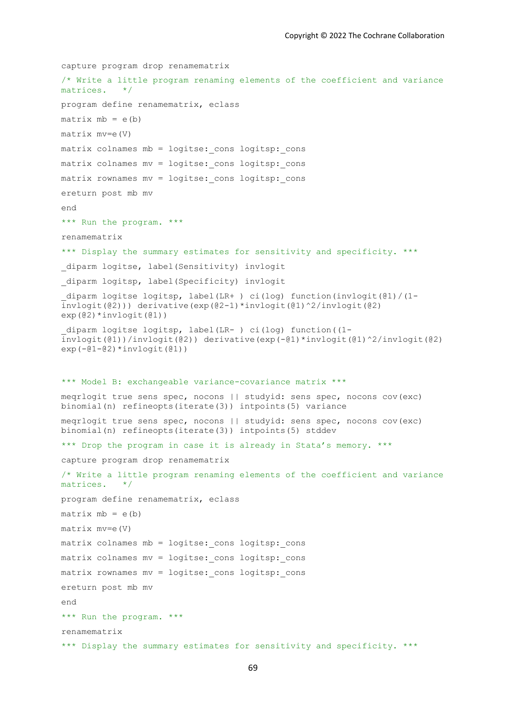```
capture program drop renamematrix
/* Write a little program renaming elements of the coefficient and variance 
matrices. */
program define renamematrix, eclass
matrix mb = e(b)matrix mv=e(V)
matrix colnames mb = logitse: cons logitsp: cons
matrix colnames mv = logitse: cons logitsp: cons
matrix rownames mv = logitse: cons logitsp: cons
ereturn post mb mv
end
*** Run the program. ***
renamematrix
*** Display the summary estimates for sensitivity and specificity. ***
diparm logitse, label(Sensitivity) invlogit
diparm logitsp, label(Specificity) invlogit
diparm logitse logitsp, label(LR+ ) ci(log) function(invlogit((01)/(1-invlogit(@2))) derivative(exp(@2-1)*invlogit(@1)^2/invlogit(@2) 
exp(@2)*invlogit(@1))
_diparm logitse logitsp, label(LR- ) ci(log) function((1-
\frac{1}{1}invlogit(@1))/invlogit(@2)) derivative(exp(-@1)*invlogit(@1)^2/invlogit(@2)
exp(-@1-@2)*invlogit(@1))*** Model B: exchangeable variance-covariance matrix ***
meqrlogit true sens spec, nocons || studyid: sens spec, nocons cov(exc) 
binomial(n) refineopts(iterate(3)) intpoints(5) variance 
meqrlogit true sens spec, nocons || studyid: sens spec, nocons cov(exc) 
binomial(n) refineopts(iterate(3)) intpoints(5) stddev 
*** Drop the program in case it is already in Stata's memory. *** 
capture program drop renamematrix
/* Write a little program renaming elements of the coefficient and variance 
matrices. */
program define renamematrix, eclass
matrix mb = e(b)matrix mv=e(V)
matrix colnames mb = logitse: cons logitsp: cons
matrix colnames mv = logitse: cons logitsp: cons
matrix rownames mv = logitse: cons logitsp: cons
ereturn post mb mv
end
*** Run the program. ***
renamematrix
*** Display the summary estimates for sensitivity and specificity. ***
```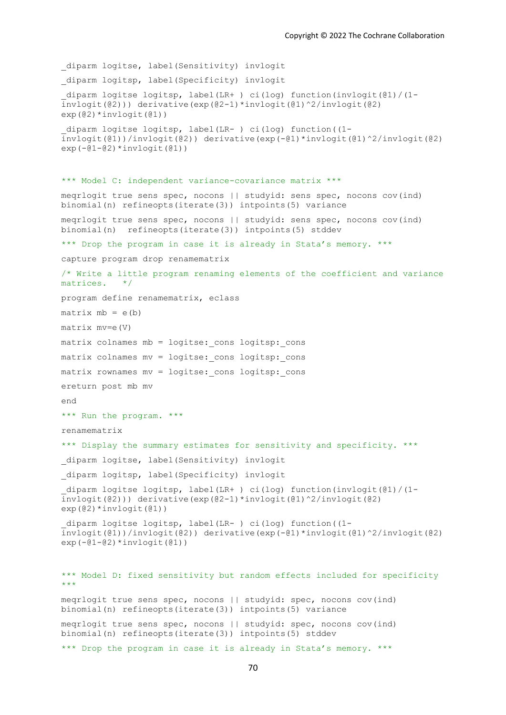diparm logitse, label(Sensitivity) invlogit diparm logitsp, label(Specificity) invlogit \_diparm logitse logitsp, label(LR+ ) ci(log) function(invlogit(@1)/(1 invlogit(@2))) derivative(exp(@2-1)\*invlogit(@1)^2/invlogit(@2) exp(@2)\*invlogit(@1)) \_diparm logitse logitsp, label(LR- ) ci(log) function((1-  $\frac{1}{2}$ invlogit(@1))/invlogit(@2)) derivative(exp(-@1)\*invlogit(@1)^2/invlogit(@2)  $exp(-@1-@2)*invlogit(@1))$ \*\*\* Model C: independent variance-covariance matrix \*\*\* meqrlogit true sens spec, nocons || studyid: sens spec, nocons cov(ind) binomial(n) refineopts(iterate(3)) intpoints(5) variance meqrlogit true sens spec, nocons || studyid: sens spec, nocons cov(ind) binomial(n) refineopts(iterate(3)) intpoints(5) stddev \*\*\* Drop the program in case it is already in Stata's memory. \*\*\* capture program drop renamematrix /\* Write a little program renaming elements of the coefficient and variance matrices. \*/ program define renamematrix, eclass  $matrix mb = e(b)$ matrix mv=e(V) matrix colnames mb = logitse: cons logitsp: cons matrix colnames mv = logitse: cons logitsp: cons matrix rownames mv = logitse: cons logitsp: cons ereturn post mb mv end \*\*\* Run the program. \*\*\* renamematrix \*\*\* Display the summary estimates for sensitivity and specificity. \*\*\* diparm logitse, label(Sensitivity) invlogit diparm logitsp, label(Specificity) invlogit diparm logitse logitsp, label(LR+ ) ci(log) function(invlogit( $@1$ )/(1invlogit(@2))) derivative(exp(@2-1)\*invlogit(@1)^2/invlogit(@2) exp(@2)\*invlogit(@1)) \_diparm logitse logitsp, label(LR- ) ci(log) function((1-  $\frac{1}{1}$ invlogit(@1))/invlogit(@2)) derivative(exp(-@1)\*invlogit(@1)^2/invlogit(@2)  $exp(-@1-@2)*invlogit(@1))$ \*\*\* Model D: fixed sensitivity but random effects included for specificity \*\*\* meqrlogit true sens spec, nocons || studyid: spec, nocons cov(ind) binomial(n) refineopts(iterate(3)) intpoints(5) variance meqrlogit true sens spec, nocons || studyid: spec, nocons cov(ind) binomial(n) refineopts(iterate(3)) intpoints(5) stddev \*\*\* Drop the program in case it is already in Stata's memory. \*\*\*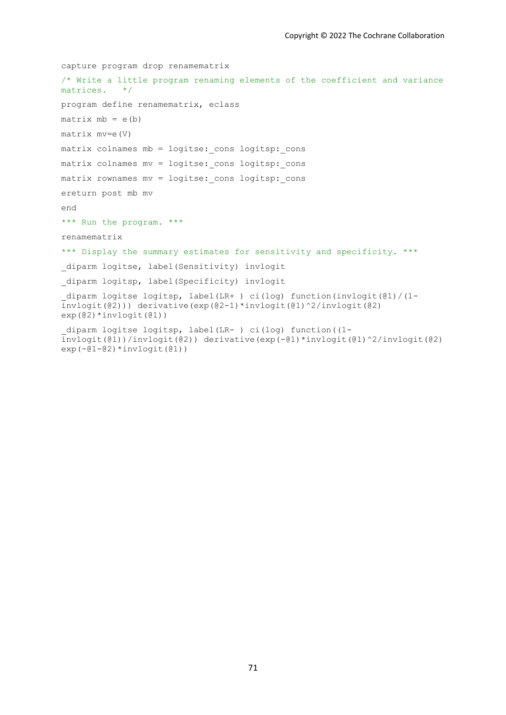```
capture program drop renamematrix
/* Write a little program renaming elements of the coefficient and variance 
matrices. */
program define renamematrix, eclass
matrix mb = e(b)matrix mv=e(V)
matrix colnames mb = logitse: cons logitsp: cons
matrix colnames mv = logitse: cons logitsp: cons
matrix rownames mv = logitse: cons logitsp: cons
ereturn post mb mv
end
*** Run the program. ***
renamematrix
*** Display the summary estimates for sensitivity and specificity. ***
diparm logitse, label(Sensitivity) invlogit
_diparm logitsp, label(Specificity) invlogit 
_diparm logitse logitsp, label(LR+ ) ci(log) function(invlogit(@1)/(1-
invlogit(@2))) derivative(exp(@2-1)*invlogit(@1)^2/invlogit(@2) 
exp(@2)*invlogit(@1))
_diparm logitse logitsp, label(LR- ) ci(log) function((1-
\frac{1}{1}invlogit(@1))/invlogit(@2)) derivative(exp(-@1)*invlogit(@1)^2/invlogit(@2)
exp(-@1-@2)*invlogit(@1))
```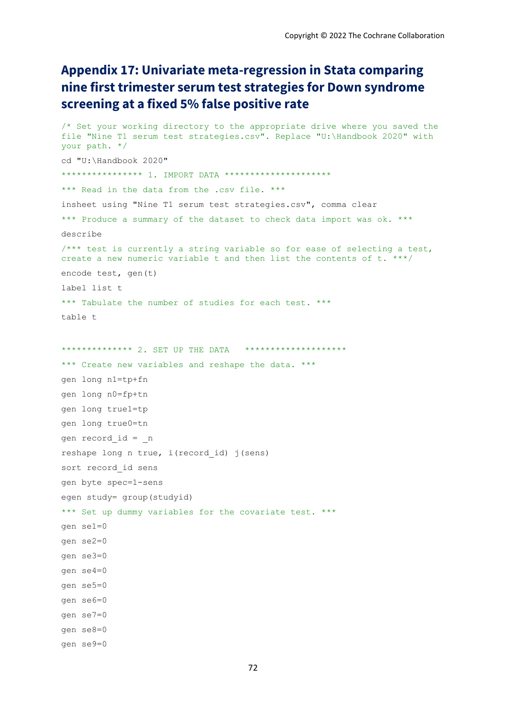# **Appendix 17: Univariate meta-regression in Stata comparing nine first trimester serum test strategies for Down syndrome screening at a fixed 5% false positive rate**

```
/* Set your working directory to the appropriate drive where you saved the 
file "Nine T1 serum test strategies.csv". Replace "U:\Handbook 2020" with 
your path. */
cd "U:\Handbook 2020"
**************** 1. IMPORT DATA ***********************
*** Read in the data from the .csv file. ***
insheet using "Nine T1 serum test strategies.csv", comma clear
*** Produce a summary of the dataset to check data import was ok. ***
describe 
/*** test is currently a string variable so for ease of selecting a test, 
create a new numeric variable t and then list the contents of t. ***/
encode test, gen(t)
label list t
*** Tabulate the number of studies for each test. ***
tahla +************** 2. SET UP THE DATA *********************
*** Create new variables and reshape the data. ***
gen long n1=tp+fn
gen long n0=fp+tn
gen long true1=tp
gen long true0=tn
gen record_id = _n
reshape long n true, i(record id) j(sens)
sort record_id sens
gen byte spec=1-sens
egen study= group(studyid)
*** Set up dummy variables for the covariate test. ***
gen se1=0
gen se2=0
gen se3=0
gen se4=0
gen se5=0
gen se6=0
gen se7=0
gen se8=0
gen se9=0
```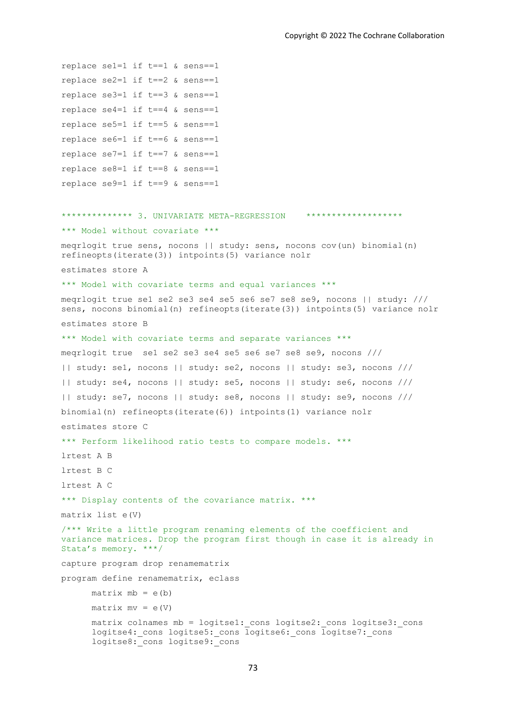```
replace se1=1 if t==1 & sens==1
replace se2=1 if t==2 & sens==1
replace se3=1 if t==3 & sens==1
replace se4=1 if t==4 & sens==1replace se5=1 if t==5 & sens==1
replace se6=1 if t==6 & sens==1
replace se7=1 if t==7 & sens==1
replace se8=1 if t==8 & sens==1
replace se9=1 if t==9 & sens==1
************** 3. UNIVARIATE META-REGRESSION *******************
*** Model without covariate ***
meqrlogit true sens, nocons || study: sens, nocons cov(un) binomial(n) 
refineopts(iterate(3)) intpoints(5) variance nolr
estimates store A
*** Model with covariate terms and equal variances ***
meqrlogit true se1 se2 se3 se4 se5 se6 se7 se8 se9, nocons || study: ///
sens, nocons binomial(n) refineopts(iterate(3)) intpoints(5) variance nolr
estimates store B
*** Model with covariate terms and separate variances ***
meqrlogit true se1 se2 se3 se4 se5 se6 se7 se8 se9, nocons ///
|| study: se1, nocons || study: se2, nocons || study: se3, nocons ///
|| study: se4, nocons || study: se5, nocons || study: se6, nocons ///
|| study: se7, nocons || study: se8, nocons || study: se9, nocons ///
binomial(n) refineopts(iterate(6)) intpoints(1) variance nolr
estimates store C
*** Perform likelihood ratio tests to compare models. ***
lrtest A B 
lrtest B C
lrtest A C
*** Display contents of the covariance matrix. ***
matrix list e(V) 
/*** Write a little program renaming elements of the coefficient and 
variance matrices. Drop the program first though in case it is already in 
Stata's memory. ***/
capture program drop renamematrix
program define renamematrix, eclass
     matrix mb = e(b)matrix mv = e(V)matrix colnames mb = logitse1: cons logitse2: cons logitse3: cons
      logitse4: cons logitse5: cons logitse6: cons logitse7: cons
      logitse8: cons logitse9: cons
```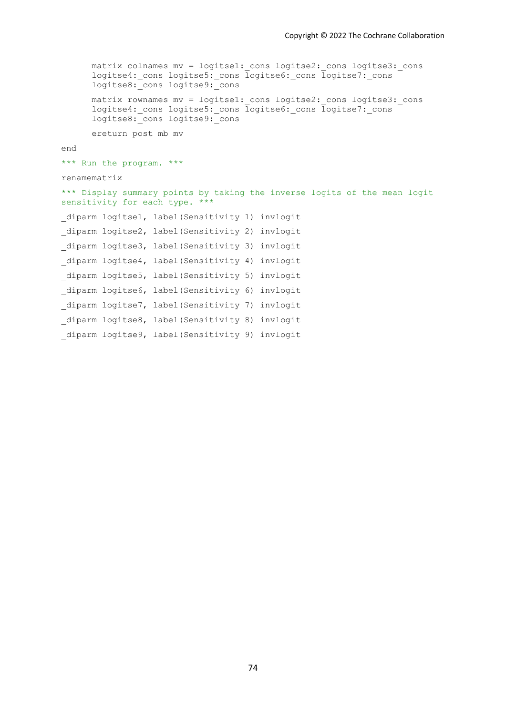```
matrix colnames mv = logitse1: cons logitse2: cons logitse3: cons
      logitse4: cons logitse5: cons logitse6: cons logitse7: cons
      logitse8: cons logitse9: cons
      matrix rownames mv = logitse1: cons logitse2: cons logitse3: cons
      logitse4: cons logitse5: cons logitse6: cons logitse7: cons
      logitse8: cons logitse9: cons
      ereturn post mb mv
end
*** Run the program. ***
renamematrix
*** Display summary points by taking the inverse logits of the mean logit
sensitivity for each type. ***
diparm logitse1, label(Sensitivity 1) invlogit
_diparm logitse2, label(Sensitivity 2) invlogit 
diparm logitse3, label(Sensitivity 3) invlogit
_diparm logitse4, label(Sensitivity 4) invlogit 
diparm logitse5, label(Sensitivity 5) invlogit
_diparm logitse6, label(Sensitivity 6) invlogit
_diparm logitse7, label(Sensitivity 7) invlogit 
diparm logitse8, label(Sensitivity 8) invlogit
diparm logitse9, label(Sensitivity 9) invlogit
```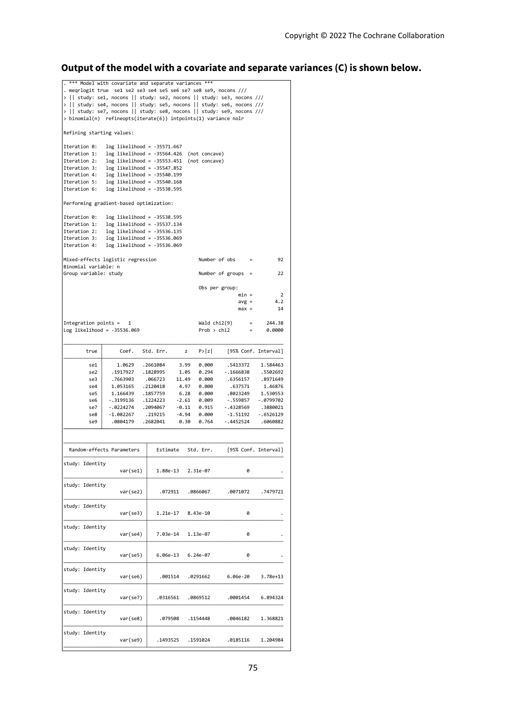## **Output of the model with a covariate and separate variances (C) is shown below.**

| *** Model with covariate and separate variances ***<br>. megrlogit true se1 se2 se3 se4 se5 se6 se7 se8 se9, nocons ///<br>>    study: se1, nocons    study: se2, nocons    study: se3, nocons ///<br>>    study: se4, nocons    study: se5, nocons    study: se6, nocons /// |                                                                                                                                            |           |                               |                        |                  |
|-------------------------------------------------------------------------------------------------------------------------------------------------------------------------------------------------------------------------------------------------------------------------------|--------------------------------------------------------------------------------------------------------------------------------------------|-----------|-------------------------------|------------------------|------------------|
|                                                                                                                                                                                                                                                                               | >    study: se7, nocons    study: se8, nocons    study: se9, nocons ///<br>> binomial(n) refineopts(iterate(6)) intpoints(1) variance nolr |           |                               |                        |                  |
| Refining starting values:                                                                                                                                                                                                                                                     |                                                                                                                                            |           |                               |                        |                  |
| Iteration 0:                                                                                                                                                                                                                                                                  | $log$ likelihood = -35571.667                                                                                                              |           |                               |                        |                  |
| Iteration 1:                                                                                                                                                                                                                                                                  | $log$ likelihood = -35564.426                                                                                                              |           | (not concave)                 |                        |                  |
| Iteration 2:                                                                                                                                                                                                                                                                  | $log$ likelihood = -35553.451                                                                                                              |           | (not concave)                 |                        |                  |
| Iteration 3:                                                                                                                                                                                                                                                                  | $log$ likelihood = -35547.852                                                                                                              |           |                               |                        |                  |
| Iteration 4:                                                                                                                                                                                                                                                                  | $log$ likelihood = -35540.199                                                                                                              |           |                               |                        |                  |
| Iteration 5:                                                                                                                                                                                                                                                                  | $log$ likelihood = -35540.168                                                                                                              |           |                               |                        |                  |
| Iteration 6:                                                                                                                                                                                                                                                                  | $log$ likelihood = -35538.595                                                                                                              |           |                               |                        |                  |
| Performing gradient-based optimization:                                                                                                                                                                                                                                       |                                                                                                                                            |           |                               |                        |                  |
| Iteration 0:                                                                                                                                                                                                                                                                  | $log$ likelihood = -35538.595                                                                                                              |           |                               |                        |                  |
| Iteration 1:                                                                                                                                                                                                                                                                  | $log$ likelihood = -35537.134                                                                                                              |           |                               |                        |                  |
| $log$ likelihood = -35536.135<br>Iteration 2:                                                                                                                                                                                                                                 |                                                                                                                                            |           |                               |                        |                  |
| Iteration 3:                                                                                                                                                                                                                                                                  | $log$ likelihood = -35536.069                                                                                                              |           |                               |                        |                  |
| Iteration 4:                                                                                                                                                                                                                                                                  | $log$ likelihood = -35536.069                                                                                                              |           |                               |                        |                  |
| Binomial variable: n                                                                                                                                                                                                                                                          | Mixed-effects logistic regression                                                                                                          |           | Number of obs                 | $\equiv$               | 92               |
| Group variable: study                                                                                                                                                                                                                                                         |                                                                                                                                            |           |                               | Number of groups $=$   | 22               |
|                                                                                                                                                                                                                                                                               |                                                                                                                                            |           |                               | Obs per group:         |                  |
|                                                                                                                                                                                                                                                                               |                                                                                                                                            |           |                               | $min =$                | 2                |
|                                                                                                                                                                                                                                                                               |                                                                                                                                            |           |                               | $avg =$                | 4.2              |
|                                                                                                                                                                                                                                                                               |                                                                                                                                            |           |                               | $max =$                | 14               |
| Integration points =                                                                                                                                                                                                                                                          |                                                                                                                                            |           |                               |                        |                  |
|                                                                                                                                                                                                                                                                               | 1<br>Log likelihood = $-35536.069$                                                                                                         |           | Wald chi2(9)<br>Prob $>$ chi2 | $=$<br>$\quad \  \  =$ | 244.38<br>0.0000 |
|                                                                                                                                                                                                                                                                               |                                                                                                                                            |           |                               |                        |                  |
| true                                                                                                                                                                                                                                                                          | Coef.                                                                                                                                      | Std. Err. | P >  z <br>z                  | [95% Conf. Interval]   |                  |
| se1                                                                                                                                                                                                                                                                           | 1.0629                                                                                                                                     | .2661084  | 0.000<br>3.99                 | .5413372               | 1.584463         |
| se2                                                                                                                                                                                                                                                                           | . 1917927                                                                                                                                  | .1828995  | 0.294<br>1.05                 | $-1666838$             | .5502692         |
| se3                                                                                                                                                                                                                                                                           | .7663903                                                                                                                                   | .066723   | 0.000<br>11.49                | .6356157               | .8971649         |
| se4                                                                                                                                                                                                                                                                           | 1.053165                                                                                                                                   | .2120418  | 4.97<br>0.000                 | .637571                | 1.46876          |
| se5                                                                                                                                                                                                                                                                           | 1.166439                                                                                                                                   | .1857759  | 6.28<br>0.000                 | .8023249               | 1.530553         |
| se6                                                                                                                                                                                                                                                                           | -.3199136                                                                                                                                  | .1224223  | $-2.61$<br>0.009              | $-.559857$             | $-0799702$       |
| se7                                                                                                                                                                                                                                                                           | -.0224274                                                                                                                                  | .2094067  | $-0.11$<br>0.915              | $-.4328569$            | .3880021         |
| se8                                                                                                                                                                                                                                                                           | $-1.082267$                                                                                                                                | .219215   | $-4.94$<br>0.000              | $-1.51192$             | $-.6526129$      |
| se9                                                                                                                                                                                                                                                                           | .0804179                                                                                                                                   | .2682041  | 0.30<br>0.764                 | - .4452524             | .6060882         |
|                                                                                                                                                                                                                                                                               |                                                                                                                                            |           |                               |                        |                  |
|                                                                                                                                                                                                                                                                               | Random-effects Parameters                                                                                                                  | Estimate  | Std. Err.                     | [95% Conf. Interval]   |                  |
| study: Identity<br>var(self)                                                                                                                                                                                                                                                  |                                                                                                                                            | 1.88e-13  | 2.31e-07                      | 0                      |                  |
|                                                                                                                                                                                                                                                                               |                                                                                                                                            |           |                               |                        |                  |
| study: Identity                                                                                                                                                                                                                                                               | var(se2)                                                                                                                                   | .072911   | .0866067                      | .0071072               | .7479721         |
| study: Identity                                                                                                                                                                                                                                                               |                                                                                                                                            |           |                               |                        |                  |
|                                                                                                                                                                                                                                                                               | var(se3)                                                                                                                                   | 1.21e-17  | 8.43e-10                      | 0                      |                  |
| study: Identity                                                                                                                                                                                                                                                               | var(self)                                                                                                                                  | 7.03e-14  | 1.13e-07                      | 0                      |                  |
| study: Identity                                                                                                                                                                                                                                                               |                                                                                                                                            |           |                               |                        |                  |
|                                                                                                                                                                                                                                                                               | var(se5)                                                                                                                                   | 6.06e-13  | $6.24e-07$                    | 0                      |                  |
| study: Identity                                                                                                                                                                                                                                                               | var(se6)                                                                                                                                   | .001514   | .0291662                      | 6.06e-20               | 3.78e+13         |
| study: Identity                                                                                                                                                                                                                                                               | var(se7)                                                                                                                                   | .0316561  | .0869512                      | .0001454               | 6.894324         |
| study: Identity                                                                                                                                                                                                                                                               |                                                                                                                                            |           |                               |                        |                  |
|                                                                                                                                                                                                                                                                               | var(se8)                                                                                                                                   | .079508   | .1154448                      | .0046182               | 1.368821         |
| study: Identity                                                                                                                                                                                                                                                               | var(se9)                                                                                                                                   | .1493525  | .1591024                      | .0185116               | 1.204984         |
|                                                                                                                                                                                                                                                                               |                                                                                                                                            |           |                               |                        |                  |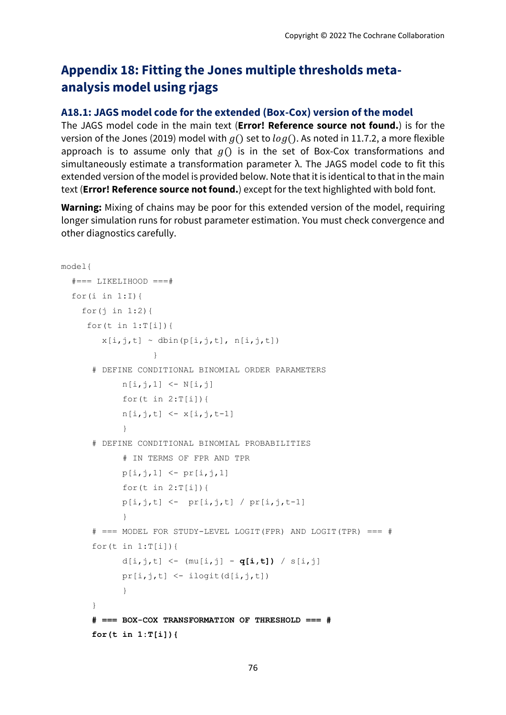# **Appendix 18: Fitting the Jones multiple thresholds metaanalysis model using rjags**

#### **A18.1: JAGS model code for the extended (Box-Cox) version of the model**

The JAGS model code in the main text (**Error! Reference source not found.**) is for the version of the Jones (2019) model with  $g()$  set to  $log()$ . As noted in 11.7.2, a more flexible approach is to assume only that  $g()$  is in the set of Box-Cox transformations and simultaneously estimate a transformation parameter λ. The JAGS model code to fit this extended version of the model is provided below. Note that it is identical to that in the main text (**Error! Reference source not found.**) except for the text highlighted with bold font.

**Warning:** Mixing of chains may be poor for this extended version of the model, requiring longer simulation runs for robust parameter estimation. You must check convergence and other diagnostics carefully.

```
model{ 
   #=== LIKELIHOOD ===#
  for(i in 1:I [for(\frac{1}{1} in 1:2){
     for (t \in 1:T[i]) {
        x[i,j,t] \sim \text{dbin}(p[i,j,t], n[i,j,t])}
       # DEFINE CONDITIONAL BINOMIAL ORDER PARAMETERS 
            n[i,j,1] <- N[i,j]for (t \text{ in } 2: T[i]) {
            n[i,j,t] <- x[i,j,t-1] }
      # DEFINE CONDITIONAL BINOMIAL PROBABILITIES 
             # IN TERMS OF FPR AND TPR
            p[i,j,1] <- pr[i,j,1] for(t in 2:T[i]){ 
            p[i,j,t] <- pr[i,j,t] / pr[i,j,t-1] } 
      # === MODEL FOR STUDY-LEVEL LOGIT(FPR) AND LOGIT(TPR) === # 
      for(t in 1:T[i]) {
            d[i,j,t] <- (mu[i,j] - q[i,t]) / s[i,j]pr[i,j,t] \leq -ilogit(d[i,j,t]) }
      }
      # === BOX-COX TRANSFORMATION OF THRESHOLD === #
      for(t in 1:T[i]){
```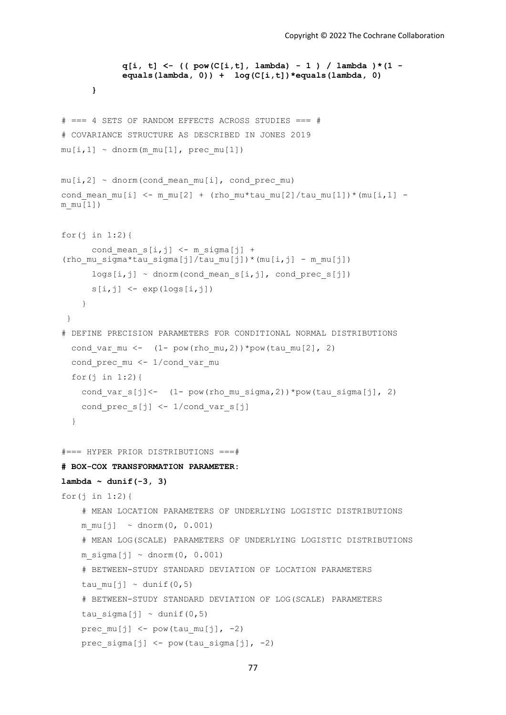```
q[i, t] <- (( pow(C[i,t], lambda) - 1 ) / lambda )*(1 -
             equals(lambda, 0)) + log(C[i,t])*equals(lambda, 0) 
      }
# === 4 SETS OF RANDOM EFFECTS ACROSS STUDIES === # 
# COVARIANCE STRUCTURE AS DESCRIBED IN JONES 2019
mu[i,1] \sim \text{dnorm}(mmu[1], \text{prec mul}[1])mu[i,2] ~ dnorm(cond mean mu[i], cond prec mu)
cond mean mu[i] \leq -m mu[2] + (rho mu*tau mu[2]/tau mu[1])*(mu[i,1] -
m_mu[1])
for(\frac{1}{1} in 1:2){
      cond mean s[i,j] <- m sigma[j] +
(rho_mu_sigma*tau_sigma[j]/tau_mu[j])*(mu[i,j] - m_mu[j])
      \log[i,j] ~ dnorm(cond mean s[i,j], cond prec s[j])
      s[i,j] <- exp(log[s,j]) }
 }
# DEFINE PRECISION PARAMETERS FOR CONDITIONAL NORMAL DISTRIBUTIONS 
  cond var mu \leftarrow (1- pow(rho mu, 2))*pow(tau mu[2], 2)
  cond prec mu <- 1/cond var mu
  for(\frac{1}{1} in 1:2){
    cond var s[j]<- (1- pow(rho mu sigma, 2))*pow(tau sigma[j], 2)
    cond prec s[j] <- 1/cond var s[j] }
#=== HYPER PRIOR DISTRIBUTIONS ===# 
# BOX-COX TRANSFORMATION PARAMETER:
lambda ~ dunif(-3, 3)
for(j in 1:2){
     # MEAN LOCATION PARAMETERS OF UNDERLYING LOGISTIC DISTRIBUTIONS
    mmu[j] \sim \text{dnorm}(0, 0.001) # MEAN LOG(SCALE) PARAMETERS OF UNDERLYING LOGISTIC DISTRIBUTIONS
    m sigma[j] \sim dnorm(0, 0.001)
     # BETWEEN-STUDY STANDARD DEVIATION OF LOCATION PARAMETERS 
    tau mu[j] \sim dunif(0,5)
     # BETWEEN-STUDY STANDARD DEVIATION OF LOG(SCALE) PARAMETERS
    tau sigma[j] ~ dunif(0,5)
    prec_mu[j] \leq - pow(tau_mu[j], -2)
    prec sigma[j] \leq - pow(tau sigma[j], -2)
```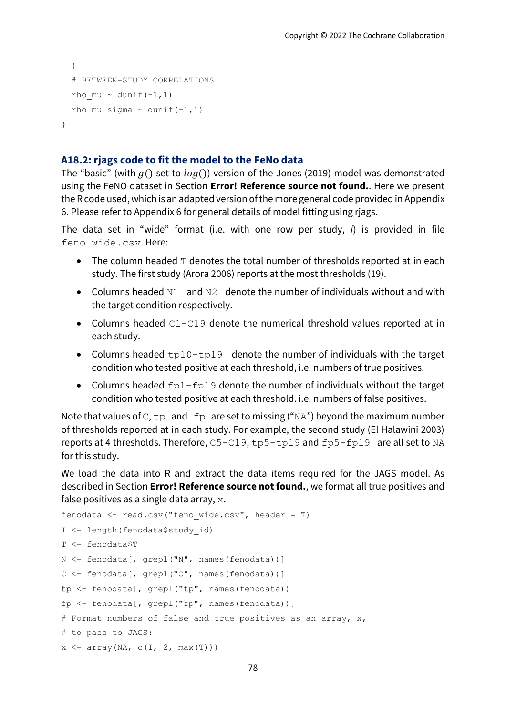```
 }
   # BETWEEN-STUDY CORRELATIONS
  rho mu ~ dunif(-1,1)rho mu sigma ~ dunif(-1,1)
}
```
#### **A18.2: rjags code to fit the model to the FeNo data**

The "basic" (with  $q()$  set to  $log()$ ) version of the Jones (2019) model was demonstrated using the FeNO dataset in Section **Error! Reference source not found.**. Here we present the R code used, which is an adapted version of the more general code provided i[n Appendix](#page-14-0)  [6.](#page-14-0) Please refer t[o Appendix 6](#page-14-0) for general details of model fitting using rjags.

The data set in "wide" format (i.e. with one row per study, *i*) is provided in file feno\_wide.csv. Here:

- The column headed  $T$  denotes the total number of thresholds reported at in each study. The first study (Arora 2006) reports at the most thresholds (19).
- Columns headed N1 and N2 denote the number of individuals without and with the target condition respectively.
- Columns headed C1-C19 denote the numerical threshold values reported at in each study.
- Columns headed  $tp10-tp19$  denote the number of individuals with the target condition who tested positive at each threshold, i.e. numbers of true positives.
- Columns headed  $fp1-fp19$  denote the number of individuals without the target condition who tested positive at each threshold. i.e. numbers of false positives.

Note that values of C,  $tp$  and  $fp$  are set to missing ("NA") beyond the maximum number of thresholds reported at in each study. For example, the second study (El Halawini 2003) reports at 4 thresholds. Therefore, C5-C19, tp5-tp19 and fp5-fp19 are all set to NA for this study.

We load the data into R and extract the data items required for the JAGS model. As described in Section **Error! Reference source not found.**, we format all true positives and false positives as a single data array,  $x$ .

```
fenodata \leq read.csv("feno wide.csv", header = T)
I <- length(fenodata$study_id)
T <- fenodata$T
N <- fenodata[, grepl("N", names(fenodata))]
C <- fenodata[, grepl("C", names(fenodata))]
tp <- fenodata[, grepl("tp", names(fenodata))]
fp <- fenodata[, grepl("fp", names(fenodata))]
# Format numbers of false and true positives as an array, x,
# to pass to JAGS:
x \leftarrow \text{array}(NA, c(I, 2, max(T)))
```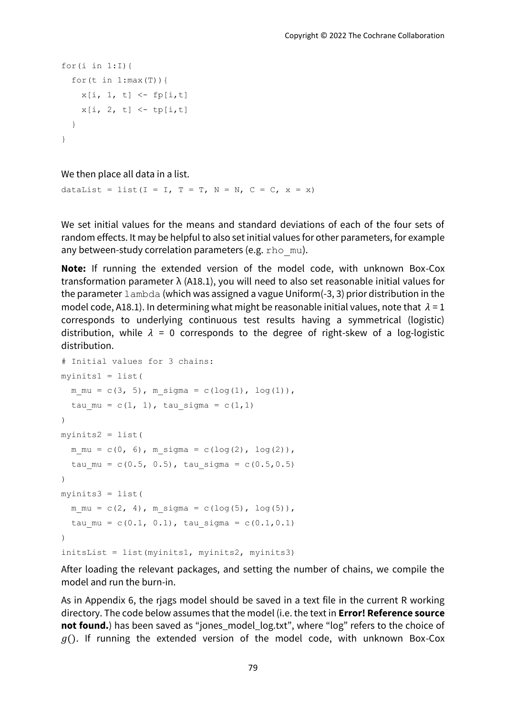```
for(i in 1:I){
  for (t \text{ in } 1;\text{max}(T)) {
     x[i, 1, t] <- fp[i, t]x[i, 2, t] <- tp[i,t]
   }
}
```
We then place all data in a list.

dataList = list(I = I, T = T, N = N, C = C, x = x)

We set initial values for the means and standard deviations of each of the four sets of random effects. It may be helpful to also set initial values for other parameters, for example any between-study correlation parameters (e.g. rho mu).

**Note:** If running the extended version of the model code, with unknown Box-Cox transformation parameter λ (A18.1), you will need to also set reasonable initial values for the parameter lambda (which was assigned a vague Uniform(-3, 3) prior distribution in the model code, A18.1). In determining what might be reasonable initial values, note that  $\lambda = 1$ corresponds to underlying continuous test results having a symmetrical (logistic) distribution, while  $\lambda = 0$  corresponds to the degree of right-skew of a log-logistic distribution.

```
# Initial values for 3 chains:
myinits1 = list( 
  m mu = c(3, 5), m sigma = c(log(1), log(1)),
  tau mu = c(1, 1), tau sigma = c(1,1)
)
myinits2 = list( 
  m mu = c(0, 6), m sigma = c(log(2), log(2)),
  tau mu = c(0.5, 0.5), tau sigma = c(0.5,0.5)
)
myinits3 = list( 
  m mu = c(2, 4), m sigma = c(log(5), log(5)),
  tau mu = c(0.1, 0.1), tau sigma = c(0.1,0.1))
initsList = list(myinits1, myinits2, myinits3)
```
After loading the relevant packages, and setting the number of chains, we compile the model and run the burn-in.

As in [Appendix 6,](#page-14-0) the rjags model should be saved in a text file in the current R working directory. The code below assumes that the model (i.e. the text in **Error! Reference source not found.**) has been saved as "jones\_model\_log.txt", where "log" refers to the choice of  $g()$ . If running the extended version of the model code, with unknown Box-Cox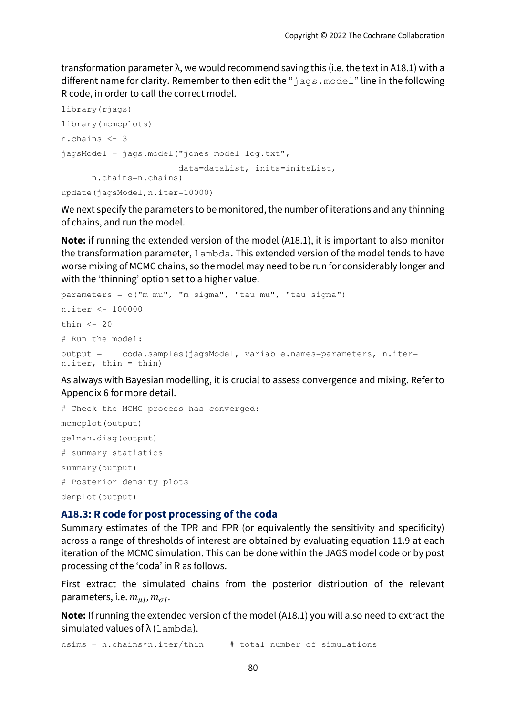transformation parameter λ, we would recommend saving this (i.e. the text in A18.1) with a different name for clarity. Remember to then edit the "jags.model" line in the following R code, in order to call the correct model.

```
library(rjags)
library(mcmcplots)
n.chains <- 3
jagsModel = jags.model("jones_model_log.txt",
                        data=dataList, inits=initsList, 
      n.chains=n.chains)
update(jagsModel,n.iter=10000)
```
We next specify the parameters to be monitored, the number of iterations and any thinning of chains, and run the model.

**Note:** if running the extended version of the model (A18.1), it is important to also monitor the transformation parameter, lambda. This extended version of the model tends to have worse mixing of MCMC chains, so the model may need to be run for considerably longer and with the 'thinning' option set to a higher value.

```
parameters = c("mmu", "m sigma", "tau mu", "tau sumn.iter <- 100000
thin \leq -20# Run the model:
output = coda.samples(jagsModel, variable.names=parameters, n.iter= 
n.iter, thin = thin)
```
As always with Bayesian modelling, it is crucial to assess convergence and mixing. Refer to [Appendix 6](#page-14-0) for more detail.

```
# Check the MCMC process has converged:
mcmcplot(output)
gelman.diag(output)
# summary statistics
summary(output) 
# Posterior density plots
denplot(output)
```
### **A18.3: R code for post processing of the coda**

Summary estimates of the TPR and FPR (or equivalently the sensitivity and specificity) across a range of thresholds of interest are obtained by evaluating equation 11.9 at each iteration of the MCMC simulation. This can be done within the JAGS model code or by post processing of the 'coda' in R as follows.

First extract the simulated chains from the posterior distribution of the relevant parameters, i.e.  $m_{ui}$ ,  $m_{\sigma i}$ .

**Note:** If running the extended version of the model (A18.1) you will also need to extract the simulated values of  $\lambda$  (lambda).

nsims = n.chains\*n.iter/thin # total number of simulations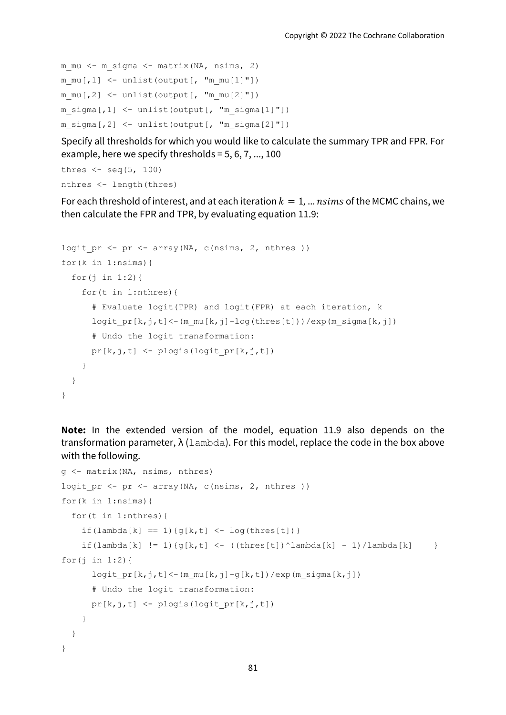```
m mu <- m sigma <- matrix(NA, nsims, 2)
m mu[, 1] <- unlist(output[, "m_mu[1]"])
m mu[, 2] <- unlist(output[, "m mu[2]"])
m sigma[,1] \leq unlist(output[, "m_sigma[1]"])
m sigma[,2] \leq unlist(output[, "m_sigma[2]"])
```
Specify all thresholds for which you would like to calculate the summary TPR and FPR. For example, here we specify thresholds = 5, 6, 7, ..., 100

```
thres \leq seq(5, 100)
nthres <- length(thres)
```
For each threshold of interest, and at each iteration  $k = 1, ...$  nsims of the MCMC chains, we then calculate the FPR and TPR, by evaluating equation 11.9:

```
logit pr \leftarrow pr \leftarrow array(NA, c(nsims, 2, nthres ))
for(k in 1:nsims){
  for(j in 1:2) {
     for(t in 1:nthres){
       # Evaluate logit(TPR) and logit(FPR) at each iteration, k
      logit pr[k,j,t] < -(m mu[k,j]-log(thres[t]))/exp(m sigma[k,j]) # Undo the logit transformation:
      pr[k,j,t] <- plogis(logit pr[k,j,t]) }
   }
}
```
**Note:** In the extended version of the model, equation 11.9 also depends on the transformation parameter,  $\lambda$  (lambda). For this model, replace the code in the box above with the following.

```
g <- matrix(NA, nsims, nthres)
logit pr \leftarrow pr \leftarrow array(NA, c(nsims, 2, nthres ))
for(k in 1:nsims){
   for(t in 1:nthres){
    if(lambda[k] == 1){g[k, t] <- log(thres[t])}
    if(lambda[k] != 1){q[k,t] <- ((thres[t])^lambda[k] - 1)/lambda[k] }
for(j in 1:2){
      logit pr[k,j,t]<-(m mu[k,j]-g[k,t])/exp(m sigma[k,j]) # Undo the logit transformation:
      pr[k,j,t] <- plogis(logit pr[k,j,t]) }
   }
}
```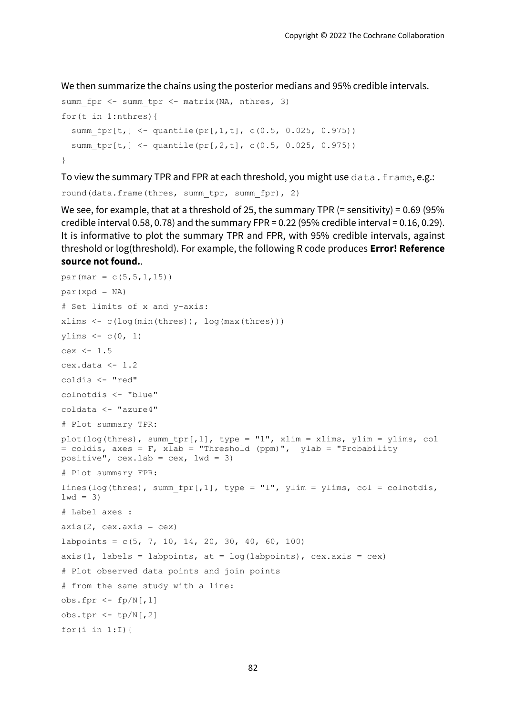We then summarize the chains using the posterior medians and 95% credible intervals.

```
summ fpr \leq- summ tpr \leq- matrix(NA, nthres, 3)
for(t in 1:nthres){
  summ fpr[t, ] \leftarrow quantile(pr[,1,t], c(0.5, 0.025, 0.975))
  summ tpr[t,] <- quantile(pr[,2,t], c(0.5, 0.025, 0.975))
}
```
To view the summary TPR and FPR at each threshold, you might use data.frame, e.g.:

```
round(data.frame(thres, summ tpr, summ fpr), 2)
```
We see, for example, that at a threshold of 25, the summary TPR  $(=$  sensitivity) = 0.69 (95%) credible interval 0.58, 0.78) and the summary FPR =  $0.22$  (95% credible interval =  $0.16, 0.29$ ). It is informative to plot the summary TPR and FPR, with 95% credible intervals, against threshold or log(threshold). For example, the following R code produces **Error! Reference source not found.**.

```
par(max = c(5, 5, 1, 15))par(xpd = NA)
# Set limits of x and y-axis:
xlims \leq c(log(min(thres)), log(max(thres)))
ylims \leq -c(0, 1)cex < -1.5cex.data <-1.2coldis <- "red"
colnotdis <- "blue"
coldata <- "azure4"
# Plot summary TPR:
plot(log(thres), summ_tpr[,1], type = "l", xlim = xlims, ylim = ylims, col 
= coldis, axes = F, xlab = "Threshold (ppm)", ylab = "Probability
positive", cex.lab = cex, lwd = 3)
# Plot summary FPR:
lines(log(thres), summ fpr[,1], type = "l", ylim = ylims, col = colnotdis,
1wd = 3)# Label axes :
axis(2, cex-axis = cex)labpoints = c(5, 7, 10, 14, 20, 30, 40, 60, 100)axis(1, labels = labpoints, at = log(labpoints), cex.axis = cex)
# Plot observed data points and join points
# from the same study with a line:
obs.fpr \leftarrow fp/N[,1]obs.tpr \leftarrow tp/N[,2]
for(i in 1:I) {
```